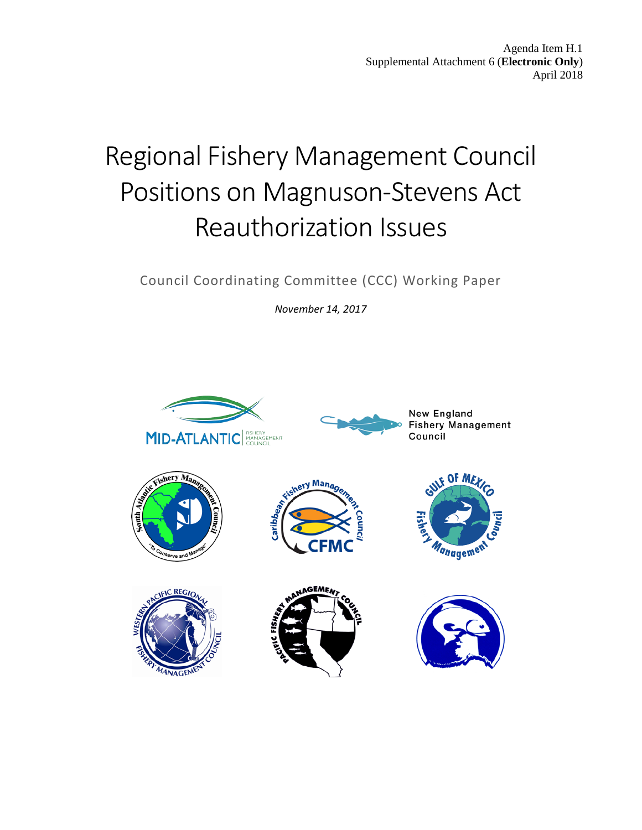Agenda Item H.1 Supplemental Attachment 6 (**Electronic Only**) April 2018

# Regional Fishery Management Council Positions on Magnuson-Stevens Act Reauthorization Issues

Council Coordinating Committee (CCC) Working Paper

*November 14, 2017*

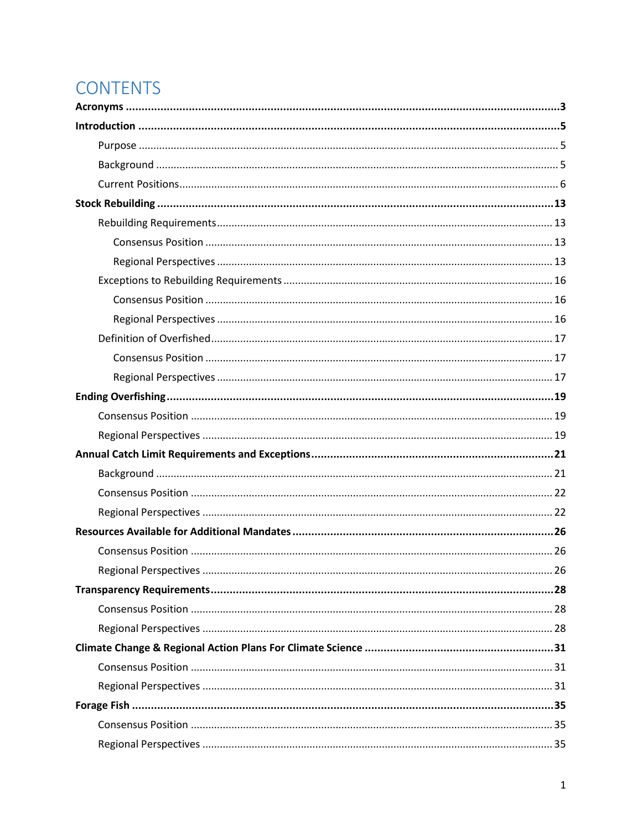## **CONTENTS**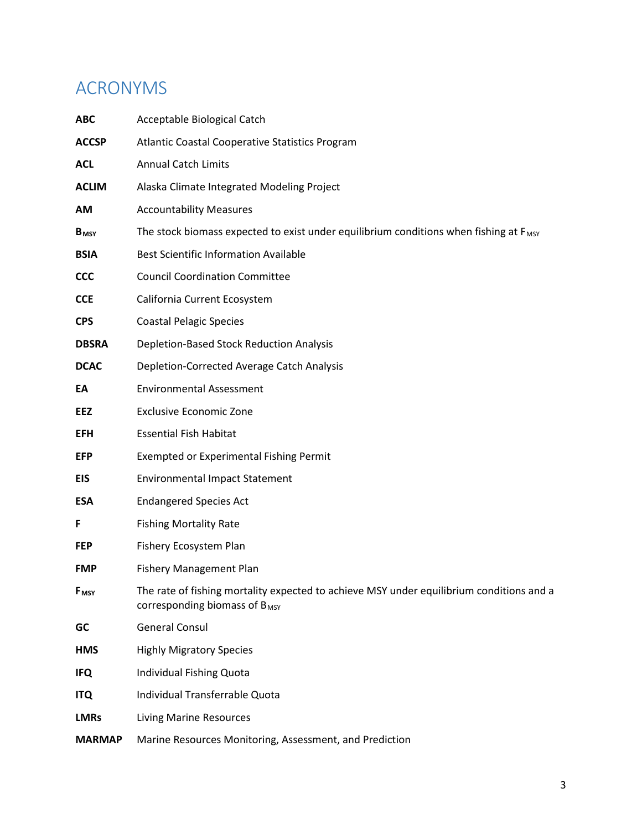## <span id="page-3-0"></span>ACRONYMS

| <b>ABC</b>              | Acceptable Biological Catch                                                                                                    |
|-------------------------|--------------------------------------------------------------------------------------------------------------------------------|
| <b>ACCSP</b>            | Atlantic Coastal Cooperative Statistics Program                                                                                |
| <b>ACL</b>              | <b>Annual Catch Limits</b>                                                                                                     |
| <b>ACLIM</b>            | Alaska Climate Integrated Modeling Project                                                                                     |
| АM                      | <b>Accountability Measures</b>                                                                                                 |
| <b>B</b> <sub>MSY</sub> | The stock biomass expected to exist under equilibrium conditions when fishing at F <sub>MSY</sub>                              |
| <b>BSIA</b>             | <b>Best Scientific Information Available</b>                                                                                   |
| <b>CCC</b>              | <b>Council Coordination Committee</b>                                                                                          |
| <b>CCE</b>              | California Current Ecosystem                                                                                                   |
| <b>CPS</b>              | <b>Coastal Pelagic Species</b>                                                                                                 |
| <b>DBSRA</b>            | Depletion-Based Stock Reduction Analysis                                                                                       |
| <b>DCAC</b>             | Depletion-Corrected Average Catch Analysis                                                                                     |
| EA                      | <b>Environmental Assessment</b>                                                                                                |
| <b>EEZ</b>              | <b>Exclusive Economic Zone</b>                                                                                                 |
| <b>EFH</b>              | <b>Essential Fish Habitat</b>                                                                                                  |
| <b>EFP</b>              | <b>Exempted or Experimental Fishing Permit</b>                                                                                 |
| EIS                     | <b>Environmental Impact Statement</b>                                                                                          |
| <b>ESA</b>              | <b>Endangered Species Act</b>                                                                                                  |
| F                       | <b>Fishing Mortality Rate</b>                                                                                                  |
| <b>FEP</b>              | Fishery Ecosystem Plan                                                                                                         |
| <b>FMP</b>              | <b>Fishery Management Plan</b>                                                                                                 |
| <b>F</b> <sub>MSY</sub> | The rate of fishing mortality expected to achieve MSY under equilibrium conditions and a<br>corresponding biomass of $B_{MSY}$ |
| GC                      | <b>General Consul</b>                                                                                                          |
| <b>HMS</b>              | <b>Highly Migratory Species</b>                                                                                                |
| <b>IFQ</b>              | Individual Fishing Quota                                                                                                       |
| <b>ITQ</b>              | Individual Transferrable Quota                                                                                                 |
| <b>LMRs</b>             | <b>Living Marine Resources</b>                                                                                                 |
| <b>MARMAP</b>           | Marine Resources Monitoring, Assessment, and Prediction                                                                        |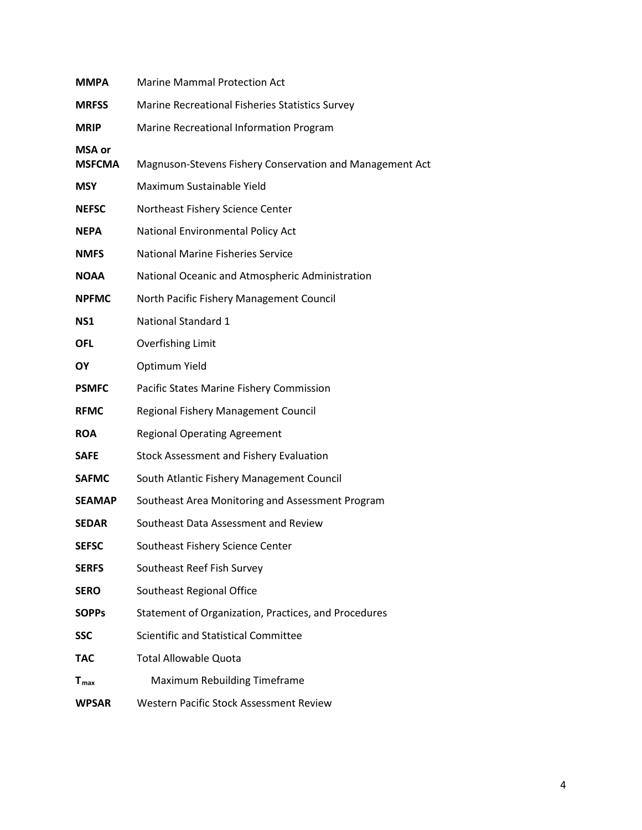| <b>MMPA</b>                    | <b>Marine Mammal Protection Act</b>                      |
|--------------------------------|----------------------------------------------------------|
| <b>MRFSS</b>                   | Marine Recreational Fisheries Statistics Survey          |
| <b>MRIP</b>                    | Marine Recreational Information Program                  |
| <b>MSA or</b><br><b>MSFCMA</b> | Magnuson-Stevens Fishery Conservation and Management Act |
|                                |                                                          |
| <b>MSY</b>                     | Maximum Sustainable Yield                                |
| <b>NEFSC</b>                   | Northeast Fishery Science Center                         |
| <b>NEPA</b>                    | National Environmental Policy Act                        |
| <b>NMFS</b>                    | <b>National Marine Fisheries Service</b>                 |
| <b>NOAA</b>                    | National Oceanic and Atmospheric Administration          |
| <b>NPFMC</b>                   | North Pacific Fishery Management Council                 |
| NS1                            | National Standard 1                                      |
| <b>OFL</b>                     | <b>Overfishing Limit</b>                                 |
| ΟY                             | Optimum Yield                                            |
| <b>PSMFC</b>                   | Pacific States Marine Fishery Commission                 |
| <b>RFMC</b>                    | Regional Fishery Management Council                      |
| <b>ROA</b>                     | <b>Regional Operating Agreement</b>                      |
| <b>SAFE</b>                    | <b>Stock Assessment and Fishery Evaluation</b>           |
| <b>SAFMC</b>                   | South Atlantic Fishery Management Council                |
| <b>SEAMAP</b>                  | Southeast Area Monitoring and Assessment Program         |
| <b>SEDAR</b>                   | Southeast Data Assessment and Review                     |
| <b>SEFSC</b>                   | Southeast Fishery Science Center                         |
| <b>SERFS</b>                   | Southeast Reef Fish Survey                               |
| <b>SERO</b>                    | Southeast Regional Office                                |
| <b>SOPPS</b>                   | Statement of Organization, Practices, and Procedures     |
| <b>SSC</b>                     | Scientific and Statistical Committee                     |
| <b>TAC</b>                     | <b>Total Allowable Quota</b>                             |
| $T_{\text{max}}$               | <b>Maximum Rebuilding Timeframe</b>                      |
| <b>WPSAR</b>                   | Western Pacific Stock Assessment Review                  |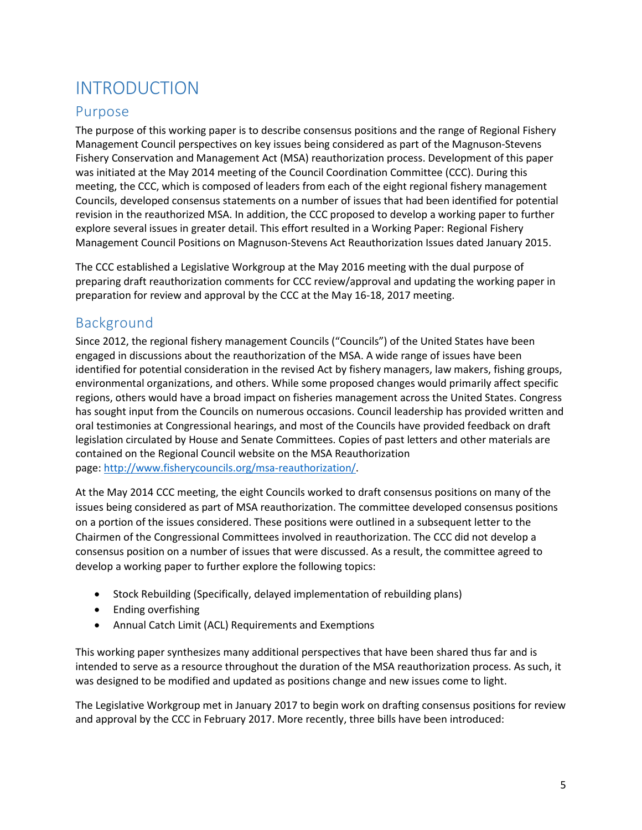## <span id="page-5-0"></span>INTRODUCTION

## <span id="page-5-1"></span>Purpose

The purpose of this working paper is to describe consensus positions and the range of Regional Fishery Management Council perspectives on key issues being considered as part of the Magnuson-Stevens Fishery Conservation and Management Act (MSA) reauthorization process. Development of this paper was initiated at the May 2014 meeting of the Council Coordination Committee (CCC). During this meeting, the CCC, which is composed of leaders from each of the eight regional fishery management Councils, developed consensus statements on a number of issues that had been identified for potential revision in the reauthorized MSA. In addition, the CCC proposed to develop a working paper to further explore several issues in greater detail. This effort resulted in a Working Paper: Regional Fishery Management Council Positions on Magnuson-Stevens Act Reauthorization Issues dated January 2015.

The CCC established a Legislative Workgroup at the May 2016 meeting with the dual purpose of preparing draft reauthorization comments for CCC review/approval and updating the working paper in preparation for review and approval by the CCC at the May 16-18, 2017 meeting.

## <span id="page-5-2"></span>Background

Since 2012, the regional fishery management Councils ("Councils") of the United States have been engaged in discussions about the reauthorization of the MSA. A wide range of issues have been identified for potential consideration in the revised Act by fishery managers, law makers, fishing groups, environmental organizations, and others. While some proposed changes would primarily affect specific regions, others would have a broad impact on fisheries management across the United States. Congress has sought input from the Councils on numerous occasions. Council leadership has provided written and oral testimonies at Congressional hearings, and most of the Councils have provided feedback on draft legislation circulated by House and Senate Committees. Copies of past letters and other materials are contained on the Regional Council website on the MSA Reauthorization page: [http://www.fisherycouncils.org/msa-reauthorization/.](http://www.fisherycouncils.org/msa-reauthorization/)

At the May 2014 CCC meeting, the eight Councils worked to draft consensus positions on many of the issues being considered as part of MSA reauthorization. The committee developed consensus positions on a portion of the issues considered. These positions were outlined in a subsequent letter to the Chairmen of the Congressional Committees involved in reauthorization. The CCC did not develop a consensus position on a number of issues that were discussed. As a result, the committee agreed to develop a working paper to further explore the following topics:

- Stock Rebuilding (Specifically, delayed implementation of rebuilding plans)
- Ending overfishing
- Annual Catch Limit (ACL) Requirements and Exemptions

This working paper synthesizes many additional perspectives that have been shared thus far and is intended to serve as a resource throughout the duration of the MSA reauthorization process. As such, it was designed to be modified and updated as positions change and new issues come to light.

The Legislative Workgroup met in January 2017 to begin work on drafting consensus positions for review and approval by the CCC in February 2017. More recently, three bills have been introduced: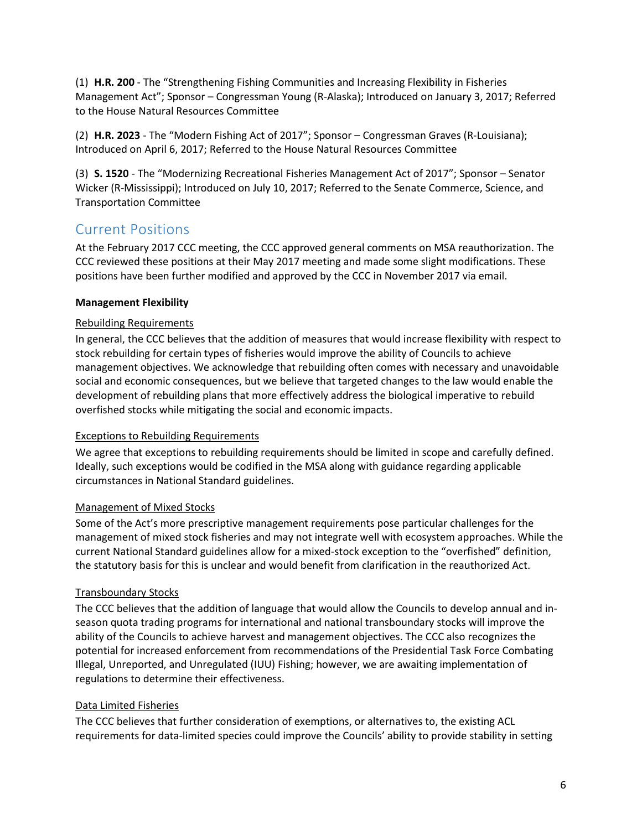(1) **H.R. 200** - The "Strengthening Fishing Communities and Increasing Flexibility in Fisheries Management Act"; Sponsor – Congressman Young (R-Alaska); Introduced on January 3, 2017; Referred to the House Natural Resources Committee

(2) **H.R. 2023** - The "Modern Fishing Act of 2017"; Sponsor – Congressman Graves (R-Louisiana); Introduced on April 6, 2017; Referred to the House Natural Resources Committee

(3) **S. 1520** - The "Modernizing Recreational Fisheries Management Act of 2017"; Sponsor – Senator Wicker (R-Mississippi); Introduced on July 10, 2017; Referred to the Senate Commerce, Science, and Transportation Committee

## <span id="page-6-0"></span>Current Positions

At the February 2017 CCC meeting, the CCC approved general comments on MSA reauthorization. The CCC reviewed these positions at their May 2017 meeting and made some slight modifications. These positions have been further modified and approved by the CCC in November 2017 via email.

#### **Management Flexibility**

#### Rebuilding Requirements

In general, the CCC believes that the addition of measures that would increase flexibility with respect to stock rebuilding for certain types of fisheries would improve the ability of Councils to achieve management objectives. We acknowledge that rebuilding often comes with necessary and unavoidable social and economic consequences, but we believe that targeted changes to the law would enable the development of rebuilding plans that more effectively address the biological imperative to rebuild overfished stocks while mitigating the social and economic impacts.

#### Exceptions to Rebuilding Requirements

We agree that exceptions to rebuilding requirements should be limited in scope and carefully defined. Ideally, such exceptions would be codified in the MSA along with guidance regarding applicable circumstances in National Standard guidelines.

#### Management of Mixed Stocks

Some of the Act's more prescriptive management requirements pose particular challenges for the management of mixed stock fisheries and may not integrate well with ecosystem approaches. While the current National Standard guidelines allow for a mixed-stock exception to the "overfished" definition, the statutory basis for this is unclear and would benefit from clarification in the reauthorized Act.

#### Transboundary Stocks

The CCC believes that the addition of language that would allow the Councils to develop annual and inseason quota trading programs for international and national transboundary stocks will improve the ability of the Councils to achieve harvest and management objectives. The CCC also recognizes the potential for increased enforcement from recommendations of the Presidential Task Force Combating Illegal, Unreported, and Unregulated (IUU) Fishing; however, we are awaiting implementation of regulations to determine their effectiveness.

#### Data Limited Fisheries

The CCC believes that further consideration of exemptions, or alternatives to, the existing ACL requirements for data-limited species could improve the Councils' ability to provide stability in setting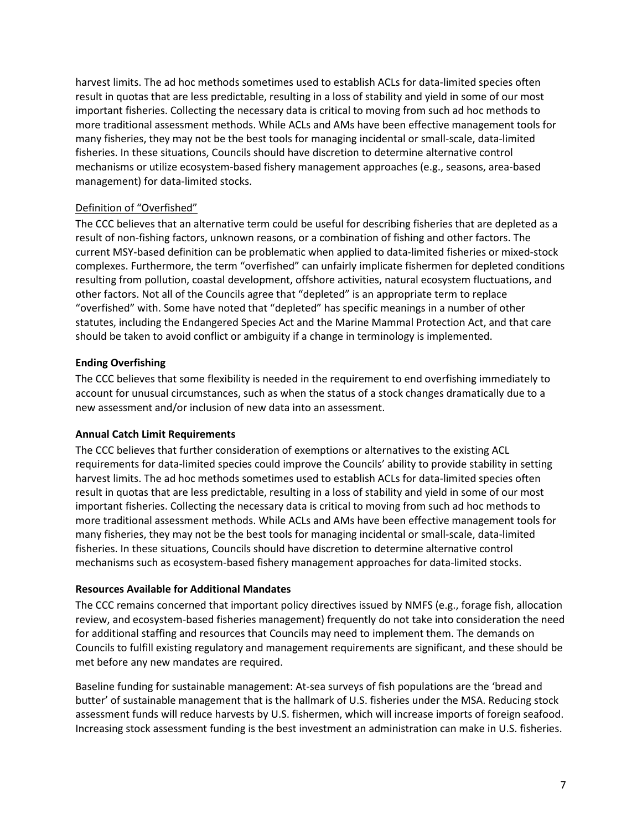harvest limits. The ad hoc methods sometimes used to establish ACLs for data-limited species often result in quotas that are less predictable, resulting in a loss of stability and yield in some of our most important fisheries. Collecting the necessary data is critical to moving from such ad hoc methods to more traditional assessment methods. While ACLs and AMs have been effective management tools for many fisheries, they may not be the best tools for managing incidental or small-scale, data-limited fisheries. In these situations, Councils should have discretion to determine alternative control mechanisms or utilize ecosystem-based fishery management approaches (e.g., seasons, area-based management) for data-limited stocks.

#### Definition of "Overfished"

The CCC believes that an alternative term could be useful for describing fisheries that are depleted as a result of non-fishing factors, unknown reasons, or a combination of fishing and other factors. The current MSY-based definition can be problematic when applied to data-limited fisheries or mixed-stock complexes. Furthermore, the term "overfished" can unfairly implicate fishermen for depleted conditions resulting from pollution, coastal development, offshore activities, natural ecosystem fluctuations, and other factors. Not all of the Councils agree that "depleted" is an appropriate term to replace "overfished" with. Some have noted that "depleted" has specific meanings in a number of other statutes, including the Endangered Species Act and the Marine Mammal Protection Act, and that care should be taken to avoid conflict or ambiguity if a change in terminology is implemented.

#### **Ending Overfishing**

The CCC believes that some flexibility is needed in the requirement to end overfishing immediately to account for unusual circumstances, such as when the status of a stock changes dramatically due to a new assessment and/or inclusion of new data into an assessment.

#### **Annual Catch Limit Requirements**

The CCC believes that further consideration of exemptions or alternatives to the existing ACL requirements for data-limited species could improve the Councils' ability to provide stability in setting harvest limits. The ad hoc methods sometimes used to establish ACLs for data-limited species often result in quotas that are less predictable, resulting in a loss of stability and yield in some of our most important fisheries. Collecting the necessary data is critical to moving from such ad hoc methods to more traditional assessment methods. While ACLs and AMs have been effective management tools for many fisheries, they may not be the best tools for managing incidental or small-scale, data-limited fisheries. In these situations, Councils should have discretion to determine alternative control mechanisms such as ecosystem-based fishery management approaches for data-limited stocks.

#### **Resources Available for Additional Mandates**

The CCC remains concerned that important policy directives issued by NMFS (e.g., forage fish, allocation review, and ecosystem-based fisheries management) frequently do not take into consideration the need for additional staffing and resources that Councils may need to implement them. The demands on Councils to fulfill existing regulatory and management requirements are significant, and these should be met before any new mandates are required.

Baseline funding for sustainable management: At-sea surveys of fish populations are the 'bread and butter' of sustainable management that is the hallmark of U.S. fisheries under the MSA. Reducing stock assessment funds will reduce harvests by U.S. fishermen, which will increase imports of foreign seafood. Increasing stock assessment funding is the best investment an administration can make in U.S. fisheries.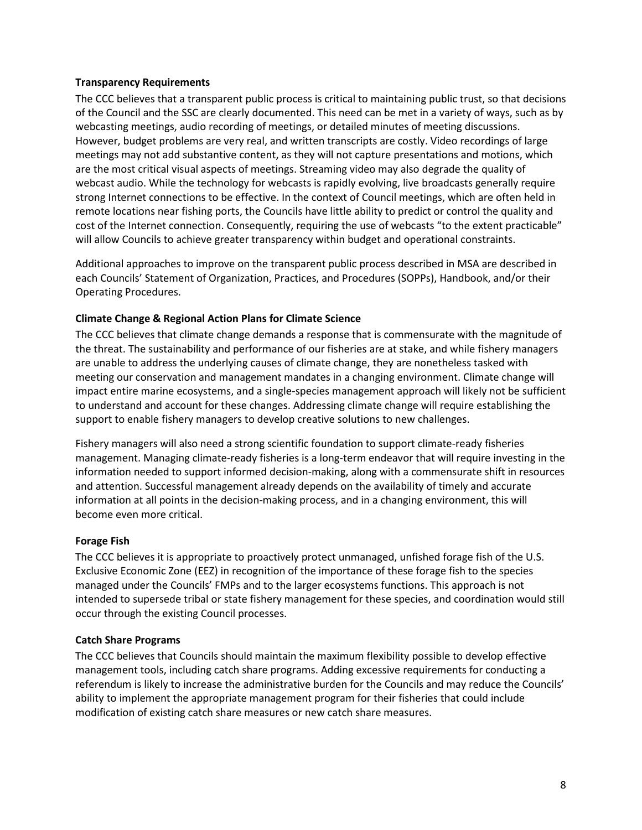#### **Transparency Requirements**

The CCC believes that a transparent public process is critical to maintaining public trust, so that decisions of the Council and the SSC are clearly documented. This need can be met in a variety of ways, such as by webcasting meetings, audio recording of meetings, or detailed minutes of meeting discussions. However, budget problems are very real, and written transcripts are costly. Video recordings of large meetings may not add substantive content, as they will not capture presentations and motions, which are the most critical visual aspects of meetings. Streaming video may also degrade the quality of webcast audio. While the technology for webcasts is rapidly evolving, live broadcasts generally require strong Internet connections to be effective. In the context of Council meetings, which are often held in remote locations near fishing ports, the Councils have little ability to predict or control the quality and cost of the Internet connection. Consequently, requiring the use of webcasts "to the extent practicable" will allow Councils to achieve greater transparency within budget and operational constraints.

Additional approaches to improve on the transparent public process described in MSA are described in each Councils' Statement of Organization, Practices, and Procedures (SOPPs), Handbook, and/or their Operating Procedures.

#### **Climate Change & Regional Action Plans for Climate Science**

The CCC believes that climate change demands a response that is commensurate with the magnitude of the threat. The sustainability and performance of our fisheries are at stake, and while fishery managers are unable to address the underlying causes of climate change, they are nonetheless tasked with meeting our conservation and management mandates in a changing environment. Climate change will impact entire marine ecosystems, and a single-species management approach will likely not be sufficient to understand and account for these changes. Addressing climate change will require establishing the support to enable fishery managers to develop creative solutions to new challenges.

Fishery managers will also need a strong scientific foundation to support climate-ready fisheries management. Managing climate-ready fisheries is a long-term endeavor that will require investing in the information needed to support informed decision-making, along with a commensurate shift in resources and attention. Successful management already depends on the availability of timely and accurate information at all points in the decision-making process, and in a changing environment, this will become even more critical.

#### **Forage Fish**

The CCC believes it is appropriate to proactively protect unmanaged, unfished forage fish of the U.S. Exclusive Economic Zone (EEZ) in recognition of the importance of these forage fish to the species managed under the Councils' FMPs and to the larger ecosystems functions. This approach is not intended to supersede tribal or state fishery management for these species, and coordination would still occur through the existing Council processes.

#### **Catch Share Programs**

The CCC believes that Councils should maintain the maximum flexibility possible to develop effective management tools, including catch share programs. Adding excessive requirements for conducting a referendum is likely to increase the administrative burden for the Councils and may reduce the Councils' ability to implement the appropriate management program for their fisheries that could include modification of existing catch share measures or new catch share measures.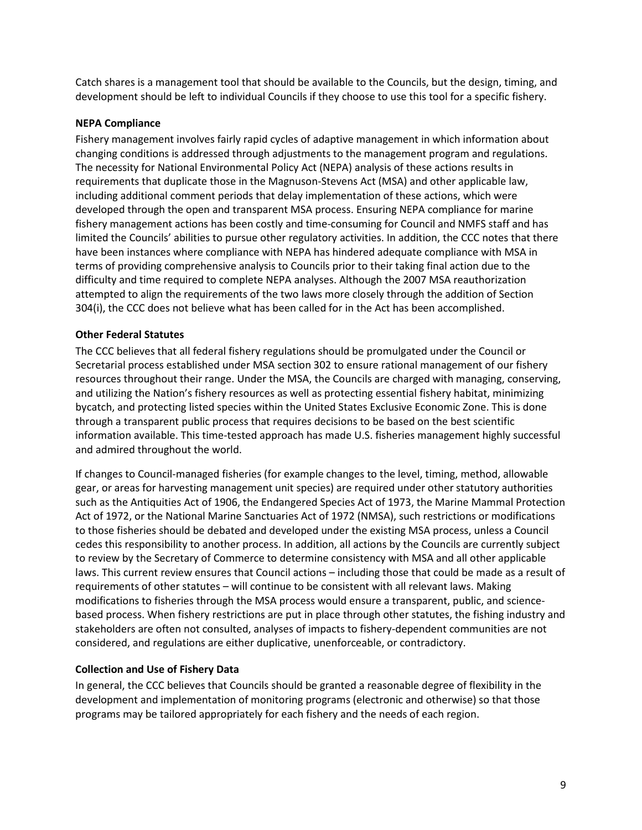Catch shares is a management tool that should be available to the Councils, but the design, timing, and development should be left to individual Councils if they choose to use this tool for a specific fishery.

#### **NEPA Compliance**

Fishery management involves fairly rapid cycles of adaptive management in which information about changing conditions is addressed through adjustments to the management program and regulations. The necessity for National Environmental Policy Act (NEPA) analysis of these actions results in requirements that duplicate those in the Magnuson-Stevens Act (MSA) and other applicable law, including additional comment periods that delay implementation of these actions, which were developed through the open and transparent MSA process. Ensuring NEPA compliance for marine fishery management actions has been costly and time-consuming for Council and NMFS staff and has limited the Councils' abilities to pursue other regulatory activities. In addition, the CCC notes that there have been instances where compliance with NEPA has hindered adequate compliance with MSA in terms of providing comprehensive analysis to Councils prior to their taking final action due to the difficulty and time required to complete NEPA analyses. Although the 2007 MSA reauthorization attempted to align the requirements of the two laws more closely through the addition of Section 304(i), the CCC does not believe what has been called for in the Act has been accomplished.

#### **Other Federal Statutes**

The CCC believes that all federal fishery regulations should be promulgated under the Council or Secretarial process established under MSA section 302 to ensure rational management of our fishery resources throughout their range. Under the MSA, the Councils are charged with managing, conserving, and utilizing the Nation's fishery resources as well as protecting essential fishery habitat, minimizing bycatch, and protecting listed species within the United States Exclusive Economic Zone. This is done through a transparent public process that requires decisions to be based on the best scientific information available. This time-tested approach has made U.S. fisheries management highly successful and admired throughout the world.

If changes to Council-managed fisheries (for example changes to the level, timing, method, allowable gear, or areas for harvesting management unit species) are required under other statutory authorities such as the Antiquities Act of 1906, the Endangered Species Act of 1973, the Marine Mammal Protection Act of 1972, or the National Marine Sanctuaries Act of 1972 (NMSA), such restrictions or modifications to those fisheries should be debated and developed under the existing MSA process, unless a Council cedes this responsibility to another process. In addition, all actions by the Councils are currently subject to review by the Secretary of Commerce to determine consistency with MSA and all other applicable laws. This current review ensures that Council actions – including those that could be made as a result of requirements of other statutes – will continue to be consistent with all relevant laws. Making modifications to fisheries through the MSA process would ensure a transparent, public, and sciencebased process. When fishery restrictions are put in place through other statutes, the fishing industry and stakeholders are often not consulted, analyses of impacts to fishery-dependent communities are not considered, and regulations are either duplicative, unenforceable, or contradictory.

#### **Collection and Use of Fishery Data**

In general, the CCC believes that Councils should be granted a reasonable degree of flexibility in the development and implementation of monitoring programs (electronic and otherwise) so that those programs may be tailored appropriately for each fishery and the needs of each region.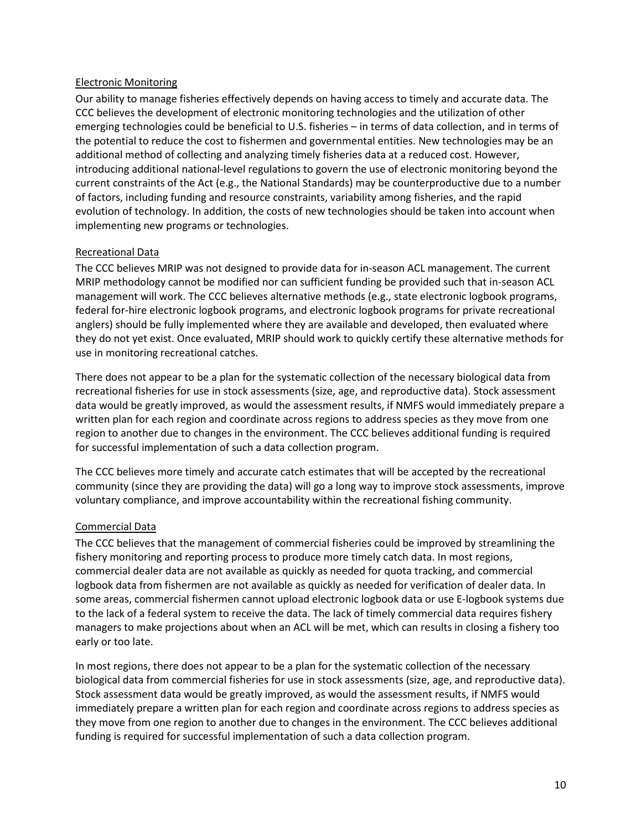#### Electronic Monitoring

Our ability to manage fisheries effectively depends on having access to timely and accurate data. The CCC believes the development of electronic monitoring technologies and the utilization of other emerging technologies could be beneficial to U.S. fisheries – in terms of data collection, and in terms of the potential to reduce the cost to fishermen and governmental entities. New technologies may be an additional method of collecting and analyzing timely fisheries data at a reduced cost. However, introducing additional national-level regulations to govern the use of electronic monitoring beyond the current constraints of the Act (e.g., the National Standards) may be counterproductive due to a number of factors, including funding and resource constraints, variability among fisheries, and the rapid evolution of technology. In addition, the costs of new technologies should be taken into account when implementing new programs or technologies.

#### Recreational Data

The CCC believes MRIP was not designed to provide data for in-season ACL management. The current MRIP methodology cannot be modified nor can sufficient funding be provided such that in-season ACL management will work. The CCC believes alternative methods (e.g., state electronic logbook programs, federal for-hire electronic logbook programs, and electronic logbook programs for private recreational anglers) should be fully implemented where they are available and developed, then evaluated where they do not yet exist. Once evaluated, MRIP should work to quickly certify these alternative methods for use in monitoring recreational catches.

There does not appear to be a plan for the systematic collection of the necessary biological data from recreational fisheries for use in stock assessments (size, age, and reproductive data). Stock assessment data would be greatly improved, as would the assessment results, if NMFS would immediately prepare a written plan for each region and coordinate across regions to address species as they move from one region to another due to changes in the environment. The CCC believes additional funding is required for successful implementation of such a data collection program.

The CCC believes more timely and accurate catch estimates that will be accepted by the recreational community (since they are providing the data) will go a long way to improve stock assessments, improve voluntary compliance, and improve accountability within the recreational fishing community.

#### Commercial Data

The CCC believes that the management of commercial fisheries could be improved by streamlining the fishery monitoring and reporting process to produce more timely catch data. In most regions, commercial dealer data are not available as quickly as needed for quota tracking, and commercial logbook data from fishermen are not available as quickly as needed for verification of dealer data. In some areas, commercial fishermen cannot upload electronic logbook data or use E-logbook systems due to the lack of a federal system to receive the data. The lack of timely commercial data requires fishery managers to make projections about when an ACL will be met, which can results in closing a fishery too early or too late.

In most regions, there does not appear to be a plan for the systematic collection of the necessary biological data from commercial fisheries for use in stock assessments (size, age, and reproductive data). Stock assessment data would be greatly improved, as would the assessment results, if NMFS would immediately prepare a written plan for each region and coordinate across regions to address species as they move from one region to another due to changes in the environment. The CCC believes additional funding is required for successful implementation of such a data collection program.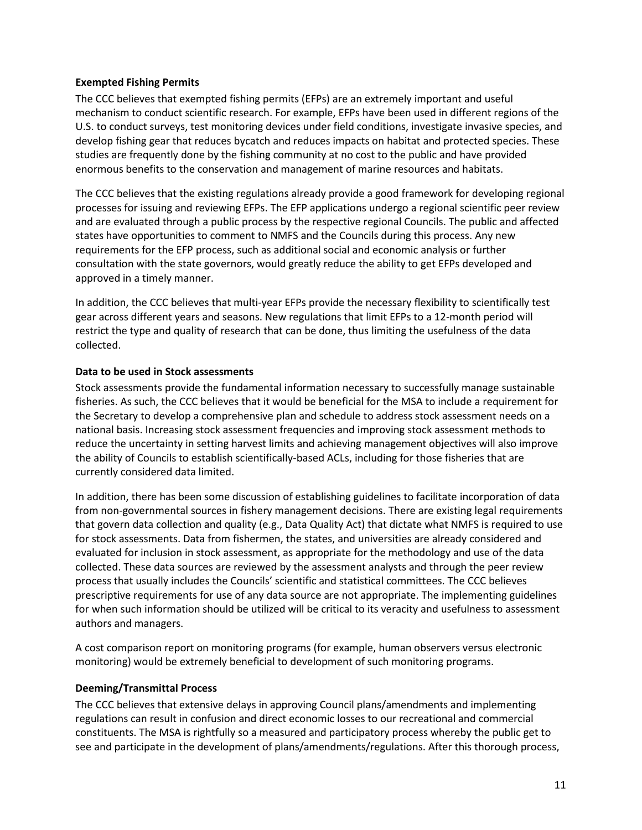#### **Exempted Fishing Permits**

The CCC believes that exempted fishing permits (EFPs) are an extremely important and useful mechanism to conduct scientific research. For example, EFPs have been used in different regions of the U.S. to conduct surveys, test monitoring devices under field conditions, investigate invasive species, and develop fishing gear that reduces bycatch and reduces impacts on habitat and protected species. These studies are frequently done by the fishing community at no cost to the public and have provided enormous benefits to the conservation and management of marine resources and habitats.

The CCC believes that the existing regulations already provide a good framework for developing regional processes for issuing and reviewing EFPs. The EFP applications undergo a regional scientific peer review and are evaluated through a public process by the respective regional Councils. The public and affected states have opportunities to comment to NMFS and the Councils during this process. Any new requirements for the EFP process, such as additional social and economic analysis or further consultation with the state governors, would greatly reduce the ability to get EFPs developed and approved in a timely manner.

In addition, the CCC believes that multi-year EFPs provide the necessary flexibility to scientifically test gear across different years and seasons. New regulations that limit EFPs to a 12-month period will restrict the type and quality of research that can be done, thus limiting the usefulness of the data collected.

#### **Data to be used in Stock assessments**

Stock assessments provide the fundamental information necessary to successfully manage sustainable fisheries. As such, the CCC believes that it would be beneficial for the MSA to include a requirement for the Secretary to develop a comprehensive plan and schedule to address stock assessment needs on a national basis. Increasing stock assessment frequencies and improving stock assessment methods to reduce the uncertainty in setting harvest limits and achieving management objectives will also improve the ability of Councils to establish scientifically-based ACLs, including for those fisheries that are currently considered data limited.

In addition, there has been some discussion of establishing guidelines to facilitate incorporation of data from non-governmental sources in fishery management decisions. There are existing legal requirements that govern data collection and quality (e.g., Data Quality Act) that dictate what NMFS is required to use for stock assessments. Data from fishermen, the states, and universities are already considered and evaluated for inclusion in stock assessment, as appropriate for the methodology and use of the data collected. These data sources are reviewed by the assessment analysts and through the peer review process that usually includes the Councils' scientific and statistical committees. The CCC believes prescriptive requirements for use of any data source are not appropriate. The implementing guidelines for when such information should be utilized will be critical to its veracity and usefulness to assessment authors and managers.

A cost comparison report on monitoring programs (for example, human observers versus electronic monitoring) would be extremely beneficial to development of such monitoring programs.

#### **Deeming/Transmittal Process**

The CCC believes that extensive delays in approving Council plans/amendments and implementing regulations can result in confusion and direct economic losses to our recreational and commercial constituents. The MSA is rightfully so a measured and participatory process whereby the public get to see and participate in the development of plans/amendments/regulations. After this thorough process,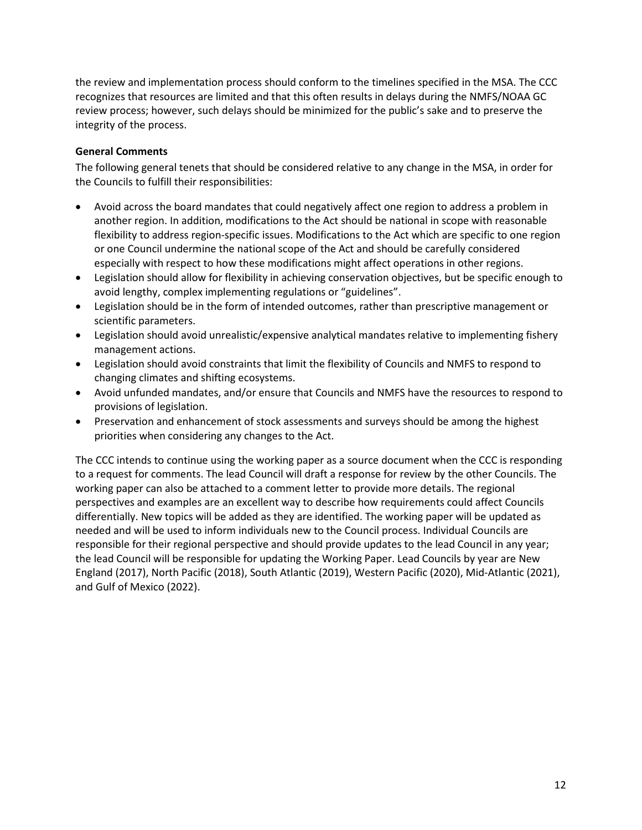the review and implementation process should conform to the timelines specified in the MSA. The CCC recognizes that resources are limited and that this often results in delays during the NMFS/NOAA GC review process; however, such delays should be minimized for the public's sake and to preserve the integrity of the process.

#### **General Comments**

The following general tenets that should be considered relative to any change in the MSA, in order for the Councils to fulfill their responsibilities:

- Avoid across the board mandates that could negatively affect one region to address a problem in another region. In addition, modifications to the Act should be national in scope with reasonable flexibility to address region-specific issues. Modifications to the Act which are specific to one region or one Council undermine the national scope of the Act and should be carefully considered especially with respect to how these modifications might affect operations in other regions.
- Legislation should allow for flexibility in achieving conservation objectives, but be specific enough to avoid lengthy, complex implementing regulations or "guidelines".
- Legislation should be in the form of intended outcomes, rather than prescriptive management or scientific parameters.
- Legislation should avoid unrealistic/expensive analytical mandates relative to implementing fishery management actions.
- Legislation should avoid constraints that limit the flexibility of Councils and NMFS to respond to changing climates and shifting ecosystems.
- Avoid unfunded mandates, and/or ensure that Councils and NMFS have the resources to respond to provisions of legislation.
- Preservation and enhancement of stock assessments and surveys should be among the highest priorities when considering any changes to the Act.

The CCC intends to continue using the working paper as a source document when the CCC is responding to a request for comments. The lead Council will draft a response for review by the other Councils. The working paper can also be attached to a comment letter to provide more details. The regional perspectives and examples are an excellent way to describe how requirements could affect Councils differentially. New topics will be added as they are identified. The working paper will be updated as needed and will be used to inform individuals new to the Council process. Individual Councils are responsible for their regional perspective and should provide updates to the lead Council in any year; the lead Council will be responsible for updating the Working Paper. Lead Councils by year are New England (2017), North Pacific (2018), South Atlantic (2019), Western Pacific (2020), Mid-Atlantic (2021), and Gulf of Mexico (2022).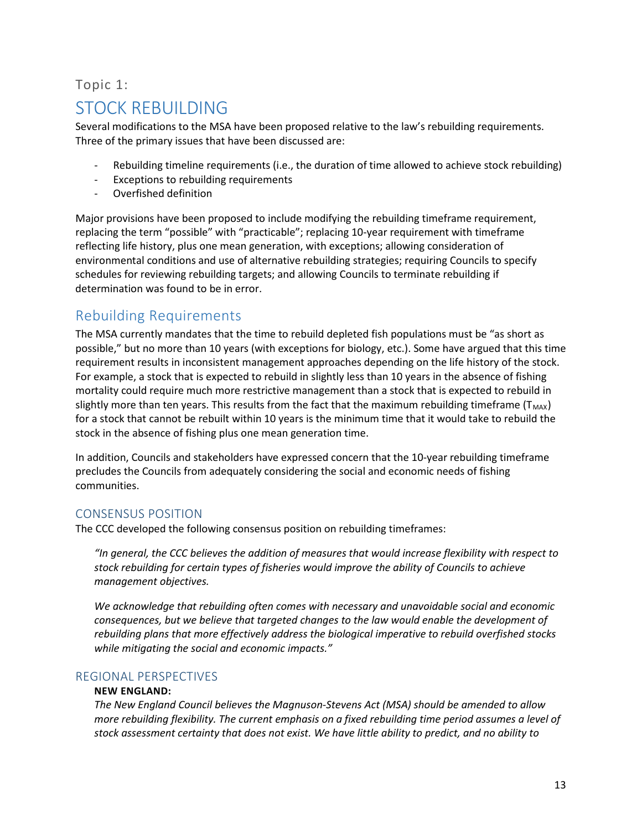## <span id="page-13-0"></span>Topic 1: STOCK REBUILDING

Several modifications to the MSA have been proposed relative to the law's rebuilding requirements. Three of the primary issues that have been discussed are:

- Rebuilding timeline requirements (i.e., the duration of time allowed to achieve stock rebuilding)
- Exceptions to rebuilding requirements
- Overfished definition

Major provisions have been proposed to include modifying the rebuilding timeframe requirement, replacing the term "possible" with "practicable"; replacing 10-year requirement with timeframe reflecting life history, plus one mean generation, with exceptions; allowing consideration of environmental conditions and use of alternative rebuilding strategies; requiring Councils to specify schedules for reviewing rebuilding targets; and allowing Councils to terminate rebuilding if determination was found to be in error.

## <span id="page-13-1"></span>Rebuilding Requirements

The MSA currently mandates that the time to rebuild depleted fish populations must be "as short as possible," but no more than 10 years (with exceptions for biology, etc.). Some have argued that this time requirement results in inconsistent management approaches depending on the life history of the stock. For example, a stock that is expected to rebuild in slightly less than 10 years in the absence of fishing mortality could require much more restrictive management than a stock that is expected to rebuild in slightly more than ten years. This results from the fact that the maximum rebuilding timeframe ( $T_{MAX}$ ) for a stock that cannot be rebuilt within 10 years is the minimum time that it would take to rebuild the stock in the absence of fishing plus one mean generation time.

In addition, Councils and stakeholders have expressed concern that the 10-year rebuilding timeframe precludes the Councils from adequately considering the social and economic needs of fishing communities.

#### <span id="page-13-2"></span>CONSENSUS POSITION

The CCC developed the following consensus position on rebuilding timeframes:

*"In general, the CCC believes the addition of measures that would increase flexibility with respect to stock rebuilding for certain types of fisheries would improve the ability of Councils to achieve management objectives.*

*We acknowledge that rebuilding often comes with necessary and unavoidable social and economic consequences, but we believe that targeted changes to the law would enable the development of rebuilding plans that more effectively address the biological imperative to rebuild overfished stocks while mitigating the social and economic impacts."* 

#### <span id="page-13-3"></span>REGIONAL PERSPECTIVES

#### **NEW ENGLAND:**

*The New England Council believes the Magnuson-Stevens Act (MSA) should be amended to allow more rebuilding flexibility. The current emphasis on a fixed rebuilding time period assumes a level of stock assessment certainty that does not exist. We have little ability to predict, and no ability to*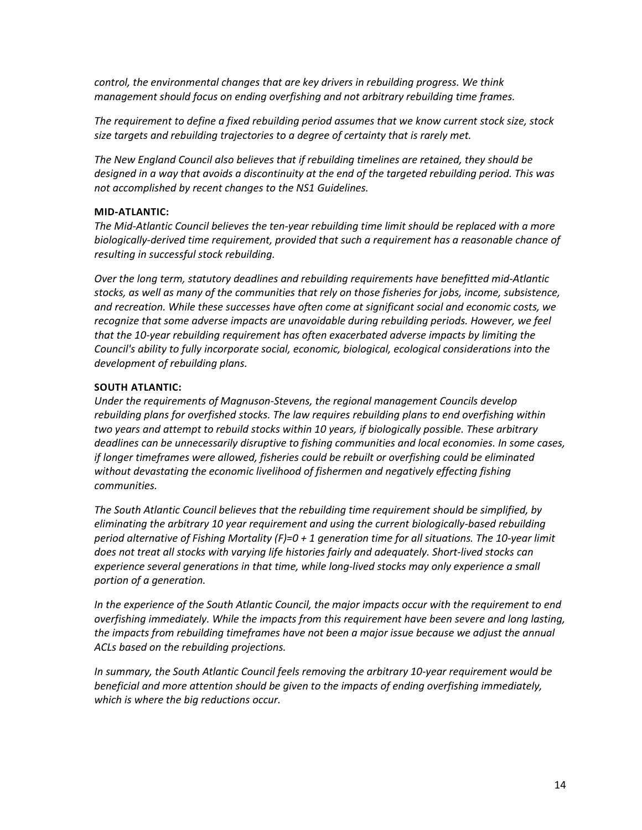*control, the environmental changes that are key drivers in rebuilding progress. We think management should focus on ending overfishing and not arbitrary rebuilding time frames.*

*The requirement to define a fixed rebuilding period assumes that we know current stock size, stock size targets and rebuilding trajectories to a degree of certainty that is rarely met.*

*The New England Council also believes that if rebuilding timelines are retained, they should be designed in a way that avoids a discontinuity at the end of the targeted rebuilding period. This was not accomplished by recent changes to the NS1 Guidelines.*

#### **MID-ATLANTIC:**

*The Mid-Atlantic Council believes the ten-year rebuilding time limit should be replaced with a more biologically-derived time requirement, provided that such a requirement has a reasonable chance of resulting in successful stock rebuilding.* 

*Over the long term, statutory deadlines and rebuilding requirements have benefitted mid-Atlantic stocks, as well as many of the communities that rely on those fisheries for jobs, income, subsistence, and recreation. While these successes have often come at significant social and economic costs, we recognize that some adverse impacts are unavoidable during rebuilding periods. However, we feel that the 10-year rebuilding requirement has often exacerbated adverse impacts by limiting the Council's ability to fully incorporate social, economic, biological, ecological considerations into the development of rebuilding plans.*

#### **SOUTH ATLANTIC:**

*Under the requirements of Magnuson-Stevens, the regional management Councils develop rebuilding plans for overfished stocks. The law requires rebuilding plans to end overfishing within two years and attempt to rebuild stocks within 10 years, if biologically possible. These arbitrary deadlines can be unnecessarily disruptive to fishing communities and local economies. In some cases, if longer timeframes were allowed, fisheries could be rebuilt or overfishing could be eliminated without devastating the economic livelihood of fishermen and negatively effecting fishing communities.* 

*The South Atlantic Council believes that the rebuilding time requirement should be simplified, by eliminating the arbitrary 10 year requirement and using the current biologically-based rebuilding period alternative of Fishing Mortality (F)=0 + 1 generation time for all situations. The 10-year limit does not treat all stocks with varying life histories fairly and adequately. Short-lived stocks can*  experience several generations in that time, while long-lived stocks may only experience a small *portion of a generation.*

In the experience of the South Atlantic Council, the major impacts occur with the requirement to end *overfishing immediately. While the impacts from this requirement have been severe and long lasting, the impacts from rebuilding timeframes have not been a major issue because we adjust the annual ACLs based on the rebuilding projections.*

*In summary, the South Atlantic Council feels removing the arbitrary 10-year requirement would be beneficial and more attention should be given to the impacts of ending overfishing immediately, which is where the big reductions occur.*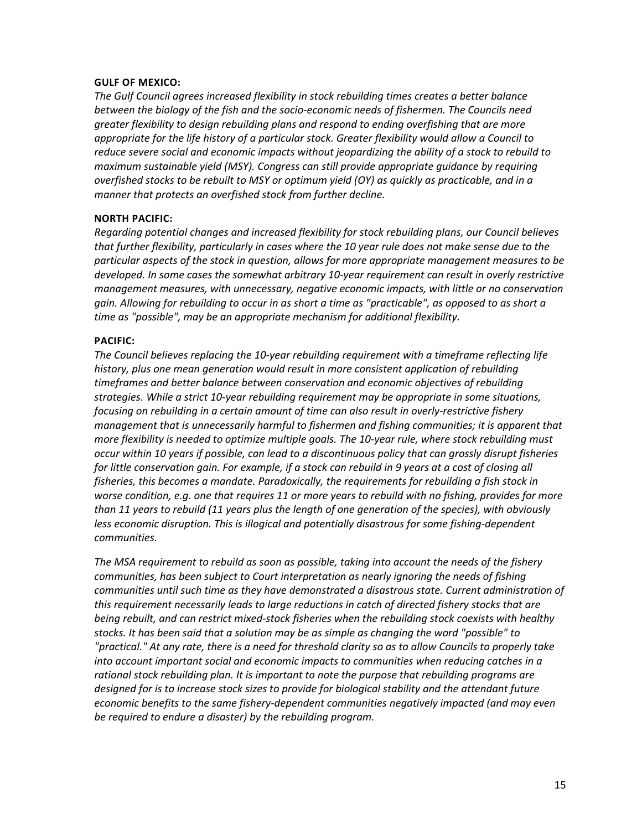#### **GULF OF MEXICO:**

*The Gulf Council agrees increased flexibility in stock rebuilding times creates a better balance between the biology of the fish and the socio-economic needs of fishermen. The Councils need greater flexibility to design rebuilding plans and respond to ending overfishing that are more appropriate for the life history of a particular stock. Greater flexibility would allow a Council to reduce severe social and economic impacts without jeopardizing the ability of a stock to rebuild to maximum sustainable yield (MSY). Congress can still provide appropriate guidance by requiring overfished stocks to be rebuilt to MSY or optimum yield (OY) as quickly as practicable, and in a manner that protects an overfished stock from further decline.*

#### **NORTH PACIFIC:**

*Regarding potential changes and increased flexibility for stock rebuilding plans, our Council believes that further flexibility, particularly in cases where the 10 year rule does not make sense due to the particular aspects of the stock in question, allows for more appropriate management measures to be developed. In some cases the somewhat arbitrary 10-year requirement can result in overly restrictive management measures, with unnecessary, negative economic impacts, with little or no conservation gain. Allowing for rebuilding to occur in as short a time as "practicable", as opposed to as short a time as "possible", may be an appropriate mechanism for additional flexibility.*

#### **PACIFIC:**

*The Council believes replacing the 10-year rebuilding requirement with a timeframe reflecting life history, plus one mean generation would result in more consistent application of rebuilding timeframes and better balance between conservation and economic objectives of rebuilding strategies. While a strict 10-year rebuilding requirement may be appropriate in some situations, focusing on rebuilding in a certain amount of time can also result in overly-restrictive fishery management that is unnecessarily harmful to fishermen and fishing communities; it is apparent that more flexibility is needed to optimize multiple goals. The 10-year rule, where stock rebuilding must occur within 10 years if possible, can lead to a discontinuous policy that can grossly disrupt fisheries for little conservation gain. For example, if a stock can rebuild in 9 years at a cost of closing all fisheries, this becomes a mandate. Paradoxically, the requirements for rebuilding a fish stock in worse condition, e.g. one that requires 11 or more years to rebuild with no fishing, provides for more than 11 years to rebuild (11 years plus the length of one generation of the species), with obviously less economic disruption. This is illogical and potentially disastrous for some fishing-dependent communities.*

*The MSA requirement to rebuild as soon as possible, taking into account the needs of the fishery communities, has been subject to Court interpretation as nearly ignoring the needs of fishing communities until such time as they have demonstrated a disastrous state. Current administration of this requirement necessarily leads to large reductions in catch of directed fishery stocks that are being rebuilt, and can restrict mixed-stock fisheries when the rebuilding stock coexists with healthy stocks. It has been said that a solution may be as simple as changing the word "possible" to "practical." At any rate, there is a need for threshold clarity so as to allow Councils to properly take into account important social and economic impacts to communities when reducing catches in a rational stock rebuilding plan. It is important to note the purpose that rebuilding programs are designed for is to increase stock sizes to provide for biological stability and the attendant future economic benefits to the same fishery-dependent communities negatively impacted (and may even be required to endure a disaster) by the rebuilding program.*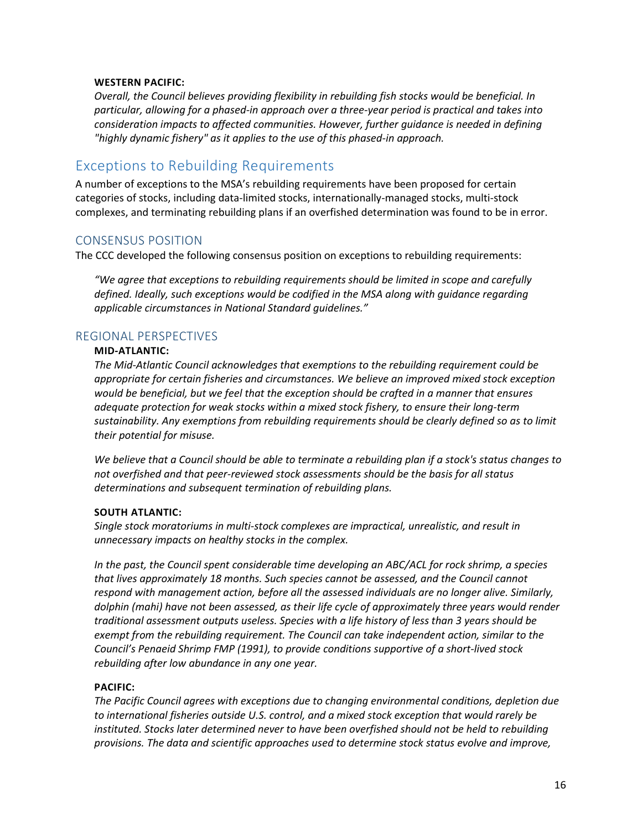#### **WESTERN PACIFIC:**

*Overall, the Council believes providing flexibility in rebuilding fish stocks would be beneficial. In particular, allowing for a phased-in approach over a three-year period is practical and takes into consideration impacts to affected communities. However, further guidance is needed in defining "highly dynamic fishery" as it applies to the use of this phased-in approach.*

## <span id="page-16-0"></span>Exceptions to Rebuilding Requirements

A number of exceptions to the MSA's rebuilding requirements have been proposed for certain categories of stocks, including data-limited stocks, internationally-managed stocks, multi-stock complexes, and terminating rebuilding plans if an overfished determination was found to be in error.

#### <span id="page-16-1"></span>CONSENSUS POSITION

The CCC developed the following consensus position on exceptions to rebuilding requirements:

*"We agree that exceptions to rebuilding requirements should be limited in scope and carefully defined. Ideally, such exceptions would be codified in the MSA along with guidance regarding applicable circumstances in National Standard guidelines."*

#### <span id="page-16-2"></span>REGIONAL PERSPECTIVES

#### **MID-ATLANTIC:**

*The Mid-Atlantic Council acknowledges that exemptions to the rebuilding requirement could be appropriate for certain fisheries and circumstances. We believe an improved mixed stock exception would be beneficial, but we feel that the exception should be crafted in a manner that ensures adequate protection for weak stocks within a mixed stock fishery, to ensure their long-term sustainability. Any exemptions from rebuilding requirements should be clearly defined so as to limit their potential for misuse.*

*We believe that a Council should be able to terminate a rebuilding plan if a stock's status changes to not overfished and that peer-reviewed stock assessments should be the basis for all status determinations and subsequent termination of rebuilding plans.*

#### **SOUTH ATLANTIC:**

*Single stock moratoriums in multi-stock complexes are impractical, unrealistic, and result in unnecessary impacts on healthy stocks in the complex.*

*In the past, the Council spent considerable time developing an ABC/ACL for rock shrimp, a species that lives approximately 18 months. Such species cannot be assessed, and the Council cannot respond with management action, before all the assessed individuals are no longer alive. Similarly, dolphin (mahi) have not been assessed, as their life cycle of approximately three years would render traditional assessment outputs useless. Species with a life history of less than 3 years should be exempt from the rebuilding requirement. The Council can take independent action, similar to the Council's Penaeid Shrimp FMP (1991), to provide conditions supportive of a short-lived stock rebuilding after low abundance in any one year.*

#### **PACIFIC:**

*The Pacific Council agrees with exceptions due to changing environmental conditions, depletion due to international fisheries outside U.S. control, and a mixed stock exception that would rarely be instituted. Stocks later determined never to have been overfished should not be held to rebuilding provisions. The data and scientific approaches used to determine stock status evolve and improve,*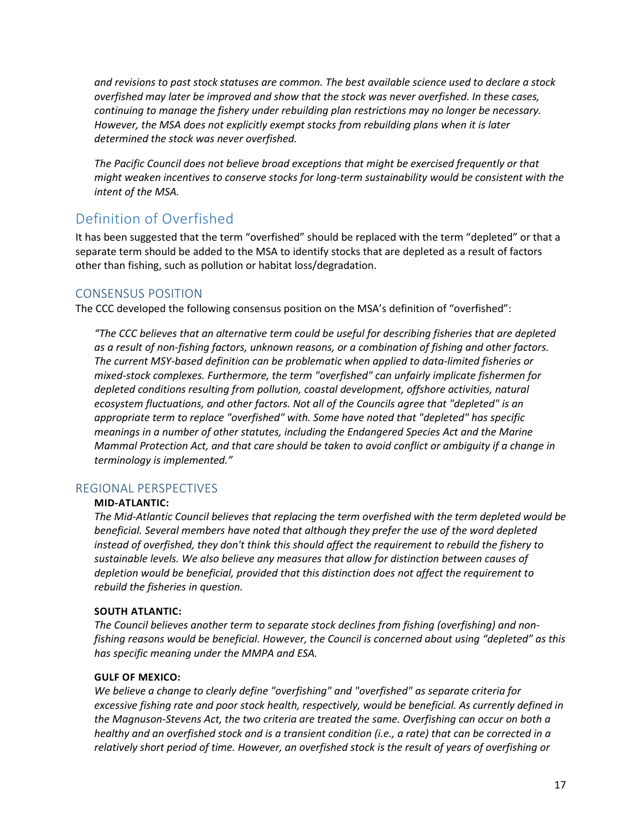*and revisions to past stock statuses are common. The best available science used to declare a stock overfished may later be improved and show that the stock was never overfished. In these cases, continuing to manage the fishery under rebuilding plan restrictions may no longer be necessary. However, the MSA does not explicitly exempt stocks from rebuilding plans when it is later determined the stock was never overfished.*

*The Pacific Council does not believe broad exceptions that might be exercised frequently or that might weaken incentives to conserve stocks for long-term sustainability would be consistent with the intent of the MSA.*

## <span id="page-17-0"></span>Definition of Overfished

It has been suggested that the term "overfished" should be replaced with the term "depleted" or that a separate term should be added to the MSA to identify stocks that are depleted as a result of factors other than fishing, such as pollution or habitat loss/degradation.

### <span id="page-17-1"></span>CONSENSUS POSITION

The CCC developed the following consensus position on the MSA's definition of "overfished":

*"The CCC believes that an alternative term could be useful for describing fisheries that are depleted as a result of non-fishing factors, unknown reasons, or a combination of fishing and other factors. The current MSY-based definition can be problematic when applied to data-limited fisheries or mixed-stock complexes. Furthermore, the term "overfished" can unfairly implicate fishermen for*  depleted conditions resulting from pollution, coastal development, offshore activities, natural *ecosystem fluctuations, and other factors. Not all of the Councils agree that "depleted" is an appropriate term to replace "overfished" with. Some have noted that "depleted" has specific meanings in a number of other statutes, including the Endangered Species Act and the Marine Mammal Protection Act, and that care should be taken to avoid conflict or ambiguity if a change in terminology is implemented."*

#### <span id="page-17-2"></span>REGIONAL PERSPECTIVES

#### **MID-ATLANTIC:**

*The Mid-Atlantic Council believes that replacing the term overfished with the term depleted would be beneficial. Several members have noted that although they prefer the use of the word depleted instead of overfished, they don't think this should affect the requirement to rebuild the fishery to sustainable levels. We also believe any measures that allow for distinction between causes of depletion would be beneficial, provided that this distinction does not affect the requirement to rebuild the fisheries in question.*

#### **SOUTH ATLANTIC:**

*The Council believes another term to separate stock declines from fishing (overfishing) and nonfishing reasons would be beneficial. However, the Council is concerned about using "depleted" as this has specific meaning under the MMPA and ESA.*

#### **GULF OF MEXICO:**

*We believe a change to clearly define "overfishing" and "overfished" as separate criteria for excessive fishing rate and poor stock health, respectively, would be beneficial. As currently defined in the Magnuson-Stevens Act, the two criteria are treated the same. Overfishing can occur on both a healthy and an overfished stock and is a transient condition (i.e., a rate) that can be corrected in a relatively short period of time. However, an overfished stock is the result of years of overfishing or*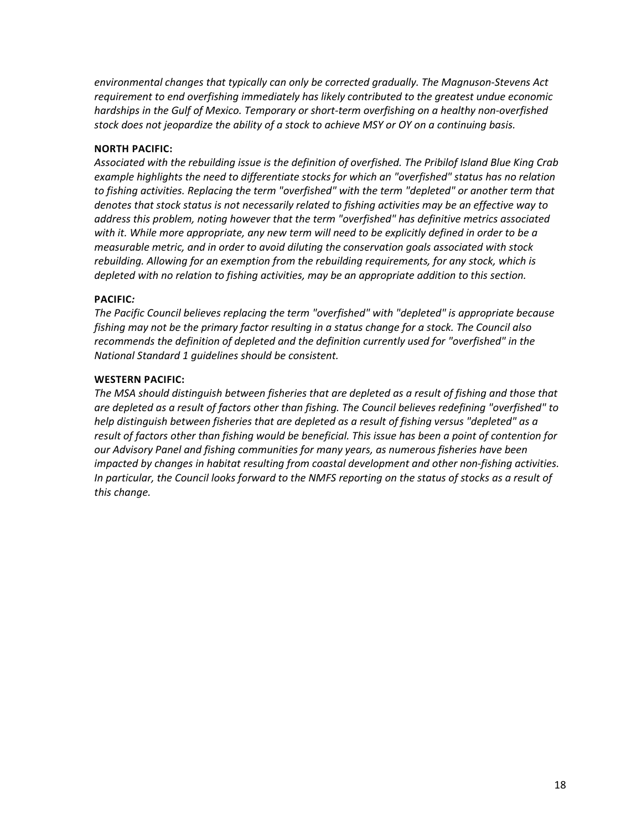*environmental changes that typically can only be corrected gradually. The Magnuson-Stevens Act requirement to end overfishing immediately has likely contributed to the greatest undue economic hardships in the Gulf of Mexico. Temporary or short-term overfishing on a healthy non-overfished stock does not jeopardize the ability of a stock to achieve MSY or OY on a continuing basis.*

#### **NORTH PACIFIC:**

*Associated with the rebuilding issue is the definition of overfished. The Pribilof Island Blue King Crab example highlights the need to differentiate stocks for which an "overfished" status has no relation to fishing activities. Replacing the term "overfished" with the term "depleted" or another term that denotes that stock status is not necessarily related to fishing activities may be an effective way to address this problem, noting however that the term "overfished" has definitive metrics associated with it. While more appropriate, any new term will need to be explicitly defined in order to be a measurable metric, and in order to avoid diluting the conservation goals associated with stock rebuilding. Allowing for an exemption from the rebuilding requirements, for any stock, which is depleted with no relation to fishing activities, may be an appropriate addition to this section.*

#### **PACIFIC***:*

*The Pacific Council believes replacing the term "overfished" with "depleted" is appropriate because fishing may not be the primary factor resulting in a status change for a stock. The Council also recommends the definition of depleted and the definition currently used for "overfished" in the National Standard 1 guidelines should be consistent.*

#### **WESTERN PACIFIC:**

*The MSA should distinguish between fisheries that are depleted as a result of fishing and those that are depleted as a result of factors other than fishing. The Council believes redefining "overfished" to help distinguish between fisheries that are depleted as a result of fishing versus "depleted" as a result of factors other than fishing would be beneficial. This issue has been a point of contention for our Advisory Panel and fishing communities for many years, as numerous fisheries have been impacted by changes in habitat resulting from coastal development and other non-fishing activities. In particular, the Council looks forward to the NMFS reporting on the status of stocks as a result of this change.*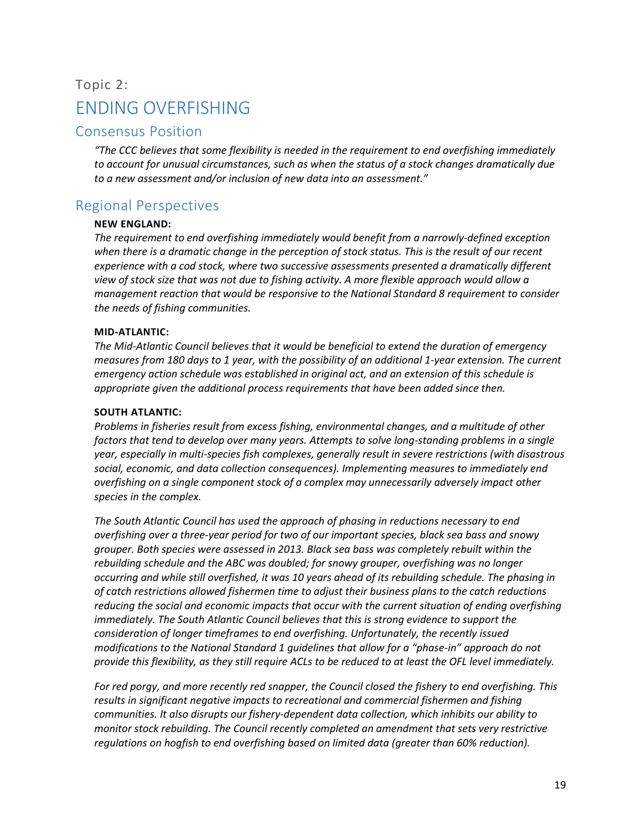## <span id="page-19-0"></span>Topic 2: ENDING OVERFISHING

## <span id="page-19-1"></span>Consensus Position

*"The CCC believes that some flexibility is needed in the requirement to end overfishing immediately to account for unusual circumstances, such as when the status of a stock changes dramatically due to a new assessment and/or inclusion of new data into an assessment."*

## <span id="page-19-2"></span>Regional Perspectives

#### **NEW ENGLAND:**

*The requirement to end overfishing immediately would benefit from a narrowly-defined exception when there is a dramatic change in the perception of stock status. This is the result of our recent experience with a cod stock, where two successive assessments presented a dramatically different view of stock size that was not due to fishing activity. A more flexible approach would allow a management reaction that would be responsive to the National Standard 8 requirement to consider the needs of fishing communities.*

#### **MID-ATLANTIC:**

*The Mid-Atlantic Council believes that it would be beneficial to extend the duration of emergency measures from 180 days to 1 year, with the possibility of an additional 1-year extension. The current emergency action schedule was established in original act, and an extension of this schedule is appropriate given the additional process requirements that have been added since then.*

#### **SOUTH ATLANTIC:**

*Problems in fisheries result from excess fishing, environmental changes, and a multitude of other factors that tend to develop over many years. Attempts to solve long-standing problems in a single year, especially in multi-species fish complexes, generally result in severe restrictions (with disastrous social, economic, and data collection consequences). Implementing measures to immediately end overfishing on a single component stock of a complex may unnecessarily adversely impact other species in the complex.*

*The South Atlantic Council has used the approach of phasing in reductions necessary to end overfishing over a three-year period for two of our important species, black sea bass and snowy grouper. Both species were assessed in 2013. Black sea bass was completely rebuilt within the rebuilding schedule and the ABC was doubled; for snowy grouper, overfishing was no longer occurring and while still overfished, it was 10 years ahead of its rebuilding schedule. The phasing in of catch restrictions allowed fishermen time to adjust their business plans to the catch reductions reducing the social and economic impacts that occur with the current situation of ending overfishing immediately. The South Atlantic Council believes that this is strong evidence to support the consideration of longer timeframes to end overfishing. Unfortunately, the recently issued modifications to the National Standard 1 guidelines that allow for a "phase-in" approach do not provide this flexibility, as they still require ACLs to be reduced to at least the OFL level immediately.*

*For red porgy, and more recently red snapper, the Council closed the fishery to end overfishing. This results in significant negative impacts to recreational and commercial fishermen and fishing communities. It also disrupts our fishery-dependent data collection, which inhibits our ability to monitor stock rebuilding. The Council recently completed an amendment that sets very restrictive regulations on hogfish to end overfishing based on limited data (greater than 60% reduction).*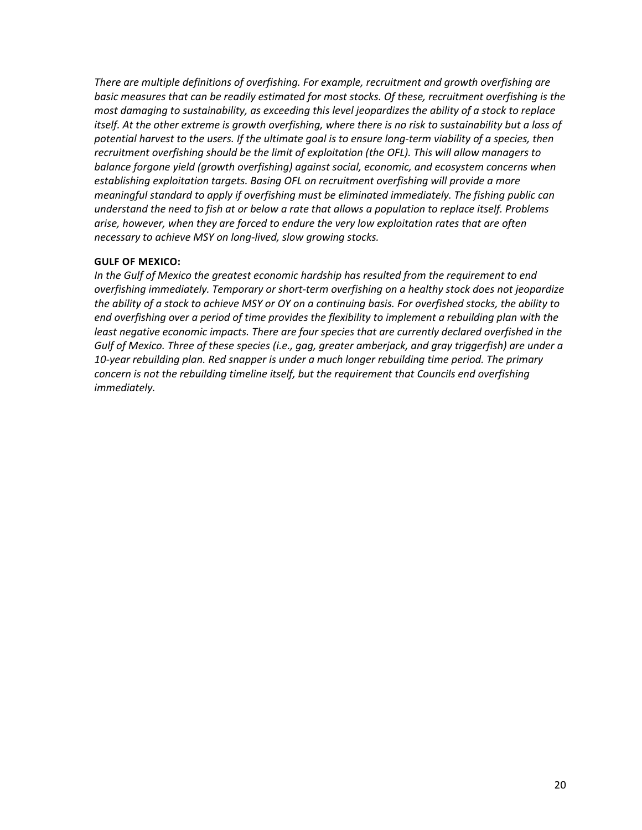*There are multiple definitions of overfishing. For example, recruitment and growth overfishing are basic measures that can be readily estimated for most stocks. Of these, recruitment overfishing is the most damaging to sustainability, as exceeding this level jeopardizes the ability of a stock to replace itself. At the other extreme is growth overfishing, where there is no risk to sustainability but a loss of*  potential harvest to the users. If the ultimate goal is to ensure long-term viability of a species, then *recruitment overfishing should be the limit of exploitation (the OFL). This will allow managers to balance forgone yield (growth overfishing) against social, economic, and ecosystem concerns when establishing exploitation targets. Basing OFL on recruitment overfishing will provide a more meaningful standard to apply if overfishing must be eliminated immediately. The fishing public can understand the need to fish at or below a rate that allows a population to replace itself. Problems arise, however, when they are forced to endure the very low exploitation rates that are often necessary to achieve MSY on long-lived, slow growing stocks.* 

#### **GULF OF MEXICO:**

*In the Gulf of Mexico the greatest economic hardship has resulted from the requirement to end overfishing immediately. Temporary or short-term overfishing on a healthy stock does not jeopardize the ability of a stock to achieve MSY or OY on a continuing basis. For overfished stocks, the ability to end overfishing over a period of time provides the flexibility to implement a rebuilding plan with the least negative economic impacts. There are four species that are currently declared overfished in the Gulf of Mexico. Three of these species (i.e., gag, greater amberjack, and gray triggerfish) are under a 10-year rebuilding plan. Red snapper is under a much longer rebuilding time period. The primary concern is not the rebuilding timeline itself, but the requirement that Councils end overfishing immediately.*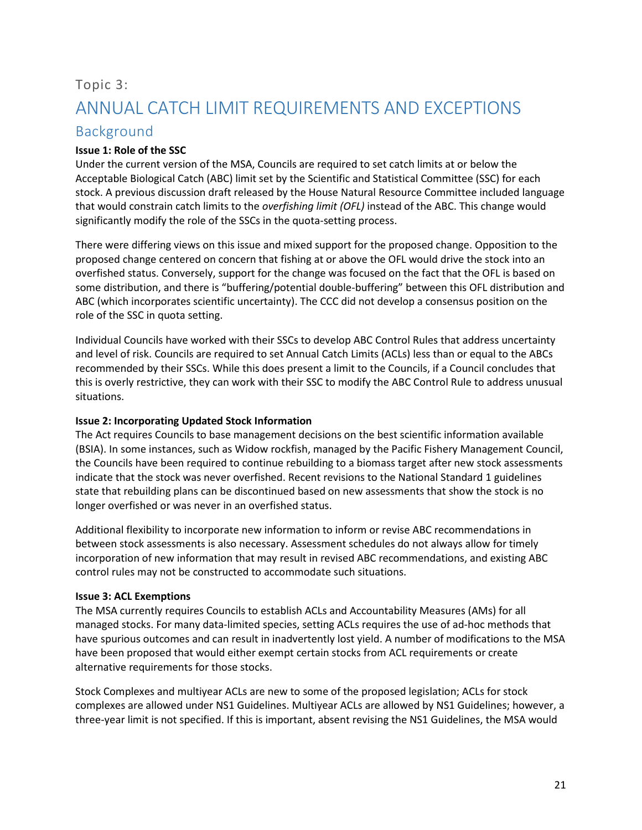## <span id="page-21-0"></span>Topic 3: ANNUAL CATCH LIMIT REQUIREMENTS AND EXCEPTIONS

## <span id="page-21-1"></span>Background

#### **Issue 1: Role of the SSC**

Under the current version of the MSA, Councils are required to set catch limits at or below the Acceptable Biological Catch (ABC) limit set by the Scientific and Statistical Committee (SSC) for each stock. A previous discussion draft released by the House Natural Resource Committee included language that would constrain catch limits to the *overfishing limit (OFL)* instead of the ABC. This change would significantly modify the role of the SSCs in the quota-setting process.

There were differing views on this issue and mixed support for the proposed change. Opposition to the proposed change centered on concern that fishing at or above the OFL would drive the stock into an overfished status. Conversely, support for the change was focused on the fact that the OFL is based on some distribution, and there is "buffering/potential double-buffering" between this OFL distribution and ABC (which incorporates scientific uncertainty). The CCC did not develop a consensus position on the role of the SSC in quota setting.

Individual Councils have worked with their SSCs to develop ABC Control Rules that address uncertainty and level of risk. Councils are required to set Annual Catch Limits (ACLs) less than or equal to the ABCs recommended by their SSCs. While this does present a limit to the Councils, if a Council concludes that this is overly restrictive, they can work with their SSC to modify the ABC Control Rule to address unusual situations.

#### **Issue 2: Incorporating Updated Stock Information**

The Act requires Councils to base management decisions on the best scientific information available (BSIA). In some instances, such as Widow rockfish, managed by the Pacific Fishery Management Council, the Councils have been required to continue rebuilding to a biomass target after new stock assessments indicate that the stock was never overfished. Recent revisions to the National Standard 1 guidelines state that rebuilding plans can be discontinued based on new assessments that show the stock is no longer overfished or was never in an overfished status.

Additional flexibility to incorporate new information to inform or revise ABC recommendations in between stock assessments is also necessary. Assessment schedules do not always allow for timely incorporation of new information that may result in revised ABC recommendations, and existing ABC control rules may not be constructed to accommodate such situations.

#### **Issue 3: ACL Exemptions**

The MSA currently requires Councils to establish ACLs and Accountability Measures (AMs) for all managed stocks. For many data-limited species, setting ACLs requires the use of ad-hoc methods that have spurious outcomes and can result in inadvertently lost yield. A number of modifications to the MSA have been proposed that would either exempt certain stocks from ACL requirements or create alternative requirements for those stocks.

Stock Complexes and multiyear ACLs are new to some of the proposed legislation; ACLs for stock complexes are allowed under NS1 Guidelines. Multiyear ACLs are allowed by NS1 Guidelines; however, a three-year limit is not specified. If this is important, absent revising the NS1 Guidelines, the MSA would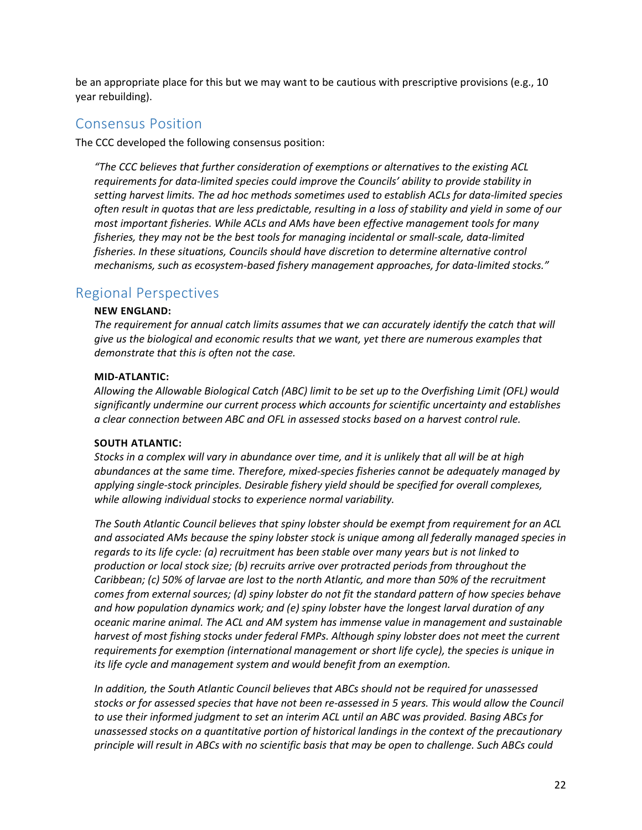be an appropriate place for this but we may want to be cautious with prescriptive provisions (e.g., 10 year rebuilding).

### <span id="page-22-0"></span>Consensus Position

The CCC developed the following consensus position:

*"The CCC believes that further consideration of exemptions or alternatives to the existing ACL requirements for data-limited species could improve the Councils' ability to provide stability in setting harvest limits. The ad hoc methods sometimes used to establish ACLs for data-limited species often result in quotas that are less predictable, resulting in a loss of stability and yield in some of our most important fisheries. While ACLs and AMs have been effective management tools for many fisheries, they may not be the best tools for managing incidental or small-scale, data-limited fisheries. In these situations, Councils should have discretion to determine alternative control mechanisms, such as ecosystem-based fishery management approaches, for data-limited stocks."*

### <span id="page-22-1"></span>Regional Perspectives

#### **NEW ENGLAND:**

*The requirement for annual catch limits assumes that we can accurately identify the catch that will give us the biological and economic results that we want, yet there are numerous examples that demonstrate that this is often not the case.*

#### **MID-ATLANTIC:**

*Allowing the Allowable Biological Catch (ABC) limit to be set up to the Overfishing Limit (OFL) would significantly undermine our current process which accounts for scientific uncertainty and establishes a clear connection between ABC and OFL in assessed stocks based on a harvest control rule.*

#### **SOUTH ATLANTIC:**

*Stocks in a complex will vary in abundance over time, and it is unlikely that all will be at high abundances at the same time. Therefore, mixed-species fisheries cannot be adequately managed by applying single-stock principles. Desirable fishery yield should be specified for overall complexes, while allowing individual stocks to experience normal variability.*

*The South Atlantic Council believes that spiny lobster should be exempt from requirement for an ACL and associated AMs because the spiny lobster stock is unique among all federally managed species in regards to its life cycle: (a) recruitment has been stable over many years but is not linked to production or local stock size; (b) recruits arrive over protracted periods from throughout the Caribbean; (c) 50% of larvae are lost to the north Atlantic, and more than 50% of the recruitment comes from external sources; (d) spiny lobster do not fit the standard pattern of how species behave and how population dynamics work; and (e) spiny lobster have the longest larval duration of any oceanic marine animal. The ACL and AM system has immense value in management and sustainable harvest of most fishing stocks under federal FMPs. Although spiny lobster does not meet the current requirements for exemption (international management or short life cycle), the species is unique in its life cycle and management system and would benefit from an exemption.*

*In addition, the South Atlantic Council believes that ABCs should not be required for unassessed stocks or for assessed species that have not been re-assessed in 5 years. This would allow the Council to use their informed judgment to set an interim ACL until an ABC was provided. Basing ABCs for unassessed stocks on a quantitative portion of historical landings in the context of the precautionary principle will result in ABCs with no scientific basis that may be open to challenge. Such ABCs could*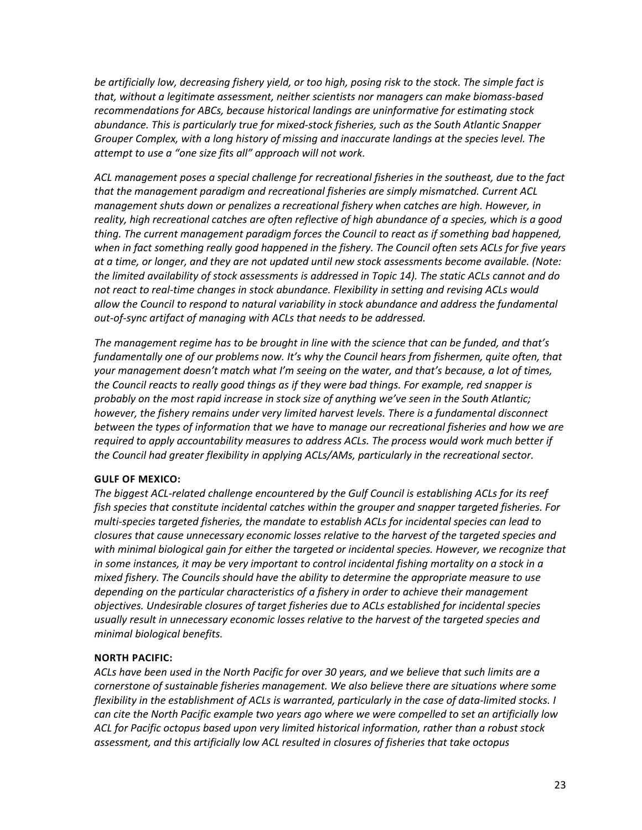*be artificially low, decreasing fishery yield, or too high, posing risk to the stock. The simple fact is that, without a legitimate assessment, neither scientists nor managers can make biomass-based recommendations for ABCs, because historical landings are uninformative for estimating stock abundance. This is particularly true for mixed-stock fisheries, such as the South Atlantic Snapper Grouper Complex, with a long history of missing and inaccurate landings at the species level. The attempt to use a "one size fits all" approach will not work.*

*ACL management poses a special challenge for recreational fisheries in the southeast, due to the fact that the management paradigm and recreational fisheries are simply mismatched. Current ACL management shuts down or penalizes a recreational fishery when catches are high. However, in reality, high recreational catches are often reflective of high abundance of a species, which is a good thing. The current management paradigm forces the Council to react as if something bad happened, when in fact something really good happened in the fishery. The Council often sets ACLs for five years at a time, or longer, and they are not updated until new stock assessments become available. (Note: the limited availability of stock assessments is addressed in Topic 14). The static ACLs cannot and do not react to real-time changes in stock abundance. Flexibility in setting and revising ACLs would allow the Council to respond to natural variability in stock abundance and address the fundamental out-of-sync artifact of managing with ACLs that needs to be addressed.*

*The management regime has to be brought in line with the science that can be funded, and that's fundamentally one of our problems now. It's why the Council hears from fishermen, quite often, that your management doesn't match what I'm seeing on the water, and that's because, a lot of times, the Council reacts to really good things as if they were bad things. For example, red snapper is probably on the most rapid increase in stock size of anything we've seen in the South Atlantic; however, the fishery remains under very limited harvest levels. There is a fundamental disconnect between the types of information that we have to manage our recreational fisheries and how we are required to apply accountability measures to address ACLs. The process would work much better if the Council had greater flexibility in applying ACLs/AMs, particularly in the recreational sector.*

#### **GULF OF MEXICO:**

*The biggest ACL-related challenge encountered by the Gulf Council is establishing ACLs for its reef fish species that constitute incidental catches within the grouper and snapper targeted fisheries. For multi-species targeted fisheries, the mandate to establish ACLs for incidental species can lead to closures that cause unnecessary economic losses relative to the harvest of the targeted species and with minimal biological gain for either the targeted or incidental species. However, we recognize that in some instances, it may be very important to control incidental fishing mortality on a stock in a mixed fishery. The Councils should have the ability to determine the appropriate measure to use depending on the particular characteristics of a fishery in order to achieve their management objectives. Undesirable closures of target fisheries due to ACLs established for incidental species usually result in unnecessary economic losses relative to the harvest of the targeted species and minimal biological benefits.*

#### **NORTH PACIFIC:**

*ACLs have been used in the North Pacific for over 30 years, and we believe that such limits are a cornerstone of sustainable fisheries management. We also believe there are situations where some flexibility in the establishment of ACLs is warranted, particularly in the case of data-limited stocks. I can cite the North Pacific example two years ago where we were compelled to set an artificially low ACL for Pacific octopus based upon very limited historical information, rather than a robust stock assessment, and this artificially low ACL resulted in closures of fisheries that take octopus*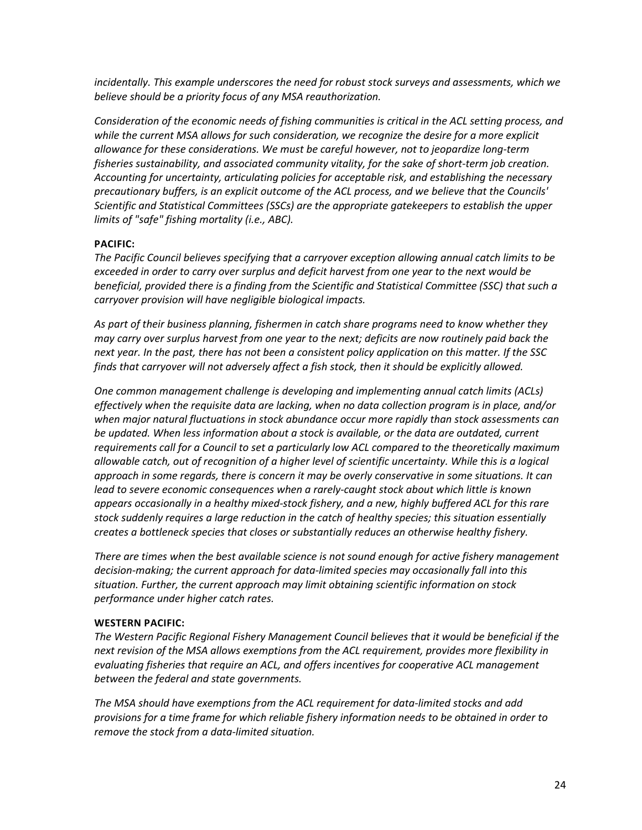*incidentally. This example underscores the need for robust stock surveys and assessments, which we believe should be a priority focus of any MSA reauthorization.*

*Consideration of the economic needs of fishing communities is critical in the ACL setting process, and while the current MSA allows for such consideration, we recognize the desire for a more explicit allowance for these considerations. We must be careful however, not to jeopardize long-term fisheries sustainability, and associated community vitality, for the sake of short-term job creation. Accounting for uncertainty, articulating policies for acceptable risk, and establishing the necessary precautionary buffers, is an explicit outcome of the ACL process, and we believe that the Councils' Scientific and Statistical Committees (SSCs) are the appropriate gatekeepers to establish the upper limits of "safe" fishing mortality (i.e., ABC).*

#### **PACIFIC:**

*The Pacific Council believes specifying that a carryover exception allowing annual catch limits to be exceeded in order to carry over surplus and deficit harvest from one year to the next would be beneficial, provided there is a finding from the Scientific and Statistical Committee (SSC) that such a carryover provision will have negligible biological impacts.* 

*As part of their business planning, fishermen in catch share programs need to know whether they may carry over surplus harvest from one year to the next; deficits are now routinely paid back the next year. In the past, there has not been a consistent policy application on this matter. If the SSC finds that carryover will not adversely affect a fish stock, then it should be explicitly allowed.* 

*One common management challenge is developing and implementing annual catch limits (ACLs) effectively when the requisite data are lacking, when no data collection program is in place, and/or when major natural fluctuations in stock abundance occur more rapidly than stock assessments can be updated. When less information about a stock is available, or the data are outdated, current requirements call for a Council to set a particularly low ACL compared to the theoretically maximum allowable catch, out of recognition of a higher level of scientific uncertainty. While this is a logical approach in some regards, there is concern it may be overly conservative in some situations. It can lead to severe economic consequences when a rarely-caught stock about which little is known appears occasionally in a healthy mixed-stock fishery, and a new, highly buffered ACL for this rare stock suddenly requires a large reduction in the catch of healthy species; this situation essentially creates a bottleneck species that closes or substantially reduces an otherwise healthy fishery.*

*There are times when the best available science is not sound enough for active fishery management decision-making; the current approach for data-limited species may occasionally fall into this situation. Further, the current approach may limit obtaining scientific information on stock performance under higher catch rates.*

#### **WESTERN PACIFIC:**

*The Western Pacific Regional Fishery Management Council believes that it would be beneficial if the next revision of the MSA allows exemptions from the ACL requirement, provides more flexibility in evaluating fisheries that require an ACL, and offers incentives for cooperative ACL management between the federal and state governments.*

*The MSA should have exemptions from the ACL requirement for data-limited stocks and add provisions for a time frame for which reliable fishery information needs to be obtained in order to remove the stock from a data-limited situation.*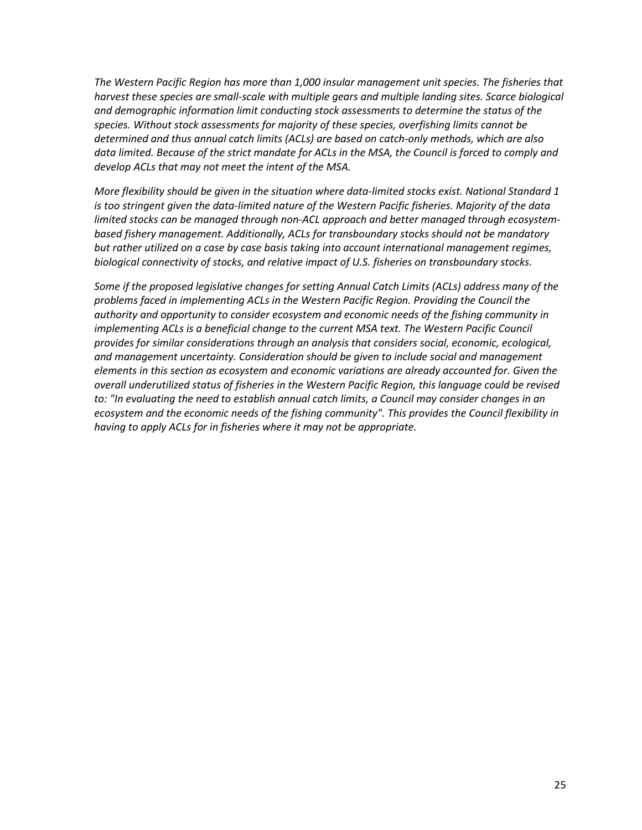*The Western Pacific Region has more than 1,000 insular management unit species. The fisheries that harvest these species are small-scale with multiple gears and multiple landing sites. Scarce biological and demographic information limit conducting stock assessments to determine the status of the species. Without stock assessments for majority of these species, overfishing limits cannot be determined and thus annual catch limits (ACLs) are based on catch-only methods, which are also*  data limited. Because of the strict mandate for ACLs in the MSA, the Council is forced to comply and *develop ACLs that may not meet the intent of the MSA.*

*More flexibility should be given in the situation where data-limited stocks exist. National Standard 1 is too stringent given the data-limited nature of the Western Pacific fisheries. Majority of the data limited stocks can be managed through non-ACL approach and better managed through ecosystembased fishery management. Additionally, ACLs for transboundary stocks should not be mandatory but rather utilized on a case by case basis taking into account international management regimes, biological connectivity of stocks, and relative impact of U.S. fisheries on transboundary stocks.*

*Some if the proposed legislative changes for setting Annual Catch Limits (ACLs) address many of the problems faced in implementing ACLs in the Western Pacific Region. Providing the Council the authority and opportunity to consider ecosystem and economic needs of the fishing community in implementing ACLs is a beneficial change to the current MSA text. The Western Pacific Council provides for similar considerations through an analysis that considers social, economic, ecological, and management uncertainty. Consideration should be given to include social and management elements in this section as ecosystem and economic variations are already accounted for. Given the overall underutilized status of fisheries in the Western Pacific Region, this language could be revised to: "In evaluating the need to establish annual catch limits, a Council may consider changes in an ecosystem and the economic needs of the fishing community". This provides the Council flexibility in having to apply ACLs for in fisheries where it may not be appropriate.*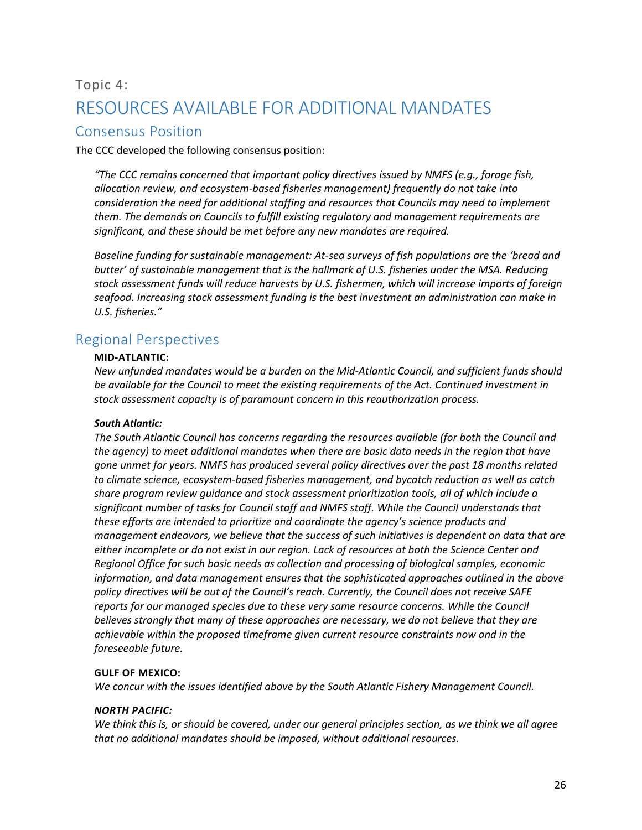## <span id="page-26-0"></span>Topic 4: RESOURCES AVAILABLE FOR ADDITIONAL MANDATES

## <span id="page-26-1"></span>Consensus Position

The CCC developed the following consensus position:

*"The CCC remains concerned that important policy directives issued by NMFS (e.g., forage fish, allocation review, and ecosystem-based fisheries management) frequently do not take into consideration the need for additional staffing and resources that Councils may need to implement them. The demands on Councils to fulfill existing regulatory and management requirements are significant, and these should be met before any new mandates are required.*

*Baseline funding for sustainable management: At-sea surveys of fish populations are the 'bread and butter' of sustainable management that is the hallmark of U.S. fisheries under the MSA. Reducing stock assessment funds will reduce harvests by U.S. fishermen, which will increase imports of foreign seafood. Increasing stock assessment funding is the best investment an administration can make in U.S. fisheries."*

## <span id="page-26-2"></span>Regional Perspectives

#### **MID-ATLANTIC:**

*New unfunded mandates would be a burden on the Mid-Atlantic Council, and sufficient funds should be available for the Council to meet the existing requirements of the Act. Continued investment in stock assessment capacity is of paramount concern in this reauthorization process.*

#### *South Atlantic:*

*The South Atlantic Council has concerns regarding the resources available (for both the Council and the agency) to meet additional mandates when there are basic data needs in the region that have gone unmet for years. NMFS has produced several policy directives over the past 18 months related to climate science, ecosystem-based fisheries management, and bycatch reduction as well as catch share program review guidance and stock assessment prioritization tools, all of which include a significant number of tasks for Council staff and NMFS staff. While the Council understands that these efforts are intended to prioritize and coordinate the agency's science products and management endeavors, we believe that the success of such initiatives is dependent on data that are either incomplete or do not exist in our region. Lack of resources at both the Science Center and Regional Office for such basic needs as collection and processing of biological samples, economic information, and data management ensures that the sophisticated approaches outlined in the above policy directives will be out of the Council's reach. Currently, the Council does not receive SAFE reports for our managed species due to these very same resource concerns. While the Council believes strongly that many of these approaches are necessary, we do not believe that they are achievable within the proposed timeframe given current resource constraints now and in the foreseeable future.* 

#### **GULF OF MEXICO:**

*We concur with the issues identified above by the South Atlantic Fishery Management Council.*

#### *NORTH PACIFIC:*

*We think this is, or should be covered, under our general principles section, as we think we all agree that no additional mandates should be imposed, without additional resources.*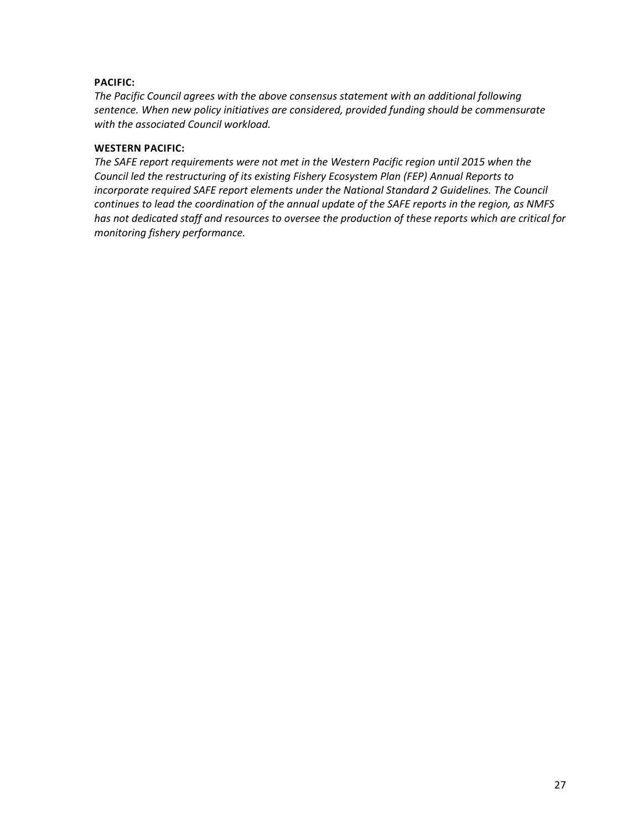#### **PACIFIC:**

*The Pacific Council agrees with the above consensus statement with an additional following sentence. When new policy initiatives are considered, provided funding should be commensurate with the associated Council workload.*

#### **WESTERN PACIFIC:**

*The SAFE report requirements were not met in the Western Pacific region until 2015 when the Council led the restructuring of its existing Fishery Ecosystem Plan (FEP) Annual Reports to incorporate required SAFE report elements under the National Standard 2 Guidelines. The Council continues to lead the coordination of the annual update of the SAFE reports in the region, as NMFS has not dedicated staff and resources to oversee the production of these reports which are critical for monitoring fishery performance.*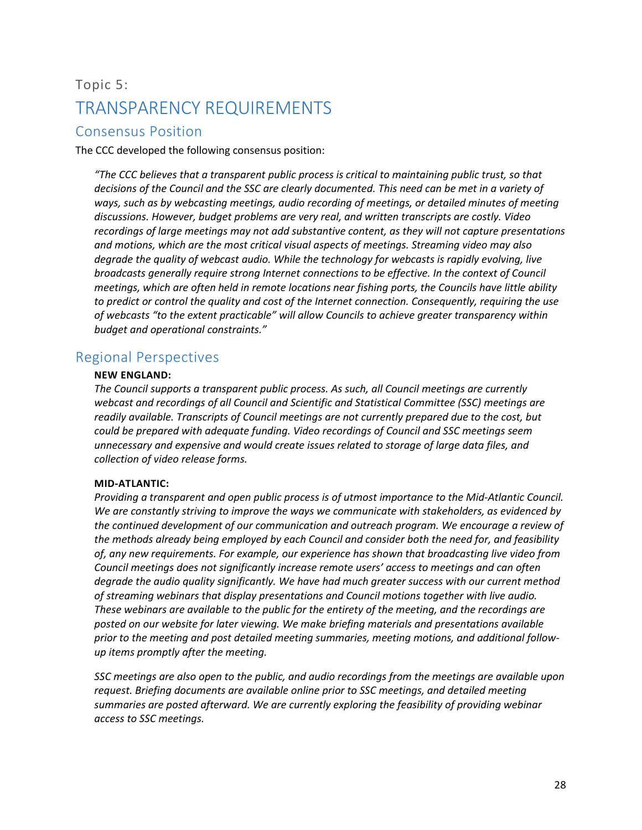## <span id="page-28-0"></span>Topic 5: TRANSPARENCY REQUIREMENTS

## <span id="page-28-1"></span>Consensus Position

The CCC developed the following consensus position:

*"The CCC believes that a transparent public process is critical to maintaining public trust, so that decisions of the Council and the SSC are clearly documented. This need can be met in a variety of ways, such as by webcasting meetings, audio recording of meetings, or detailed minutes of meeting discussions. However, budget problems are very real, and written transcripts are costly. Video recordings of large meetings may not add substantive content, as they will not capture presentations and motions, which are the most critical visual aspects of meetings. Streaming video may also degrade the quality of webcast audio. While the technology for webcasts is rapidly evolving, live broadcasts generally require strong Internet connections to be effective. In the context of Council meetings, which are often held in remote locations near fishing ports, the Councils have little ability to predict or control the quality and cost of the Internet connection. Consequently, requiring the use of webcasts "to the extent practicable" will allow Councils to achieve greater transparency within budget and operational constraints."*

### <span id="page-28-2"></span>Regional Perspectives

#### **NEW ENGLAND:**

*The Council supports a transparent public process. As such, all Council meetings are currently webcast and recordings of all Council and Scientific and Statistical Committee (SSC) meetings are readily available. Transcripts of Council meetings are not currently prepared due to the cost, but could be prepared with adequate funding. Video recordings of Council and SSC meetings seem unnecessary and expensive and would create issues related to storage of large data files, and collection of video release forms.*

#### **MID-ATLANTIC:**

*Providing a transparent and open public process is of utmost importance to the Mid-Atlantic Council. We are constantly striving to improve the ways we communicate with stakeholders, as evidenced by the continued development of our communication and outreach program. We encourage a review of the methods already being employed by each Council and consider both the need for, and feasibility of, any new requirements. For example, our experience has shown that broadcasting live video from Council meetings does not significantly increase remote users' access to meetings and can often degrade the audio quality significantly. We have had much greater success with our current method of streaming webinars that display presentations and Council motions together with live audio. These webinars are available to the public for the entirety of the meeting, and the recordings are posted on our website for later viewing. We make briefing materials and presentations available prior to the meeting and post detailed meeting summaries, meeting motions, and additional followup items promptly after the meeting.* 

*SSC meetings are also open to the public, and audio recordings from the meetings are available upon request. Briefing documents are available online prior to SSC meetings, and detailed meeting summaries are posted afterward. We are currently exploring the feasibility of providing webinar access to SSC meetings.*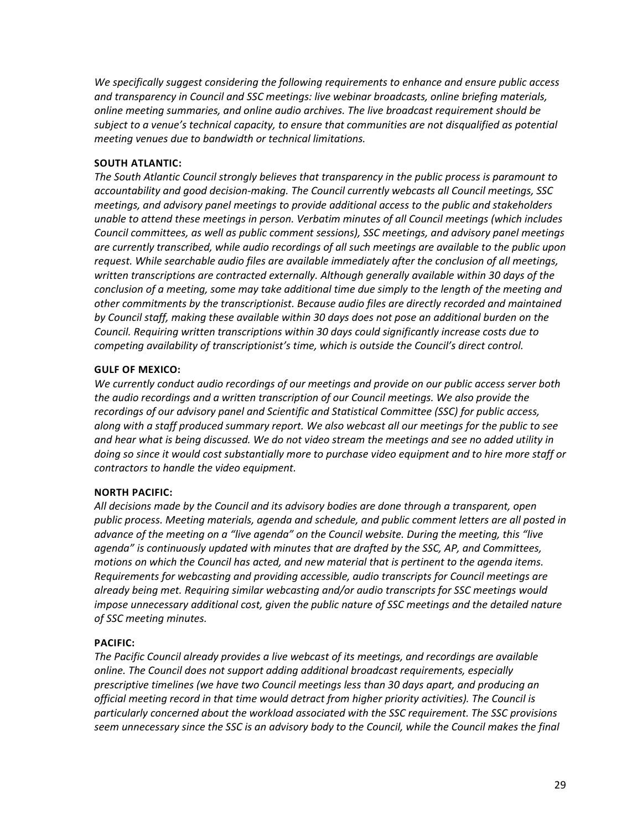*We specifically suggest considering the following requirements to enhance and ensure public access and transparency in Council and SSC meetings: live webinar broadcasts, online briefing materials, online meeting summaries, and online audio archives. The live broadcast requirement should be subject to a venue's technical capacity, to ensure that communities are not disqualified as potential meeting venues due to bandwidth or technical limitations.*

#### **SOUTH ATLANTIC:**

*The South Atlantic Council strongly believes that transparency in the public process is paramount to accountability and good decision-making. The Council currently webcasts all Council meetings, SSC meetings, and advisory panel meetings to provide additional access to the public and stakeholders unable to attend these meetings in person. Verbatim minutes of all Council meetings (which includes Council committees, as well as public comment sessions), SSC meetings, and advisory panel meetings are currently transcribed, while audio recordings of all such meetings are available to the public upon request. While searchable audio files are available immediately after the conclusion of all meetings, written transcriptions are contracted externally. Although generally available within 30 days of the conclusion of a meeting, some may take additional time due simply to the length of the meeting and other commitments by the transcriptionist. Because audio files are directly recorded and maintained by Council staff, making these available within 30 days does not pose an additional burden on the Council. Requiring written transcriptions within 30 days could significantly increase costs due to competing availability of transcriptionist's time, which is outside the Council's direct control.*

#### **GULF OF MEXICO:**

*We currently conduct audio recordings of our meetings and provide on our public access server both the audio recordings and a written transcription of our Council meetings. We also provide the recordings of our advisory panel and Scientific and Statistical Committee (SSC) for public access, along with a staff produced summary report. We also webcast all our meetings for the public to see and hear what is being discussed. We do not video stream the meetings and see no added utility in doing so since it would cost substantially more to purchase video equipment and to hire more staff or contractors to handle the video equipment.*

#### **NORTH PACIFIC:**

*All decisions made by the Council and its advisory bodies are done through a transparent, open public process. Meeting materials, agenda and schedule, and public comment letters are all posted in advance of the meeting on a "live agenda" on the Council website. During the meeting, this "live agenda" is continuously updated with minutes that are drafted by the SSC, AP, and Committees, motions on which the Council has acted, and new material that is pertinent to the agenda items. Requirements for webcasting and providing accessible, audio transcripts for Council meetings are already being met. Requiring similar webcasting and/or audio transcripts for SSC meetings would impose unnecessary additional cost, given the public nature of SSC meetings and the detailed nature of SSC meeting minutes.*

#### **PACIFIC:**

*The Pacific Council already provides a live webcast of its meetings, and recordings are available online. The Council does not support adding additional broadcast requirements, especially prescriptive timelines (we have two Council meetings less than 30 days apart, and producing an official meeting record in that time would detract from higher priority activities). The Council is particularly concerned about the workload associated with the SSC requirement. The SSC provisions seem unnecessary since the SSC is an advisory body to the Council, while the Council makes the final*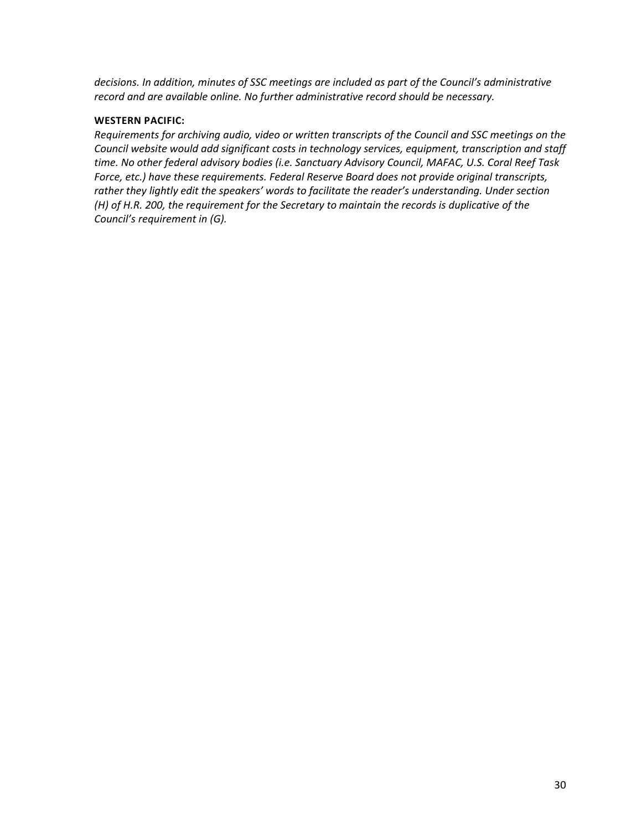*decisions. In addition, minutes of SSC meetings are included as part of the Council's administrative record and are available online. No further administrative record should be necessary.*

#### **WESTERN PACIFIC:**

*Requirements for archiving audio, video or written transcripts of the Council and SSC meetings on the Council website would add significant costs in technology services, equipment, transcription and staff time. No other federal advisory bodies (i.e. Sanctuary Advisory Council, MAFAC, U.S. Coral Reef Task Force, etc.) have these requirements. Federal Reserve Board does not provide original transcripts, rather they lightly edit the speakers' words to facilitate the reader's understanding. Under section (H) of H.R. 200, the requirement for the Secretary to maintain the records is duplicative of the Council's requirement in (G).*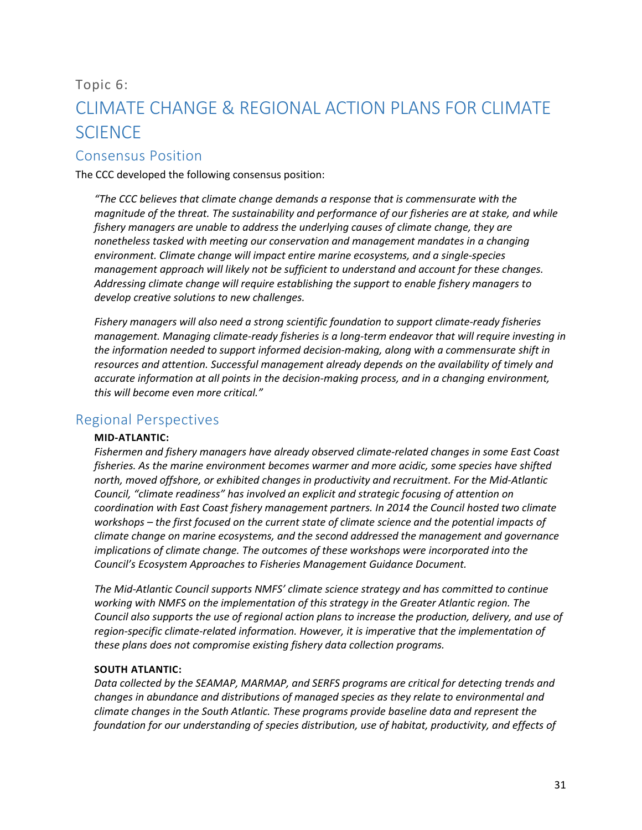## <span id="page-31-0"></span>Topic 6: CLIMATE CHANGE & REGIONAL ACTION PLANS FOR CLIMATE **SCIENCE**

### <span id="page-31-1"></span>Consensus Position

The CCC developed the following consensus position:

*"The CCC believes that climate change demands a response that is commensurate with the magnitude of the threat. The sustainability and performance of our fisheries are at stake, and while fishery managers are unable to address the underlying causes of climate change, they are nonetheless tasked with meeting our conservation and management mandates in a changing environment. Climate change will impact entire marine ecosystems, and a single-species management approach will likely not be sufficient to understand and account for these changes. Addressing climate change will require establishing the support to enable fishery managers to develop creative solutions to new challenges.*

*Fishery managers will also need a strong scientific foundation to support climate-ready fisheries management. Managing climate-ready fisheries is a long-term endeavor that will require investing in the information needed to support informed decision-making, along with a commensurate shift in resources and attention. Successful management already depends on the availability of timely and accurate information at all points in the decision-making process, and in a changing environment, this will become even more critical."*

## <span id="page-31-2"></span>Regional Perspectives

#### **MID-ATLANTIC:**

*Fishermen and fishery managers have already observed climate-related changes in some East Coast fisheries. As the marine environment becomes warmer and more acidic, some species have shifted north, moved offshore, or exhibited changes in productivity and recruitment. For the Mid-Atlantic Council, "climate readiness" has involved an explicit and strategic focusing of attention on coordination with East Coast fishery management partners. In 2014 the Council hosted two climate workshops – the first focused on the current state of climate science and the potential impacts of climate change on marine ecosystems, and the second addressed the management and governance implications of climate change. The outcomes of these workshops were incorporated into the Council's Ecosystem Approaches to Fisheries Management Guidance Document.*

*The Mid-Atlantic Council supports NMFS' climate science strategy and has committed to continue working with NMFS on the implementation of this strategy in the Greater Atlantic region. The Council also supports the use of regional action plans to increase the production, delivery, and use of region-specific climate-related information. However, it is imperative that the implementation of these plans does not compromise existing fishery data collection programs.*

#### **SOUTH ATLANTIC:**

*Data collected by the SEAMAP, MARMAP, and SERFS programs are critical for detecting trends and changes in abundance and distributions of managed species as they relate to environmental and climate changes in the South Atlantic. These programs provide baseline data and represent the foundation for our understanding of species distribution, use of habitat, productivity, and effects of*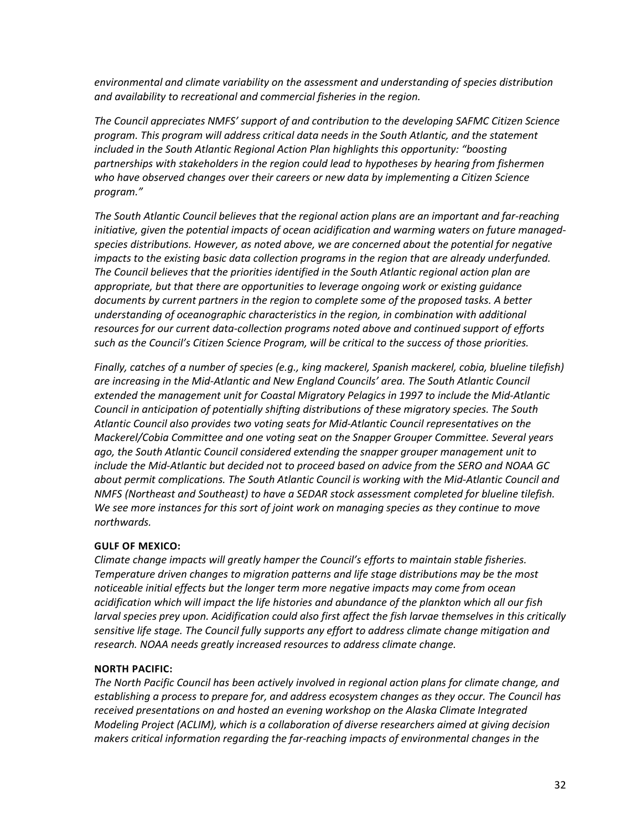*environmental and climate variability on the assessment and understanding of species distribution and availability to recreational and commercial fisheries in the region.*

*The Council appreciates NMFS' support of and contribution to the developing SAFMC Citizen Science program. This program will address critical data needs in the South Atlantic, and the statement included in the South Atlantic Regional Action Plan highlights this opportunity: "boosting partnerships with stakeholders in the region could lead to hypotheses by hearing from fishermen who have observed changes over their careers or new data by implementing a Citizen Science program."*

*The South Atlantic Council believes that the regional action plans are an important and far-reaching initiative, given the potential impacts of ocean acidification and warming waters on future managedspecies distributions. However, as noted above, we are concerned about the potential for negative impacts to the existing basic data collection programs in the region that are already underfunded. The Council believes that the priorities identified in the South Atlantic regional action plan are appropriate, but that there are opportunities to leverage ongoing work or existing guidance documents by current partners in the region to complete some of the proposed tasks. A better understanding of oceanographic characteristics in the region, in combination with additional resources for our current data-collection programs noted above and continued support of efforts such as the Council's Citizen Science Program, will be critical to the success of those priorities.*

*Finally, catches of a number of species (e.g., king mackerel, Spanish mackerel, cobia, blueline tilefish) are increasing in the Mid-Atlantic and New England Councils' area. The South Atlantic Council extended the management unit for Coastal Migratory Pelagics in 1997 to include the Mid-Atlantic Council in anticipation of potentially shifting distributions of these migratory species. The South Atlantic Council also provides two voting seats for Mid-Atlantic Council representatives on the Mackerel/Cobia Committee and one voting seat on the Snapper Grouper Committee. Several years ago, the South Atlantic Council considered extending the snapper grouper management unit to include the Mid-Atlantic but decided not to proceed based on advice from the SERO and NOAA GC about permit complications. The South Atlantic Council is working with the Mid-Atlantic Council and NMFS (Northeast and Southeast) to have a SEDAR stock assessment completed for blueline tilefish. We see more instances for this sort of joint work on managing species as they continue to move northwards.*

#### **GULF OF MEXICO:**

*Climate change impacts will greatly hamper the Council's efforts to maintain stable fisheries. Temperature driven changes to migration patterns and life stage distributions may be the most noticeable initial effects but the longer term more negative impacts may come from ocean acidification which will impact the life histories and abundance of the plankton which all our fish larval species prey upon. Acidification could also first affect the fish larvae themselves in this critically sensitive life stage. The Council fully supports any effort to address climate change mitigation and research. NOAA needs greatly increased resources to address climate change.*

#### **NORTH PACIFIC:**

*The North Pacific Council has been actively involved in regional action plans for climate change, and establishing a process to prepare for, and address ecosystem changes as they occur. The Council has received presentations on and hosted an evening workshop on the Alaska Climate Integrated Modeling Project (ACLIM), which is a collaboration of diverse researchers aimed at giving decision makers critical information regarding the far-reaching impacts of environmental changes in the*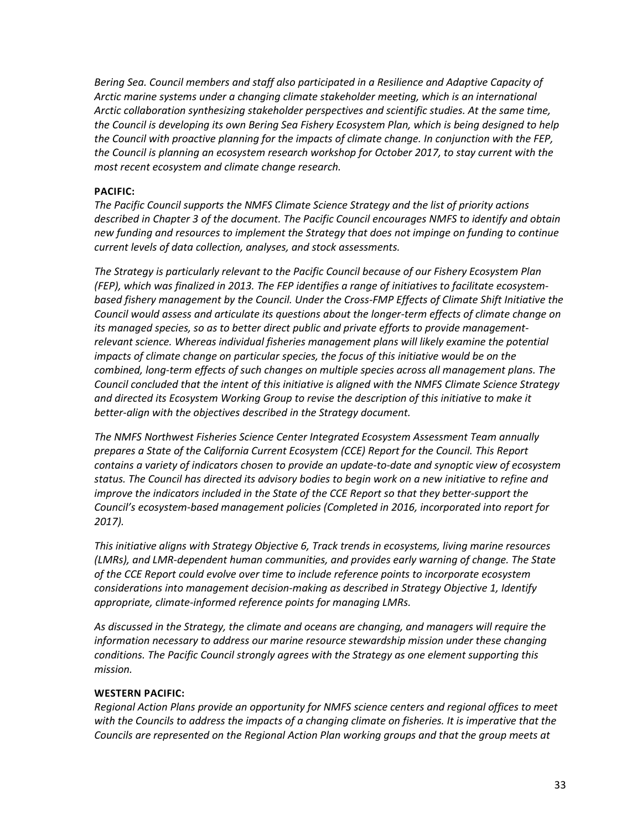*Bering Sea. Council members and staff also participated in a Resilience and Adaptive Capacity of Arctic marine systems under a changing climate stakeholder meeting, which is an international Arctic collaboration synthesizing stakeholder perspectives and scientific studies. At the same time, the Council is developing its own Bering Sea Fishery Ecosystem Plan, which is being designed to help the Council with proactive planning for the impacts of climate change. In conjunction with the FEP, the Council is planning an ecosystem research workshop for October 2017, to stay current with the most recent ecosystem and climate change research.*

#### **PACIFIC:**

*The Pacific Council supports the NMFS Climate Science Strategy and the list of priority actions described in Chapter 3 of the document. The Pacific Council encourages NMFS to identify and obtain new funding and resources to implement the Strategy that does not impinge on funding to continue current levels of data collection, analyses, and stock assessments.*

*The Strategy is particularly relevant to the Pacific Council because of our Fishery Ecosystem Plan (FEP), which was finalized in 2013. The FEP identifies a range of initiatives to facilitate ecosystembased fishery management by the Council. Under the Cross-FMP Effects of Climate Shift Initiative the Council would assess and articulate its questions about the longer-term effects of climate change on its managed species, so as to better direct public and private efforts to provide managementrelevant science. Whereas individual fisheries management plans will likely examine the potential impacts of climate change on particular species, the focus of this initiative would be on the combined, long-term effects of such changes on multiple species across all management plans. The Council concluded that the intent of this initiative is aligned with the NMFS Climate Science Strategy and directed its Ecosystem Working Group to revise the description of this initiative to make it better-align with the objectives described in the Strategy document.*

*The NMFS Northwest Fisheries Science Center Integrated Ecosystem Assessment Team annually prepares a State of the California Current Ecosystem (CCE) Report for the Council. This Report contains a variety of indicators chosen to provide an update-to-date and synoptic view of ecosystem status. The Council has directed its advisory bodies to begin work on a new initiative to refine and improve the indicators included in the State of the CCE Report so that they better-support the Council's ecosystem-based management policies (Completed in 2016, incorporated into report for 2017).*

*This initiative aligns with Strategy Objective 6, Track trends in ecosystems, living marine resources (LMRs), and LMR-dependent human communities, and provides early warning of change. The State of the CCE Report could evolve over time to include reference points to incorporate ecosystem considerations into management decision-making as described in Strategy Objective 1, Identify appropriate, climate-informed reference points for managing LMRs.*

*As discussed in the Strategy, the climate and oceans are changing, and managers will require the information necessary to address our marine resource stewardship mission under these changing conditions. The Pacific Council strongly agrees with the Strategy as one element supporting this mission.*

#### **WESTERN PACIFIC:**

*Regional Action Plans provide an opportunity for NMFS science centers and regional offices to meet*  with the Councils to address the impacts of a changing climate on fisheries. It is imperative that the *Councils are represented on the Regional Action Plan working groups and that the group meets at*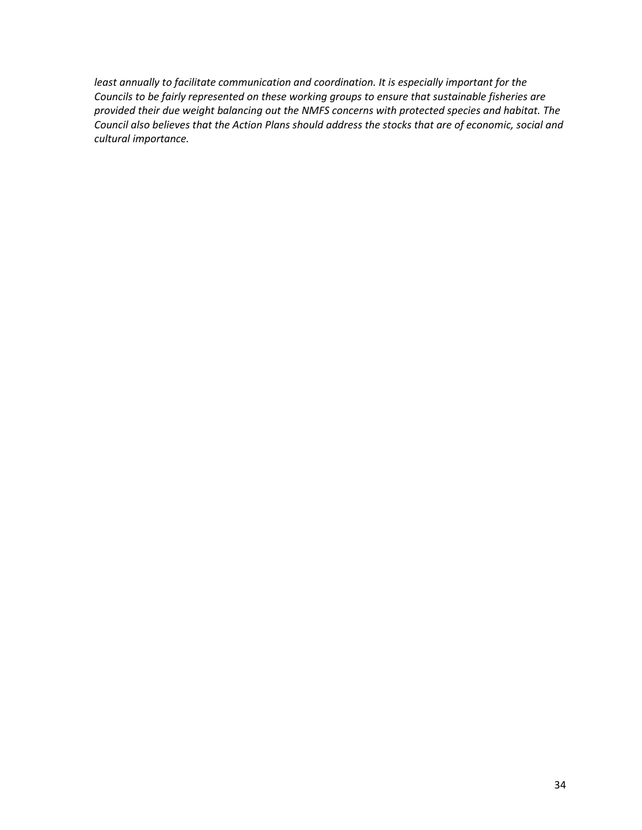*least annually to facilitate communication and coordination. It is especially important for the Councils to be fairly represented on these working groups to ensure that sustainable fisheries are provided their due weight balancing out the NMFS concerns with protected species and habitat. The Council also believes that the Action Plans should address the stocks that are of economic, social and cultural importance.*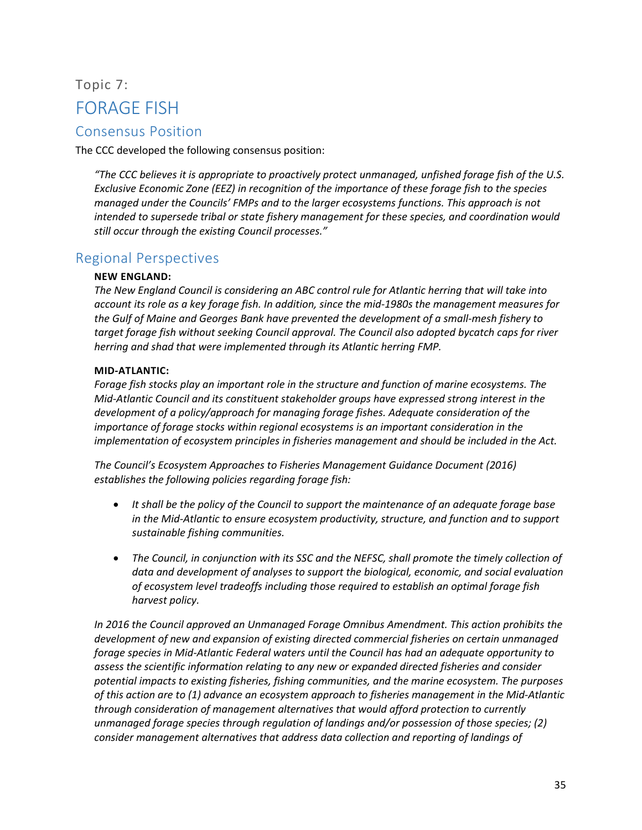## <span id="page-35-0"></span>Topic 7: FORAGE FISH

## <span id="page-35-1"></span>Consensus Position

The CCC developed the following consensus position:

*"The CCC believes it is appropriate to proactively protect unmanaged, unfished forage fish of the U.S. Exclusive Economic Zone (EEZ) in recognition of the importance of these forage fish to the species managed under the Councils' FMPs and to the larger ecosystems functions. This approach is not intended to supersede tribal or state fishery management for these species, and coordination would still occur through the existing Council processes."*

### <span id="page-35-2"></span>Regional Perspectives

#### **NEW ENGLAND:**

*The New England Council is considering an ABC control rule for Atlantic herring that will take into account its role as a key forage fish. In addition, since the mid-1980s the management measures for the Gulf of Maine and Georges Bank have prevented the development of a small-mesh fishery to target forage fish without seeking Council approval. The Council also adopted bycatch caps for river herring and shad that were implemented through its Atlantic herring FMP.*

#### **MID-ATLANTIC:**

*Forage fish stocks play an important role in the structure and function of marine ecosystems. The Mid-Atlantic Council and its constituent stakeholder groups have expressed strong interest in the development of a policy/approach for managing forage fishes. Adequate consideration of the importance of forage stocks within regional ecosystems is an important consideration in the implementation of ecosystem principles in fisheries management and should be included in the Act.*

*The Council's Ecosystem Approaches to Fisheries Management Guidance Document (2016) establishes the following policies regarding forage fish:*

- *It shall be the policy of the Council to support the maintenance of an adequate forage base in the Mid-Atlantic to ensure ecosystem productivity, structure, and function and to support sustainable fishing communities.*
- *The Council, in conjunction with its SSC and the NEFSC, shall promote the timely collection of data and development of analyses to support the biological, economic, and social evaluation of ecosystem level tradeoffs including those required to establish an optimal forage fish harvest policy.*

*In 2016 the Council approved an Unmanaged Forage Omnibus Amendment. This action prohibits the development of new and expansion of existing directed commercial fisheries on certain unmanaged forage species in Mid-Atlantic Federal waters until the Council has had an adequate opportunity to assess the scientific information relating to any new or expanded directed fisheries and consider potential impacts to existing fisheries, fishing communities, and the marine ecosystem. The purposes of this action are to (1) advance an ecosystem approach to fisheries management in the Mid-Atlantic through consideration of management alternatives that would afford protection to currently unmanaged forage species through regulation of landings and/or possession of those species; (2) consider management alternatives that address data collection and reporting of landings of*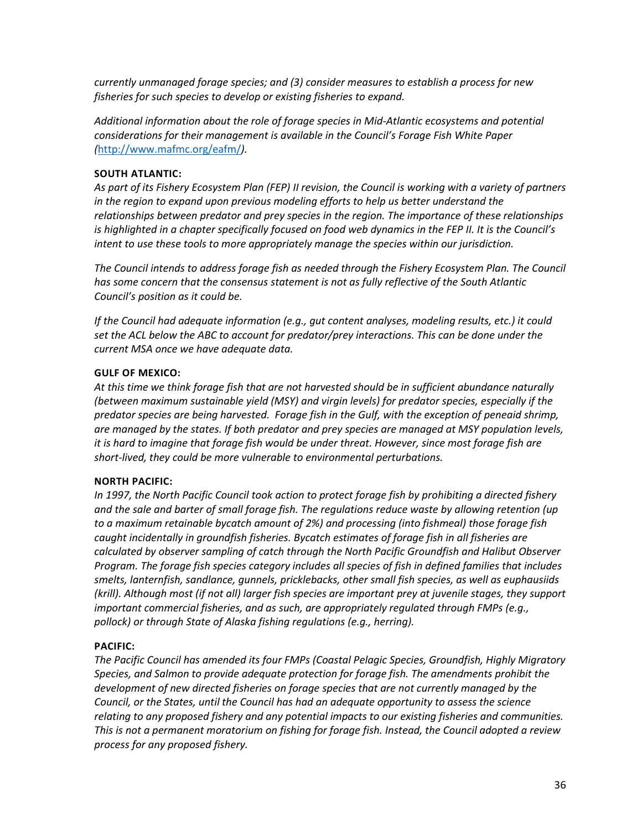*currently unmanaged forage species; and (3) consider measures to establish a process for new fisheries for such species to develop or existing fisheries to expand.*

*Additional information about the role of forage species in Mid-Atlantic ecosystems and potential considerations for their management is available in the Council's Forage Fish White Paper (*<http://www.mafmc.org/eafm/>*).* 

#### **SOUTH ATLANTIC:**

*As part of its Fishery Ecosystem Plan (FEP) II revision, the Council is working with a variety of partners in the region to expand upon previous modeling efforts to help us better understand the relationships between predator and prey species in the region. The importance of these relationships is highlighted in a chapter specifically focused on food web dynamics in the FEP II. It is the Council's intent to use these tools to more appropriately manage the species within our jurisdiction.*

*The Council intends to address forage fish as needed through the Fishery Ecosystem Plan. The Council has some concern that the consensus statement is not as fully reflective of the South Atlantic Council's position as it could be.*

*If the Council had adequate information (e.g., gut content analyses, modeling results, etc.) it could set the ACL below the ABC to account for predator/prey interactions. This can be done under the current MSA once we have adequate data.*

#### **GULF OF MEXICO:**

*At this time we think forage fish that are not harvested should be in sufficient abundance naturally (between maximum sustainable yield (MSY) and virgin levels) for predator species, especially if the predator species are being harvested. Forage fish in the Gulf, with the exception of peneaid shrimp, are managed by the states. If both predator and prey species are managed at MSY population levels, it is hard to imagine that forage fish would be under threat. However, since most forage fish are short-lived, they could be more vulnerable to environmental perturbations.*

#### **NORTH PACIFIC:**

*In 1997, the North Pacific Council took action to protect forage fish by prohibiting a directed fishery and the sale and barter of small forage fish. The regulations reduce waste by allowing retention (up to a maximum retainable bycatch amount of 2%) and processing (into fishmeal) those forage fish caught incidentally in groundfish fisheries. Bycatch estimates of forage fish in all fisheries are calculated by observer sampling of catch through the North Pacific Groundfish and Halibut Observer Program. The forage fish species category includes all species of fish in defined families that includes smelts, lanternfish, sandlance, gunnels, pricklebacks, other small fish species, as well as euphausiids (krill). Although most (if not all) larger fish species are important prey at juvenile stages, they support important commercial fisheries, and as such, are appropriately regulated through FMPs (e.g., pollock) or through State of Alaska fishing regulations (e.g., herring).*

#### **PACIFIC:**

*The Pacific Council has amended its four FMPs (Coastal Pelagic Species, Groundfish, Highly Migratory Species, and Salmon to provide adequate protection for forage fish. The amendments prohibit the development of new directed fisheries on forage species that are not currently managed by the Council, or the States, until the Council has had an adequate opportunity to assess the science relating to any proposed fishery and any potential impacts to our existing fisheries and communities. This is not a permanent moratorium on fishing for forage fish. Instead, the Council adopted a review process for any proposed fishery.*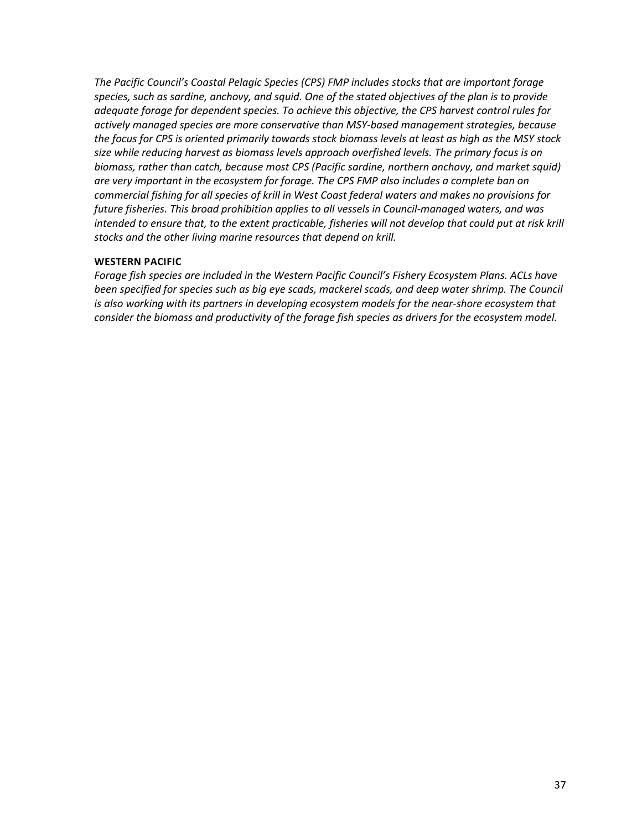*The Pacific Council's Coastal Pelagic Species (CPS) FMP includes stocks that are important forage species, such as sardine, anchovy, and squid. One of the stated objectives of the plan is to provide adequate forage for dependent species. To achieve this objective, the CPS harvest control rules for actively managed species are more conservative than MSY-based management strategies, because the focus for CPS is oriented primarily towards stock biomass levels at least as high as the MSY stock size while reducing harvest as biomass levels approach overfished levels. The primary focus is on biomass, rather than catch, because most CPS (Pacific sardine, northern anchovy, and market squid) are very important in the ecosystem for forage. The CPS FMP also includes a complete ban on commercial fishing for all species of krill in West Coast federal waters and makes no provisions for future fisheries. This broad prohibition applies to all vessels in Council-managed waters, and was intended to ensure that, to the extent practicable, fisheries will not develop that could put at risk krill stocks and the other living marine resources that depend on krill.*

#### **WESTERN PACIFIC**

*Forage fish species are included in the Western Pacific Council's Fishery Ecosystem Plans. ACLs have been specified for species such as big eye scads, mackerel scads, and deep water shrimp. The Council is also working with its partners in developing ecosystem models for the near-shore ecosystem that consider the biomass and productivity of the forage fish species as drivers for the ecosystem model.*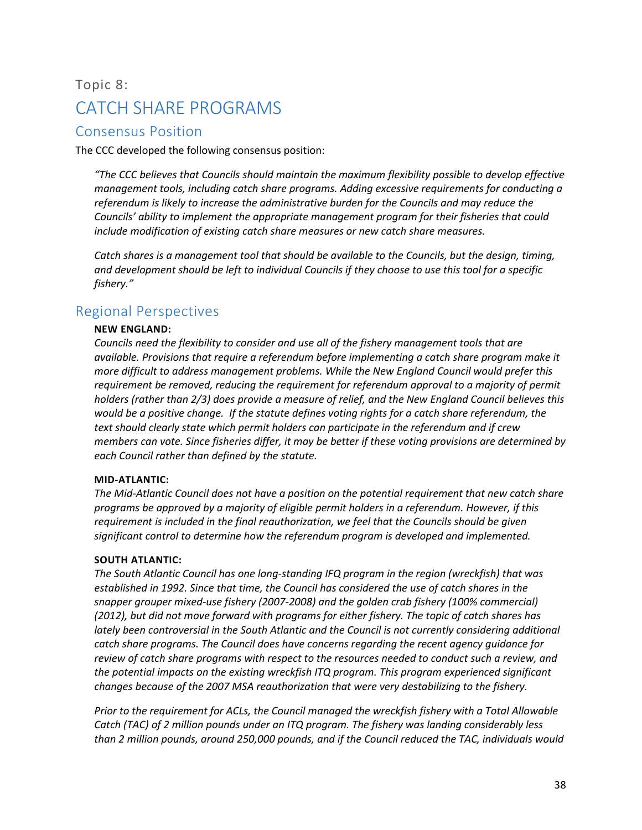## <span id="page-38-0"></span>Topic 8: CATCH SHARE PROGRAMS

## <span id="page-38-1"></span>Consensus Position

The CCC developed the following consensus position:

*"The CCC believes that Councils should maintain the maximum flexibility possible to develop effective management tools, including catch share programs. Adding excessive requirements for conducting a referendum is likely to increase the administrative burden for the Councils and may reduce the Councils' ability to implement the appropriate management program for their fisheries that could include modification of existing catch share measures or new catch share measures.*

*Catch shares is a management tool that should be available to the Councils, but the design, timing, and development should be left to individual Councils if they choose to use this tool for a specific fishery."*

## <span id="page-38-2"></span>Regional Perspectives

#### **NEW ENGLAND:**

*Councils need the flexibility to consider and use all of the fishery management tools that are available. Provisions that require a referendum before implementing a catch share program make it more difficult to address management problems. While the New England Council would prefer this requirement be removed, reducing the requirement for referendum approval to a majority of permit holders (rather than 2/3) does provide a measure of relief, and the New England Council believes this would be a positive change. If the statute defines voting rights for a catch share referendum, the text should clearly state which permit holders can participate in the referendum and if crew members can vote. Since fisheries differ, it may be better if these voting provisions are determined by each Council rather than defined by the statute.*

#### **MID-ATLANTIC:**

*The Mid-Atlantic Council does not have a position on the potential requirement that new catch share programs be approved by a majority of eligible permit holders in a referendum. However, if this requirement is included in the final reauthorization, we feel that the Councils should be given significant control to determine how the referendum program is developed and implemented.*

#### **SOUTH ATLANTIC:**

*The South Atlantic Council has one long-standing IFQ program in the region (wreckfish) that was established in 1992. Since that time, the Council has considered the use of catch shares in the snapper grouper mixed-use fishery (2007-2008) and the golden crab fishery (100% commercial) (2012), but did not move forward with programs for either fishery. The topic of catch shares has lately been controversial in the South Atlantic and the Council is not currently considering additional catch share programs. The Council does have concerns regarding the recent agency guidance for review of catch share programs with respect to the resources needed to conduct such a review, and the potential impacts on the existing wreckfish ITQ program. This program experienced significant changes because of the 2007 MSA reauthorization that were very destabilizing to the fishery.*

*Prior to the requirement for ACLs, the Council managed the wreckfish fishery with a Total Allowable Catch (TAC) of 2 million pounds under an ITQ program. The fishery was landing considerably less than 2 million pounds, around 250,000 pounds, and if the Council reduced the TAC, individuals would*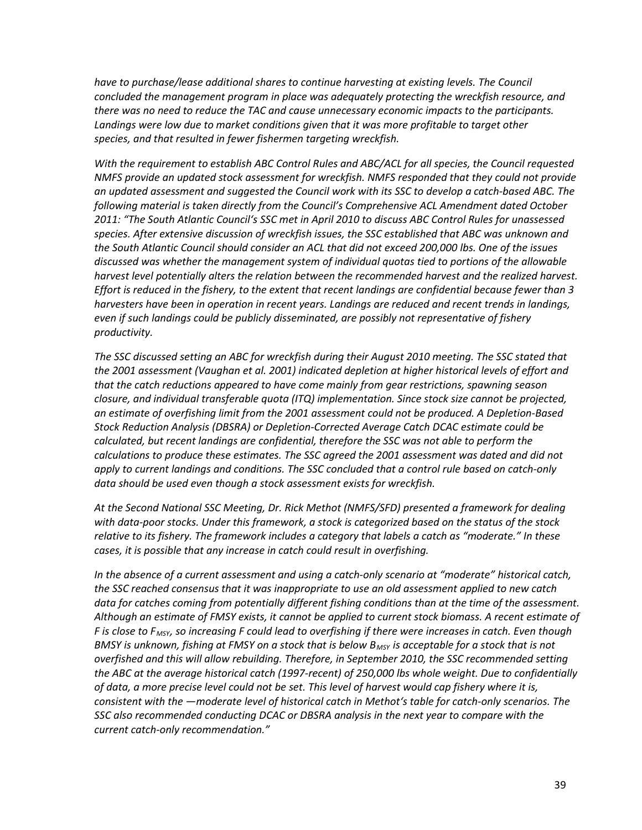*have to purchase/lease additional shares to continue harvesting at existing levels. The Council concluded the management program in place was adequately protecting the wreckfish resource, and there was no need to reduce the TAC and cause unnecessary economic impacts to the participants.* Landings were low due to market conditions given that it was more profitable to target other *species, and that resulted in fewer fishermen targeting wreckfish.*

*With the requirement to establish ABC Control Rules and ABC/ACL for all species, the Council requested NMFS provide an updated stock assessment for wreckfish. NMFS responded that they could not provide an updated assessment and suggested the Council work with its SSC to develop a catch-based ABC. The following material is taken directly from the Council's Comprehensive ACL Amendment dated October 2011: "The South Atlantic Council's SSC met in April 2010 to discuss ABC Control Rules for unassessed species. After extensive discussion of wreckfish issues, the SSC established that ABC was unknown and the South Atlantic Council should consider an ACL that did not exceed 200,000 lbs. One of the issues discussed was whether the management system of individual quotas tied to portions of the allowable harvest level potentially alters the relation between the recommended harvest and the realized harvest. Effort is reduced in the fishery, to the extent that recent landings are confidential because fewer than 3 harvesters have been in operation in recent years. Landings are reduced and recent trends in landings, even if such landings could be publicly disseminated, are possibly not representative of fishery productivity.* 

*The SSC discussed setting an ABC for wreckfish during their August 2010 meeting. The SSC stated that the 2001 assessment (Vaughan et al. 2001) indicated depletion at higher historical levels of effort and that the catch reductions appeared to have come mainly from gear restrictions, spawning season closure, and individual transferable quota (ITQ) implementation. Since stock size cannot be projected, an estimate of overfishing limit from the 2001 assessment could not be produced. A Depletion-Based Stock Reduction Analysis (DBSRA) or Depletion-Corrected Average Catch DCAC estimate could be calculated, but recent landings are confidential, therefore the SSC was not able to perform the calculations to produce these estimates. The SSC agreed the 2001 assessment was dated and did not apply to current landings and conditions. The SSC concluded that a control rule based on catch-only data should be used even though a stock assessment exists for wreckfish.* 

*At the Second National SSC Meeting, Dr. Rick Methot (NMFS/SFD) presented a framework for dealing with data-poor stocks. Under this framework, a stock is categorized based on the status of the stock relative to its fishery. The framework includes a category that labels a catch as "moderate." In these cases, it is possible that any increase in catch could result in overfishing.* 

*In the absence of a current assessment and using a catch-only scenario at "moderate" historical catch, the SSC reached consensus that it was inappropriate to use an old assessment applied to new catch data for catches coming from potentially different fishing conditions than at the time of the assessment. Although an estimate of FMSY exists, it cannot be applied to current stock biomass. A recent estimate of F is close to FMSY, so increasing F could lead to overfishing if there were increases in catch. Even though BMSY is unknown, fishing at FMSY on a stock that is below B<sub>MSY</sub> is acceptable for a stock that is not overfished and this will allow rebuilding. Therefore, in September 2010, the SSC recommended setting the ABC at the average historical catch (1997-recent) of 250,000 lbs whole weight. Due to confidentially of data, a more precise level could not be set. This level of harvest would cap fishery where it is, consistent with the ―moderate level of historical catch in Methot's table for catch-only scenarios. The SSC also recommended conducting DCAC or DBSRA analysis in the next year to compare with the current catch-only recommendation."*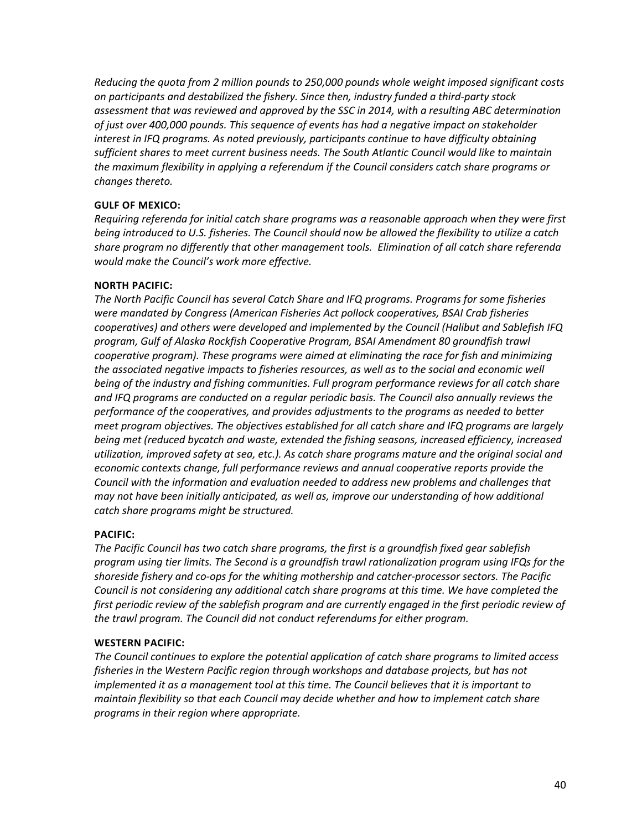*Reducing the quota from 2 million pounds to 250,000 pounds whole weight imposed significant costs on participants and destabilized the fishery. Since then, industry funded a third-party stock assessment that was reviewed and approved by the SSC in 2014, with a resulting ABC determination of just over 400,000 pounds. This sequence of events has had a negative impact on stakeholder interest in IFQ programs. As noted previously, participants continue to have difficulty obtaining sufficient shares to meet current business needs. The South Atlantic Council would like to maintain the maximum flexibility in applying a referendum if the Council considers catch share programs or changes thereto.*

#### **GULF OF MEXICO:**

*Requiring referenda for initial catch share programs was a reasonable approach when they were first being introduced to U.S. fisheries. The Council should now be allowed the flexibility to utilize a catch share program no differently that other management tools. Elimination of all catch share referenda would make the Council's work more effective.*

#### **NORTH PACIFIC:**

*The North Pacific Council has several Catch Share and IFQ programs. Programs for some fisheries were mandated by Congress (American Fisheries Act pollock cooperatives, BSAI Crab fisheries cooperatives) and others were developed and implemented by the Council (Halibut and Sablefish IFQ program, Gulf of Alaska Rockfish Cooperative Program, BSAI Amendment 80 groundfish trawl cooperative program). These programs were aimed at eliminating the race for fish and minimizing the associated negative impacts to fisheries resources, as well as to the social and economic well being of the industry and fishing communities. Full program performance reviews for all catch share and IFQ programs are conducted on a regular periodic basis. The Council also annually reviews the performance of the cooperatives, and provides adjustments to the programs as needed to better meet program objectives. The objectives established for all catch share and IFQ programs are largely being met (reduced bycatch and waste, extended the fishing seasons, increased efficiency, increased utilization, improved safety at sea, etc.). As catch share programs mature and the original social and economic contexts change, full performance reviews and annual cooperative reports provide the Council with the information and evaluation needed to address new problems and challenges that may not have been initially anticipated, as well as, improve our understanding of how additional catch share programs might be structured.*

#### **PACIFIC:**

*The Pacific Council has two catch share programs, the first is a groundfish fixed gear sablefish program using tier limits. The Second is a groundfish trawl rationalization program using IFQs for the shoreside fishery and co-ops for the whiting mothership and catcher-processor sectors. The Pacific Council is not considering any additional catch share programs at this time. We have completed the first periodic review of the sablefish program and are currently engaged in the first periodic review of the trawl program. The Council did not conduct referendums for either program.*

#### **WESTERN PACIFIC:**

*The Council continues to explore the potential application of catch share programs to limited access fisheries in the Western Pacific region through workshops and database projects, but has not implemented it as a management tool at this time. The Council believes that it is important to maintain flexibility so that each Council may decide whether and how to implement catch share programs in their region where appropriate.*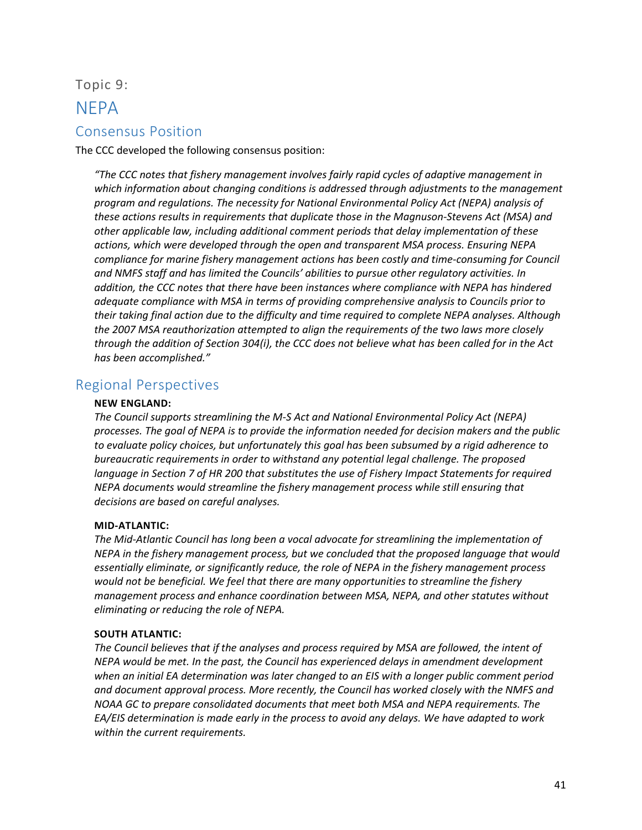Topic 9:

## <span id="page-41-0"></span>**NFPA**

## <span id="page-41-1"></span>Consensus Position

The CCC developed the following consensus position:

*"The CCC notes that fishery management involves fairly rapid cycles of adaptive management in which information about changing conditions is addressed through adjustments to the management program and regulations. The necessity for National Environmental Policy Act (NEPA) analysis of these actions results in requirements that duplicate those in the Magnuson-Stevens Act (MSA) and other applicable law, including additional comment periods that delay implementation of these actions, which were developed through the open and transparent MSA process. Ensuring NEPA compliance for marine fishery management actions has been costly and time-consuming for Council and NMFS staff and has limited the Councils' abilities to pursue other regulatory activities. In addition, the CCC notes that there have been instances where compliance with NEPA has hindered adequate compliance with MSA in terms of providing comprehensive analysis to Councils prior to their taking final action due to the difficulty and time required to complete NEPA analyses. Although the 2007 MSA reauthorization attempted to align the requirements of the two laws more closely through the addition of Section 304(i), the CCC does not believe what has been called for in the Act has been accomplished."*

## <span id="page-41-2"></span>Regional Perspectives

#### **NEW ENGLAND:**

*The Council supports streamlining the M-S Act and National Environmental Policy Act (NEPA) processes. The goal of NEPA is to provide the information needed for decision makers and the public to evaluate policy choices, but unfortunately this goal has been subsumed by a rigid adherence to bureaucratic requirements in order to withstand any potential legal challenge. The proposed*  language in Section 7 of HR 200 that substitutes the use of Fishery Impact Statements for required *NEPA documents would streamline the fishery management process while still ensuring that decisions are based on careful analyses.*

#### **MID-ATLANTIC:**

*The Mid-Atlantic Council has long been a vocal advocate for streamlining the implementation of NEPA in the fishery management process, but we concluded that the proposed language that would essentially eliminate, or significantly reduce, the role of NEPA in the fishery management process would not be beneficial. We feel that there are many opportunities to streamline the fishery management process and enhance coordination between MSA, NEPA, and other statutes without eliminating or reducing the role of NEPA.*

#### **SOUTH ATLANTIC:**

*The Council believes that if the analyses and process required by MSA are followed, the intent of NEPA would be met. In the past, the Council has experienced delays in amendment development when an initial EA determination was later changed to an EIS with a longer public comment period and document approval process. More recently, the Council has worked closely with the NMFS and NOAA GC to prepare consolidated documents that meet both MSA and NEPA requirements. The EA/EIS determination is made early in the process to avoid any delays. We have adapted to work within the current requirements.*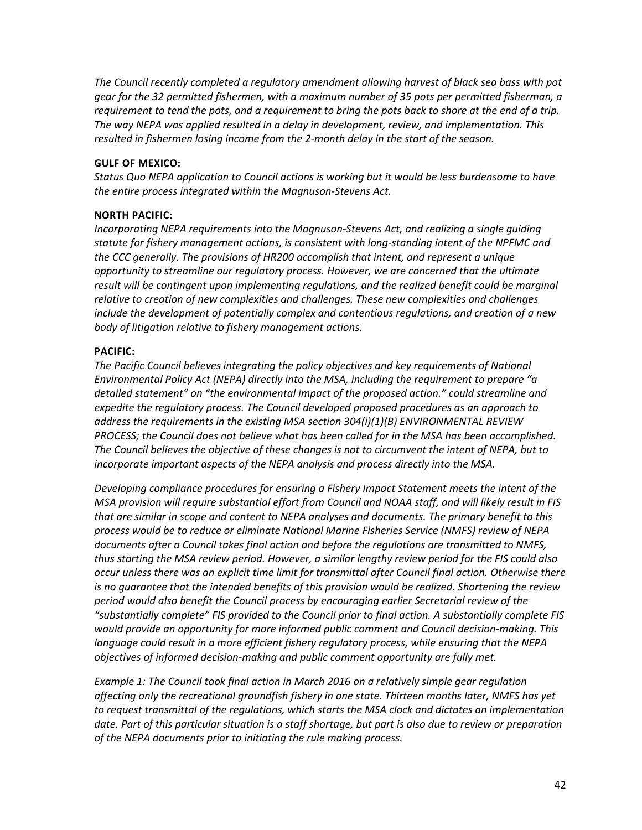*The Council recently completed a regulatory amendment allowing harvest of black sea bass with pot gear for the 32 permitted fishermen, with a maximum number of 35 pots per permitted fisherman, a requirement to tend the pots, and a requirement to bring the pots back to shore at the end of a trip. The way NEPA was applied resulted in a delay in development, review, and implementation. This resulted in fishermen losing income from the 2-month delay in the start of the season.*

#### **GULF OF MEXICO:**

*Status Quo NEPA application to Council actions is working but it would be less burdensome to have the entire process integrated within the Magnuson-Stevens Act.*

#### **NORTH PACIFIC:**

*Incorporating NEPA requirements into the Magnuson-Stevens Act, and realizing a single guiding statute for fishery management actions, is consistent with long-standing intent of the NPFMC and the CCC generally. The provisions of HR200 accomplish that intent, and represent a unique opportunity to streamline our regulatory process. However, we are concerned that the ultimate*  result will be contingent upon implementing regulations, and the realized benefit could be marginal *relative to creation of new complexities and challenges. These new complexities and challenges include the development of potentially complex and contentious regulations, and creation of a new body of litigation relative to fishery management actions.*

#### **PACIFIC:**

*The Pacific Council believes integrating the policy objectives and key requirements of National Environmental Policy Act (NEPA) directly into the MSA, including the requirement to prepare "a detailed statement" on "the environmental impact of the proposed action." could streamline and expedite the regulatory process. The Council developed proposed procedures as an approach to address the requirements in the existing MSA section 304(i)(1)(B) ENVIRONMENTAL REVIEW PROCESS; the Council does not believe what has been called for in the MSA has been accomplished. The Council believes the objective of these changes is not to circumvent the intent of NEPA, but to incorporate important aspects of the NEPA analysis and process directly into the MSA.* 

*Developing compliance procedures for ensuring a Fishery Impact Statement meets the intent of the MSA provision will require substantial effort from Council and NOAA staff, and will likely result in FIS that are similar in scope and content to NEPA analyses and documents. The primary benefit to this process would be to reduce or eliminate National Marine Fisheries Service (NMFS) review of NEPA documents after a Council takes final action and before the regulations are transmitted to NMFS, thus starting the MSA review period. However, a similar lengthy review period for the FIS could also occur unless there was an explicit time limit for transmittal after Council final action. Otherwise there is no guarantee that the intended benefits of this provision would be realized. Shortening the review period would also benefit the Council process by encouraging earlier Secretarial review of the "substantially complete" FIS provided to the Council prior to final action. A substantially complete FIS would provide an opportunity for more informed public comment and Council decision-making. This language could result in a more efficient fishery regulatory process, while ensuring that the NEPA objectives of informed decision-making and public comment opportunity are fully met.* 

*Example 1: The Council took final action in March 2016 on a relatively simple gear regulation affecting only the recreational groundfish fishery in one state. Thirteen months later, NMFS has yet to request transmittal of the regulations, which starts the MSA clock and dictates an implementation date. Part of this particular situation is a staff shortage, but part is also due to review or preparation of the NEPA documents prior to initiating the rule making process.*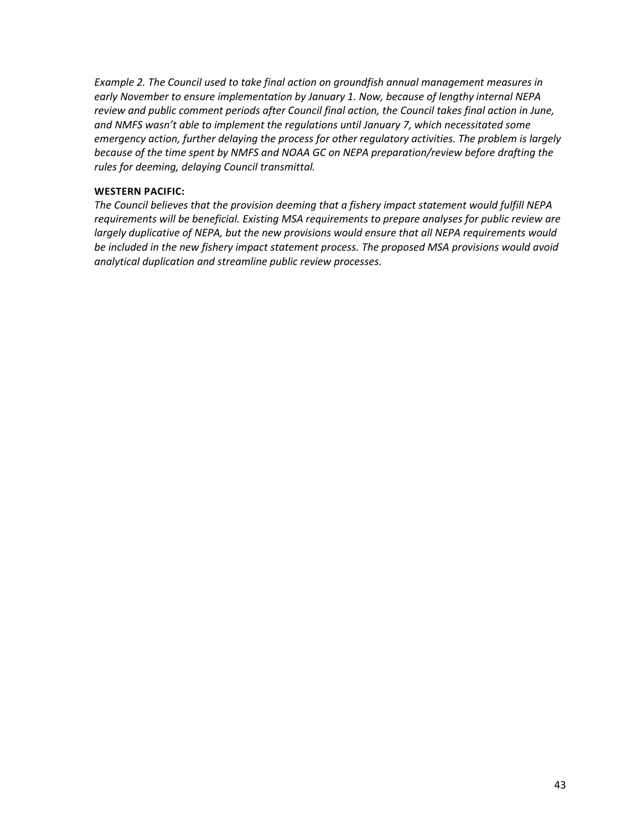*Example 2. The Council used to take final action on groundfish annual management measures in early November to ensure implementation by January 1. Now, because of lengthy internal NEPA review and public comment periods after Council final action, the Council takes final action in June, and NMFS wasn't able to implement the regulations until January 7, which necessitated some emergency action, further delaying the process for other regulatory activities. The problem is largely because of the time spent by NMFS and NOAA GC on NEPA preparation/review before drafting the rules for deeming, delaying Council transmittal.*

#### **WESTERN PACIFIC:**

*The Council believes that the provision deeming that a fishery impact statement would fulfill NEPA requirements will be beneficial. Existing MSA requirements to prepare analyses for public review are largely duplicative of NEPA, but the new provisions would ensure that all NEPA requirements would be included in the new fishery impact statement process. The proposed MSA provisions would avoid analytical duplication and streamline public review processes.*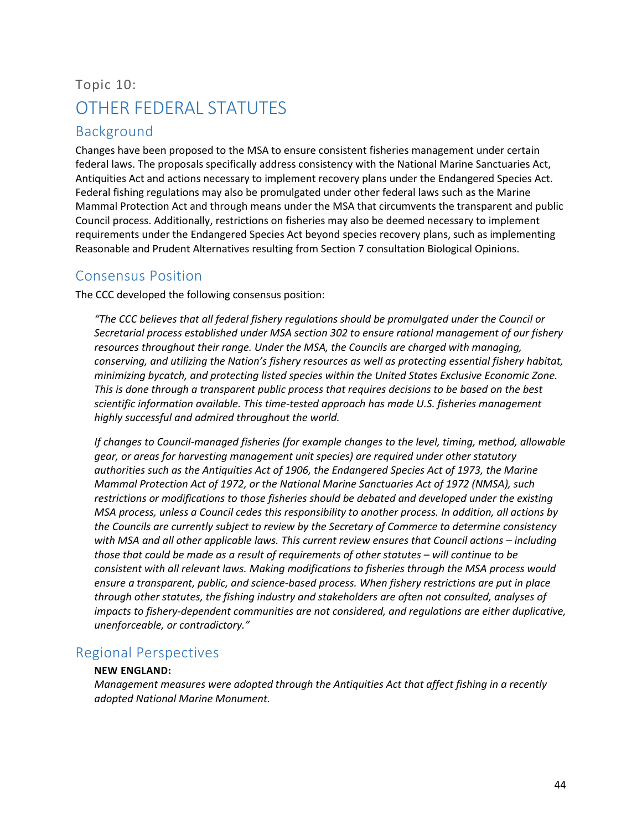## <span id="page-44-0"></span>Topic 10: OTHER FEDERAL STATUTES

## <span id="page-44-1"></span>Background

Changes have been proposed to the MSA to ensure consistent fisheries management under certain federal laws. The proposals specifically address consistency with the National Marine Sanctuaries Act, Antiquities Act and actions necessary to implement recovery plans under the Endangered Species Act. Federal fishing regulations may also be promulgated under other federal laws such as the Marine Mammal Protection Act and through means under the MSA that circumvents the transparent and public Council process. Additionally, restrictions on fisheries may also be deemed necessary to implement requirements under the Endangered Species Act beyond species recovery plans, such as implementing Reasonable and Prudent Alternatives resulting from Section 7 consultation Biological Opinions.

## <span id="page-44-2"></span>Consensus Position

The CCC developed the following consensus position:

*"The CCC believes that all federal fishery regulations should be promulgated under the Council or Secretarial process established under MSA section 302 to ensure rational management of our fishery resources throughout their range. Under the MSA, the Councils are charged with managing, conserving, and utilizing the Nation's fishery resources as well as protecting essential fishery habitat, minimizing bycatch, and protecting listed species within the United States Exclusive Economic Zone. This is done through a transparent public process that requires decisions to be based on the best scientific information available. This time-tested approach has made U.S. fisheries management highly successful and admired throughout the world.* 

*If changes to Council-managed fisheries (for example changes to the level, timing, method, allowable gear, or areas for harvesting management unit species) are required under other statutory authorities such as the Antiquities Act of 1906, the Endangered Species Act of 1973, the Marine Mammal Protection Act of 1972, or the National Marine Sanctuaries Act of 1972 (NMSA), such restrictions or modifications to those fisheries should be debated and developed under the existing MSA process, unless a Council cedes this responsibility to another process. In addition, all actions by the Councils are currently subject to review by the Secretary of Commerce to determine consistency with MSA and all other applicable laws. This current review ensures that Council actions – including those that could be made as a result of requirements of other statutes – will continue to be consistent with all relevant laws. Making modifications to fisheries through the MSA process would ensure a transparent, public, and science-based process. When fishery restrictions are put in place through other statutes, the fishing industry and stakeholders are often not consulted, analyses of impacts to fishery-dependent communities are not considered, and regulations are either duplicative, unenforceable, or contradictory."*

## <span id="page-44-3"></span>Regional Perspectives

#### **NEW ENGLAND:**

*Management measures were adopted through the Antiquities Act that affect fishing in a recently adopted National Marine Monument.*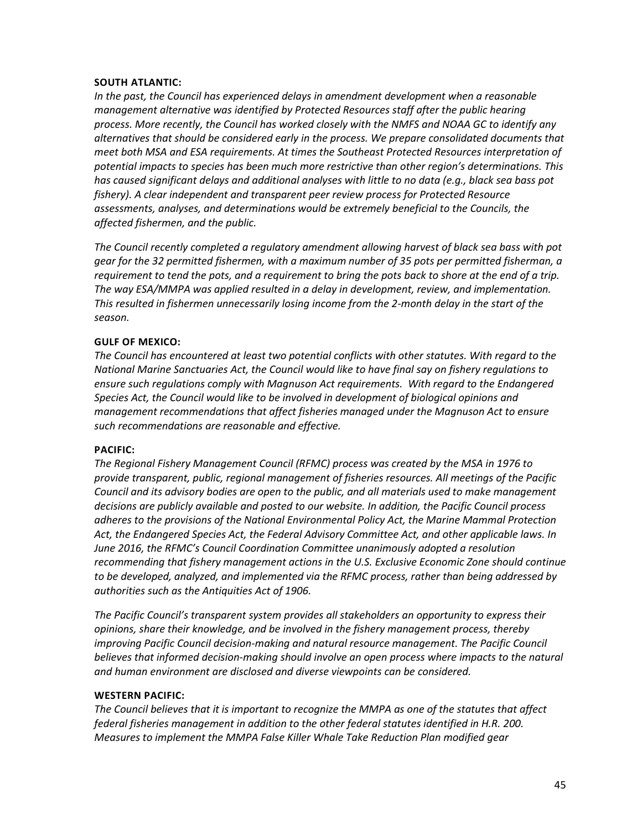#### **SOUTH ATLANTIC:**

*In the past, the Council has experienced delays in amendment development when a reasonable management alternative was identified by Protected Resources staff after the public hearing process. More recently, the Council has worked closely with the NMFS and NOAA GC to identify any alternatives that should be considered early in the process. We prepare consolidated documents that meet both MSA and ESA requirements. At times the Southeast Protected Resources interpretation of potential impacts to species has been much more restrictive than other region's determinations. This has caused significant delays and additional analyses with little to no data (e.g., black sea bass pot fishery). A clear independent and transparent peer review process for Protected Resource assessments, analyses, and determinations would be extremely beneficial to the Councils, the affected fishermen, and the public.*

*The Council recently completed a regulatory amendment allowing harvest of black sea bass with pot gear for the 32 permitted fishermen, with a maximum number of 35 pots per permitted fisherman, a requirement to tend the pots, and a requirement to bring the pots back to shore at the end of a trip. The way ESA/MMPA was applied resulted in a delay in development, review, and implementation. This resulted in fishermen unnecessarily losing income from the 2-month delay in the start of the season.*

#### **GULF OF MEXICO:**

*The Council has encountered at least two potential conflicts with other statutes. With regard to the National Marine Sanctuaries Act, the Council would like to have final say on fishery regulations to ensure such regulations comply with Magnuson Act requirements. With regard to the Endangered Species Act, the Council would like to be involved in development of biological opinions and management recommendations that affect fisheries managed under the Magnuson Act to ensure such recommendations are reasonable and effective.*

#### **PACIFIC:**

*The Regional Fishery Management Council (RFMC) process was created by the MSA in 1976 to provide transparent, public, regional management of fisheries resources. All meetings of the Pacific Council and its advisory bodies are open to the public, and all materials used to make management decisions are publicly available and posted to our website. In addition, the Pacific Council process adheres to the provisions of the National Environmental Policy Act, the Marine Mammal Protection Act, the Endangered Species Act, the Federal Advisory Committee Act, and other applicable laws. In June 2016, the RFMC's Council Coordination Committee unanimously adopted a resolution recommending that fishery management actions in the U.S. Exclusive Economic Zone should continue to be developed, analyzed, and implemented via the RFMC process, rather than being addressed by authorities such as the Antiquities Act of 1906.* 

*The Pacific Council's transparent system provides all stakeholders an opportunity to express their opinions, share their knowledge, and be involved in the fishery management process, thereby improving Pacific Council decision-making and natural resource management. The Pacific Council* believes that informed decision-making should involve an open process where impacts to the natural *and human environment are disclosed and diverse viewpoints can be considered.*

#### **WESTERN PACIFIC:**

*The Council believes that it is important to recognize the MMPA as one of the statutes that affect federal fisheries management in addition to the other federal statutes identified in H.R. 200. Measures to implement the MMPA False Killer Whale Take Reduction Plan modified gear*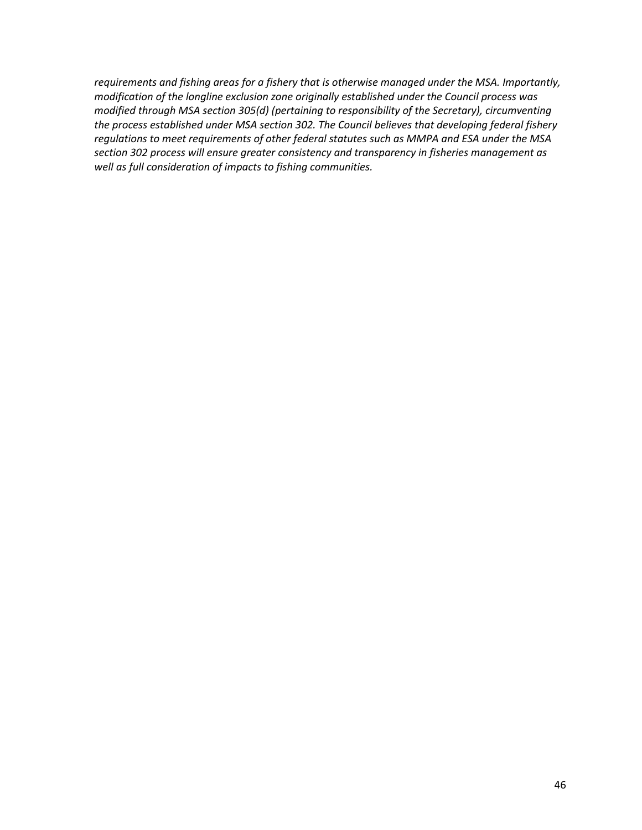*requirements and fishing areas for a fishery that is otherwise managed under the MSA. Importantly, modification of the longline exclusion zone originally established under the Council process was modified through MSA section 305(d) (pertaining to responsibility of the Secretary), circumventing the process established under MSA section 302. The Council believes that developing federal fishery regulations to meet requirements of other federal statutes such as MMPA and ESA under the MSA section 302 process will ensure greater consistency and transparency in fisheries management as well as full consideration of impacts to fishing communities.*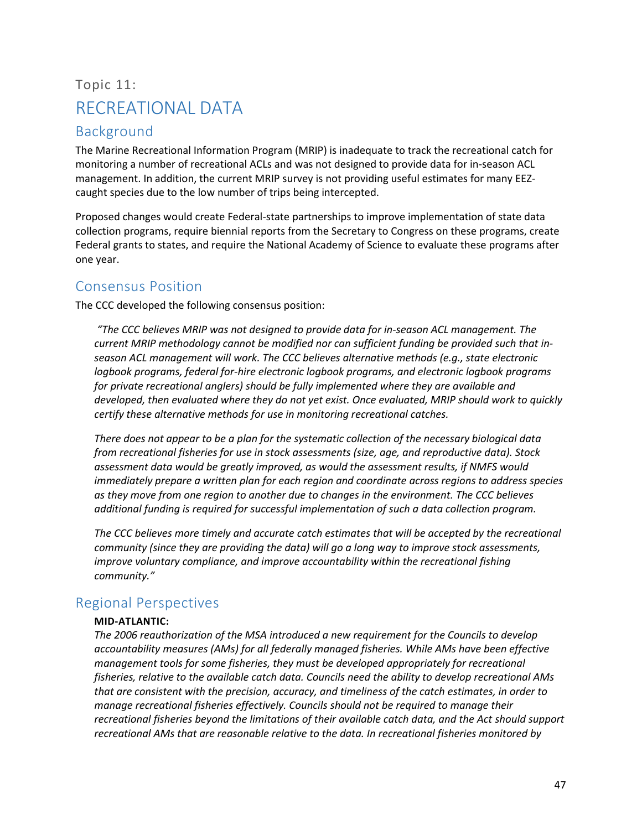## <span id="page-47-0"></span>Topic 11: RECREATIONAL DATA

## <span id="page-47-1"></span>Background

The Marine Recreational Information Program (MRIP) is inadequate to track the recreational catch for monitoring a number of recreational ACLs and was not designed to provide data for in-season ACL management. In addition, the current MRIP survey is not providing useful estimates for many EEZcaught species due to the low number of trips being intercepted.

Proposed changes would create Federal-state partnerships to improve implementation of state data collection programs, require biennial reports from the Secretary to Congress on these programs, create Federal grants to states, and require the National Academy of Science to evaluate these programs after one year.

## <span id="page-47-2"></span>Consensus Position

The CCC developed the following consensus position:

*"The CCC believes MRIP was not designed to provide data for in-season ACL management. The current MRIP methodology cannot be modified nor can sufficient funding be provided such that inseason ACL management will work. The CCC believes alternative methods (e.g., state electronic logbook programs, federal for-hire electronic logbook programs, and electronic logbook programs for private recreational anglers) should be fully implemented where they are available and developed, then evaluated where they do not yet exist. Once evaluated, MRIP should work to quickly certify these alternative methods for use in monitoring recreational catches.*

*There does not appear to be a plan for the systematic collection of the necessary biological data from recreational fisheries for use in stock assessments (size, age, and reproductive data). Stock assessment data would be greatly improved, as would the assessment results, if NMFS would immediately prepare a written plan for each region and coordinate across regions to address species as they move from one region to another due to changes in the environment. The CCC believes additional funding is required for successful implementation of such a data collection program.*

*The CCC believes more timely and accurate catch estimates that will be accepted by the recreational community (since they are providing the data) will go a long way to improve stock assessments, improve voluntary compliance, and improve accountability within the recreational fishing community."*

## <span id="page-47-3"></span>Regional Perspectives

#### **MID-ATLANTIC:**

*The 2006 reauthorization of the MSA introduced a new requirement for the Councils to develop accountability measures (AMs) for all federally managed fisheries. While AMs have been effective management tools for some fisheries, they must be developed appropriately for recreational fisheries, relative to the available catch data. Councils need the ability to develop recreational AMs that are consistent with the precision, accuracy, and timeliness of the catch estimates, in order to manage recreational fisheries effectively. Councils should not be required to manage their recreational fisheries beyond the limitations of their available catch data, and the Act should support recreational AMs that are reasonable relative to the data. In recreational fisheries monitored by*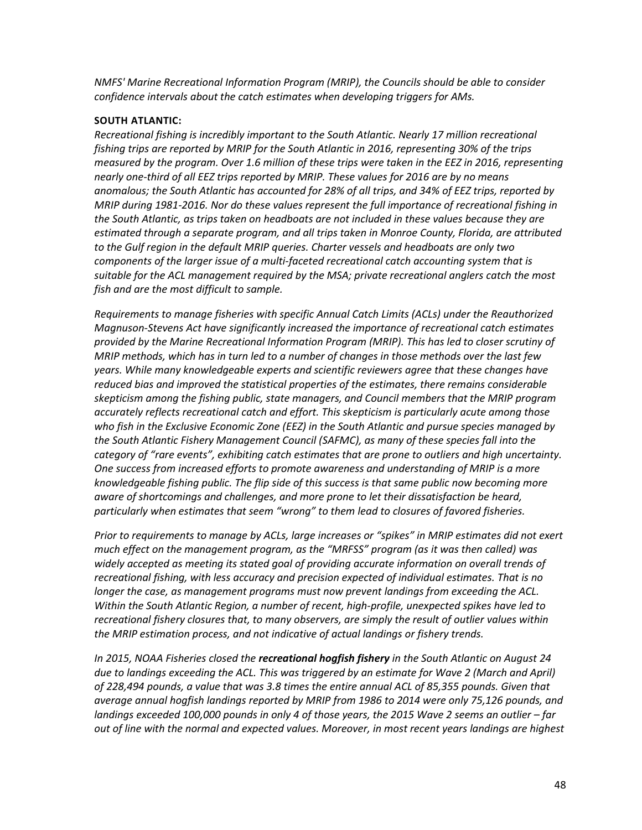*NMFS' Marine Recreational Information Program (MRIP), the Councils should be able to consider confidence intervals about the catch estimates when developing triggers for AMs.*

#### **SOUTH ATLANTIC:**

*Recreational fishing is incredibly important to the South Atlantic. Nearly 17 million recreational fishing trips are reported by MRIP for the South Atlantic in 2016, representing 30% of the trips measured by the program. Over 1.6 million of these trips were taken in the EEZ in 2016, representing nearly one-third of all EEZ trips reported by MRIP. These values for 2016 are by no means anomalous; the South Atlantic has accounted for 28% of all trips, and 34% of EEZ trips, reported by MRIP during 1981-2016. Nor do these values represent the full importance of recreational fishing in the South Atlantic, as trips taken on headboats are not included in these values because they are estimated through a separate program, and all trips taken in Monroe County, Florida, are attributed to the Gulf region in the default MRIP queries. Charter vessels and headboats are only two components of the larger issue of a multi-faceted recreational catch accounting system that is suitable for the ACL management required by the MSA; private recreational anglers catch the most fish and are the most difficult to sample.*

*Requirements to manage fisheries with specific Annual Catch Limits (ACLs) under the Reauthorized Magnuson-Stevens Act have significantly increased the importance of recreational catch estimates provided by the Marine Recreational Information Program (MRIP). This has led to closer scrutiny of MRIP methods, which has in turn led to a number of changes in those methods over the last few years. While many knowledgeable experts and scientific reviewers agree that these changes have reduced bias and improved the statistical properties of the estimates, there remains considerable skepticism among the fishing public, state managers, and Council members that the MRIP program accurately reflects recreational catch and effort. This skepticism is particularly acute among those who fish in the Exclusive Economic Zone (EEZ) in the South Atlantic and pursue species managed by the South Atlantic Fishery Management Council (SAFMC), as many of these species fall into the category of "rare events", exhibiting catch estimates that are prone to outliers and high uncertainty. One success from increased efforts to promote awareness and understanding of MRIP is a more knowledgeable fishing public. The flip side of this success is that same public now becoming more aware of shortcomings and challenges, and more prone to let their dissatisfaction be heard, particularly when estimates that seem "wrong" to them lead to closures of favored fisheries.*

*Prior to requirements to manage by ACLs, large increases or "spikes" in MRIP estimates did not exert much effect on the management program, as the "MRFSS" program (as it was then called) was widely accepted as meeting its stated goal of providing accurate information on overall trends of recreational fishing, with less accuracy and precision expected of individual estimates. That is no longer the case, as management programs must now prevent landings from exceeding the ACL. Within the South Atlantic Region, a number of recent, high-profile, unexpected spikes have led to recreational fishery closures that, to many observers, are simply the result of outlier values within the MRIP estimation process, and not indicative of actual landings or fishery trends.* 

*In 2015, NOAA Fisheries closed the recreational hogfish fishery in the South Atlantic on August 24 due to landings exceeding the ACL. This was triggered by an estimate for Wave 2 (March and April) of 228,494 pounds, a value that was 3.8 times the entire annual ACL of 85,355 pounds. Given that average annual hogfish landings reported by MRIP from 1986 to 2014 were only 75,126 pounds, and landings exceeded 100,000 pounds in only 4 of those years, the 2015 Wave 2 seems an outlier – far out of line with the normal and expected values. Moreover, in most recent years landings are highest*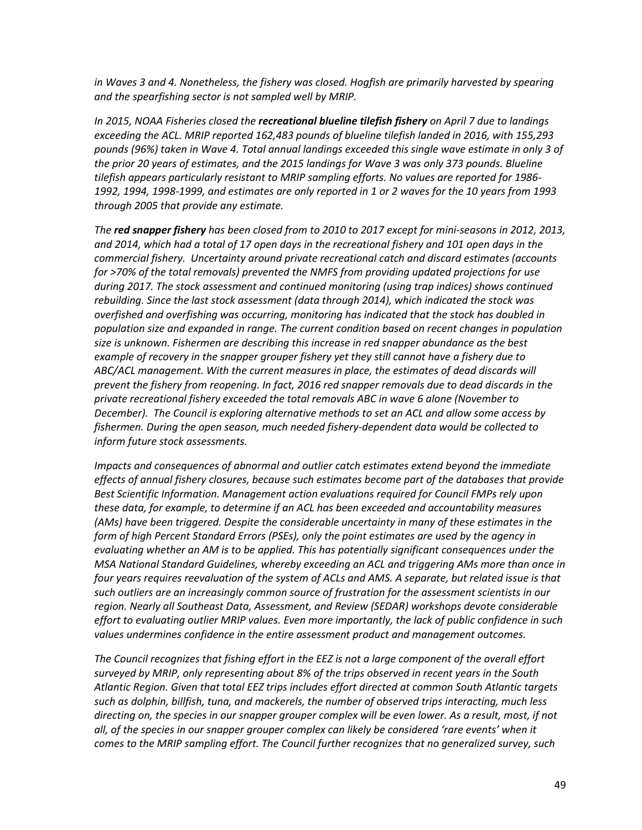*in Waves 3 and 4. Nonetheless, the fishery was closed. Hogfish are primarily harvested by spearing and the spearfishing sector is not sampled well by MRIP.*

*In 2015, NOAA Fisheries closed the recreational blueline tilefish fishery on April 7 due to landings exceeding the ACL. MRIP reported 162,483 pounds of blueline tilefish landed in 2016, with 155,293 pounds (96%) taken in Wave 4. Total annual landings exceeded this single wave estimate in only 3 of the prior 20 years of estimates, and the 2015 landings for Wave 3 was only 373 pounds. Blueline tilefish appears particularly resistant to MRIP sampling efforts. No values are reported for 1986- 1992, 1994, 1998-1999, and estimates are only reported in 1 or 2 waves for the 10 years from 1993 through 2005 that provide any estimate.*

*The red snapper fishery has been closed from to 2010 to 2017 except for mini-seasons in 2012, 2013, and 2014, which had a total of 17 open days in the recreational fishery and 101 open days in the commercial fishery. Uncertainty around private recreational catch and discard estimates (accounts for >70% of the total removals) prevented the NMFS from providing updated projections for use during 2017. The stock assessment and continued monitoring (using trap indices) shows continued rebuilding. Since the last stock assessment (data through 2014), which indicated the stock was overfished and overfishing was occurring, monitoring has indicated that the stock has doubled in population size and expanded in range. The current condition based on recent changes in population size is unknown. Fishermen are describing this increase in red snapper abundance as the best example of recovery in the snapper grouper fishery yet they still cannot have a fishery due to ABC/ACL management. With the current measures in place, the estimates of dead discards will prevent the fishery from reopening. In fact, 2016 red snapper removals due to dead discards in the private recreational fishery exceeded the total removals ABC in wave 6 alone (November to December). The Council is exploring alternative methods to set an ACL and allow some access by fishermen. During the open season, much needed fishery-dependent data would be collected to inform future stock assessments.*

*Impacts and consequences of abnormal and outlier catch estimates extend beyond the immediate effects of annual fishery closures, because such estimates become part of the databases that provide Best Scientific Information. Management action evaluations required for Council FMPs rely upon these data, for example, to determine if an ACL has been exceeded and accountability measures (AMs) have been triggered. Despite the considerable uncertainty in many of these estimates in the form of high Percent Standard Errors (PSEs), only the point estimates are used by the agency in evaluating whether an AM is to be applied. This has potentially significant consequences under the MSA National Standard Guidelines, whereby exceeding an ACL and triggering AMs more than once in four years requires reevaluation of the system of ACLs and AMS. A separate, but related issue is that such outliers are an increasingly common source of frustration for the assessment scientists in our region. Nearly all Southeast Data, Assessment, and Review (SEDAR) workshops devote considerable effort to evaluating outlier MRIP values. Even more importantly, the lack of public confidence in such values undermines confidence in the entire assessment product and management outcomes.*

*The Council recognizes that fishing effort in the EEZ is not a large component of the overall effort surveyed by MRIP, only representing about 8% of the trips observed in recent years in the South Atlantic Region. Given that total EEZ trips includes effort directed at common South Atlantic targets such as dolphin, billfish, tuna, and mackerels, the number of observed trips interacting, much less directing on, the species in our snapper grouper complex will be even lower. As a result, most, if not all, of the species in our snapper grouper complex can likely be considered 'rare events' when it comes to the MRIP sampling effort. The Council further recognizes that no generalized survey, such*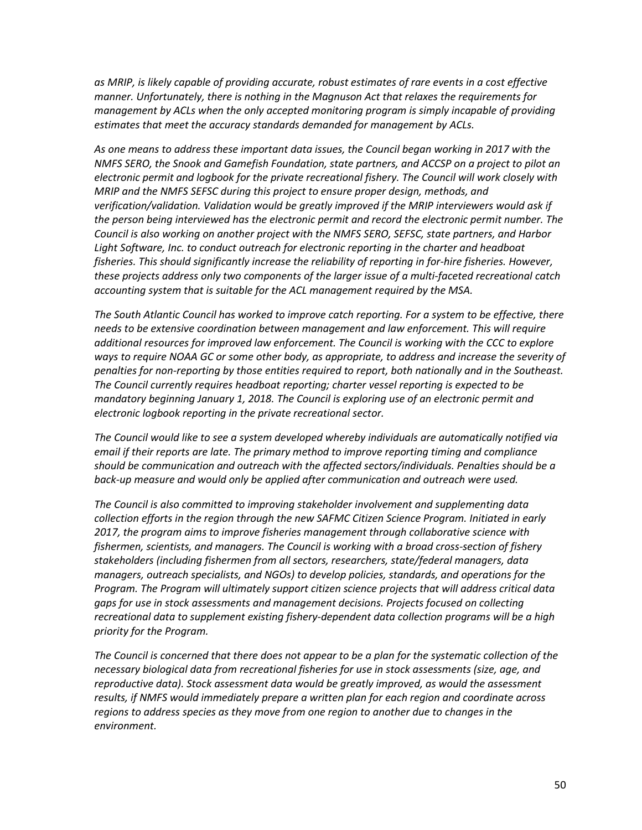*as MRIP, is likely capable of providing accurate, robust estimates of rare events in a cost effective manner. Unfortunately, there is nothing in the Magnuson Act that relaxes the requirements for management by ACLs when the only accepted monitoring program is simply incapable of providing estimates that meet the accuracy standards demanded for management by ACLs.*

*As one means to address these important data issues, the Council began working in 2017 with the NMFS SERO, the Snook and Gamefish Foundation, state partners, and ACCSP on a project to pilot an electronic permit and logbook for the private recreational fishery. The Council will work closely with MRIP and the NMFS SEFSC during this project to ensure proper design, methods, and verification/validation. Validation would be greatly improved if the MRIP interviewers would ask if the person being interviewed has the electronic permit and record the electronic permit number. The Council is also working on another project with the NMFS SERO, SEFSC, state partners, and Harbor Light Software, Inc. to conduct outreach for electronic reporting in the charter and headboat fisheries. This should significantly increase the reliability of reporting in for-hire fisheries. However, these projects address only two components of the larger issue of a multi-faceted recreational catch accounting system that is suitable for the ACL management required by the MSA.*

*The South Atlantic Council has worked to improve catch reporting. For a system to be effective, there needs to be extensive coordination between management and law enforcement. This will require additional resources for improved law enforcement. The Council is working with the CCC to explore ways to require NOAA GC or some other body, as appropriate, to address and increase the severity of penalties for non-reporting by those entities required to report, both nationally and in the Southeast. The Council currently requires headboat reporting; charter vessel reporting is expected to be mandatory beginning January 1, 2018. The Council is exploring use of an electronic permit and electronic logbook reporting in the private recreational sector.*

*The Council would like to see a system developed whereby individuals are automatically notified via email if their reports are late. The primary method to improve reporting timing and compliance should be communication and outreach with the affected sectors/individuals. Penalties should be a back-up measure and would only be applied after communication and outreach were used.*

*The Council is also committed to improving stakeholder involvement and supplementing data collection efforts in the region through the new SAFMC Citizen Science Program. Initiated in early 2017, the program aims to improve fisheries management through collaborative science with fishermen, scientists, and managers. The Council is working with a broad cross-section of fishery stakeholders (including fishermen from all sectors, researchers, state/federal managers, data managers, outreach specialists, and NGOs) to develop policies, standards, and operations for the Program. The Program will ultimately support citizen science projects that will address critical data gaps for use in stock assessments and management decisions. Projects focused on collecting recreational data to supplement existing fishery-dependent data collection programs will be a high priority for the Program.*

*The Council is concerned that there does not appear to be a plan for the systematic collection of the necessary biological data from recreational fisheries for use in stock assessments (size, age, and reproductive data). Stock assessment data would be greatly improved, as would the assessment results, if NMFS would immediately prepare a written plan for each region and coordinate across regions to address species as they move from one region to another due to changes in the environment.*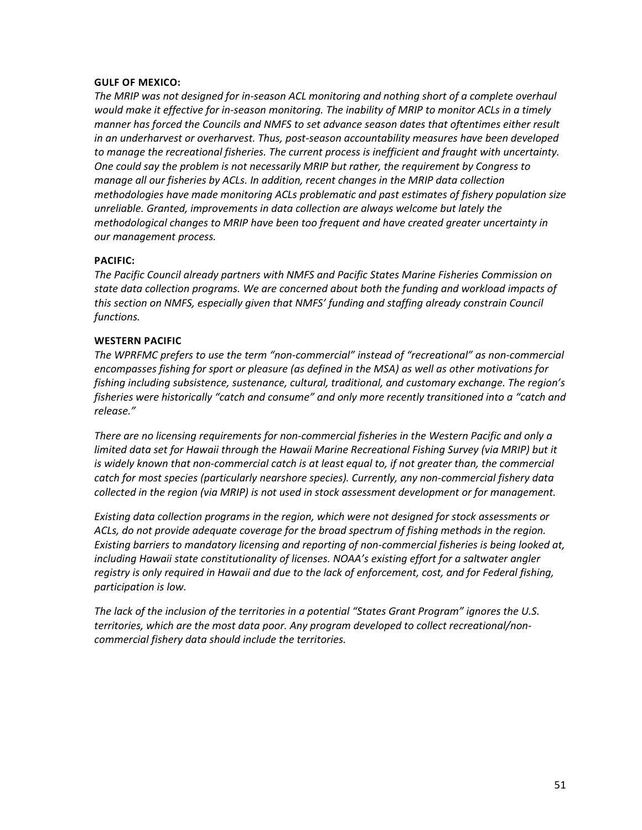#### **GULF OF MEXICO:**

*The MRIP was not designed for in-season ACL monitoring and nothing short of a complete overhaul would make it effective for in-season monitoring. The inability of MRIP to monitor ACLs in a timely manner has forced the Councils and NMFS to set advance season dates that oftentimes either result in an underharvest or overharvest. Thus, post-season accountability measures have been developed to manage the recreational fisheries. The current process is inefficient and fraught with uncertainty. One could say the problem is not necessarily MRIP but rather, the requirement by Congress to manage all our fisheries by ACLs. In addition, recent changes in the MRIP data collection methodologies have made monitoring ACLs problematic and past estimates of fishery population size unreliable. Granted, improvements in data collection are always welcome but lately the methodological changes to MRIP have been too frequent and have created greater uncertainty in our management process.*

#### **PACIFIC:**

*The Pacific Council already partners with NMFS and Pacific States Marine Fisheries Commission on state data collection programs. We are concerned about both the funding and workload impacts of this section on NMFS, especially given that NMFS' funding and staffing already constrain Council functions.*

#### **WESTERN PACIFIC**

*The WPRFMC prefers to use the term "non-commercial" instead of "recreational" as non-commercial encompasses fishing for sport or pleasure (as defined in the MSA) as well as other motivations for fishing including subsistence, sustenance, cultural, traditional, and customary exchange. The region's fisheries were historically "catch and consume" and only more recently transitioned into a "catch and release."*

*There are no licensing requirements for non-commercial fisheries in the Western Pacific and only a*  limited data set for Hawaii through the Hawaii Marine Recreational Fishing Survey (via MRIP) but it is widely known that non-commercial catch is at least equal to, if not greater than, the commercial *catch for most species (particularly nearshore species). Currently, any non-commercial fishery data collected in the region (via MRIP) is not used in stock assessment development or for management.*

*Existing data collection programs in the region, which were not designed for stock assessments or ACLs, do not provide adequate coverage for the broad spectrum of fishing methods in the region. Existing barriers to mandatory licensing and reporting of non-commercial fisheries is being looked at, including Hawaii state constitutionality of licenses. NOAA's existing effort for a saltwater angler registry is only required in Hawaii and due to the lack of enforcement, cost, and for Federal fishing, participation is low.*

*The lack of the inclusion of the territories in a potential "States Grant Program" ignores the U.S. territories, which are the most data poor. Any program developed to collect recreational/noncommercial fishery data should include the territories.*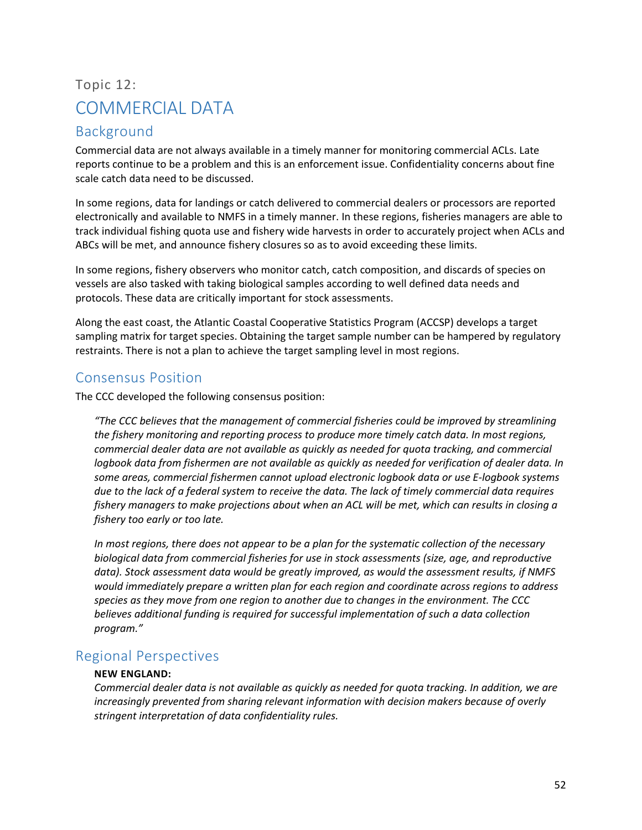## <span id="page-52-0"></span>Topic 12: COMMERCIAL DATA

## <span id="page-52-1"></span>Background

Commercial data are not always available in a timely manner for monitoring commercial ACLs. Late reports continue to be a problem and this is an enforcement issue. Confidentiality concerns about fine scale catch data need to be discussed.

In some regions, data for landings or catch delivered to commercial dealers or processors are reported electronically and available to NMFS in a timely manner. In these regions, fisheries managers are able to track individual fishing quota use and fishery wide harvests in order to accurately project when ACLs and ABCs will be met, and announce fishery closures so as to avoid exceeding these limits.

In some regions, fishery observers who monitor catch, catch composition, and discards of species on vessels are also tasked with taking biological samples according to well defined data needs and protocols. These data are critically important for stock assessments.

Along the east coast, the Atlantic Coastal Cooperative Statistics Program (ACCSP) develops a target sampling matrix for target species. Obtaining the target sample number can be hampered by regulatory restraints. There is not a plan to achieve the target sampling level in most regions.

## <span id="page-52-2"></span>Consensus Position

The CCC developed the following consensus position:

*"The CCC believes that the management of commercial fisheries could be improved by streamlining the fishery monitoring and reporting process to produce more timely catch data. In most regions, commercial dealer data are not available as quickly as needed for quota tracking, and commercial logbook data from fishermen are not available as quickly as needed for verification of dealer data. In some areas, commercial fishermen cannot upload electronic logbook data or use E-logbook systems due to the lack of a federal system to receive the data. The lack of timely commercial data requires fishery managers to make projections about when an ACL will be met, which can results in closing a fishery too early or too late.*

*In most regions, there does not appear to be a plan for the systematic collection of the necessary biological data from commercial fisheries for use in stock assessments (size, age, and reproductive data). Stock assessment data would be greatly improved, as would the assessment results, if NMFS would immediately prepare a written plan for each region and coordinate across regions to address species as they move from one region to another due to changes in the environment. The CCC believes additional funding is required for successful implementation of such a data collection program."*

## <span id="page-52-3"></span>Regional Perspectives

#### **NEW ENGLAND:**

*Commercial dealer data is not available as quickly as needed for quota tracking. In addition, we are increasingly prevented from sharing relevant information with decision makers because of overly stringent interpretation of data confidentiality rules.*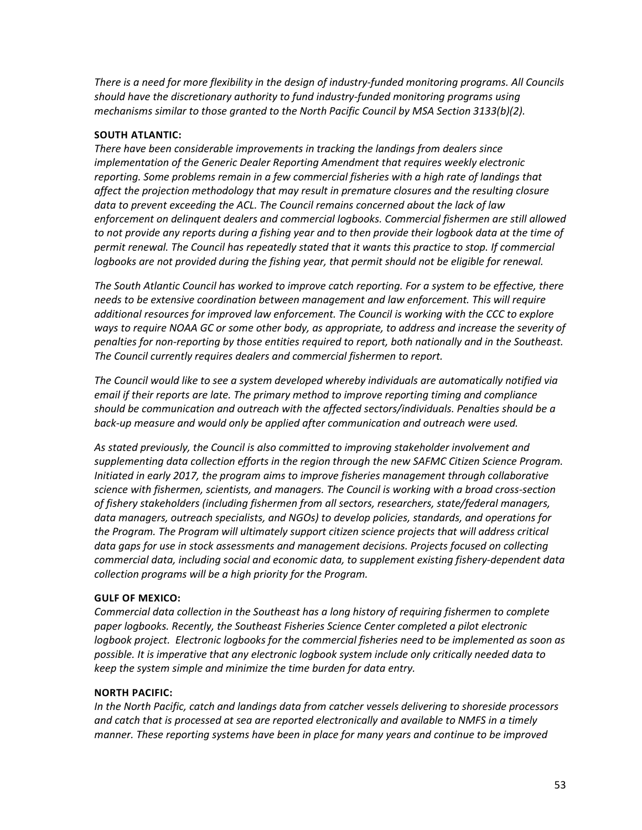*There is a need for more flexibility in the design of industry-funded monitoring programs. All Councils should have the discretionary authority to fund industry-funded monitoring programs using mechanisms similar to those granted to the North Pacific Council by MSA Section 3133(b)(2).*

#### **SOUTH ATLANTIC:**

*There have been considerable improvements in tracking the landings from dealers since implementation of the Generic Dealer Reporting Amendment that requires weekly electronic reporting. Some problems remain in a few commercial fisheries with a high rate of landings that affect the projection methodology that may result in premature closures and the resulting closure data to prevent exceeding the ACL. The Council remains concerned about the lack of law enforcement on delinquent dealers and commercial logbooks. Commercial fishermen are still allowed to not provide any reports during a fishing year and to then provide their logbook data at the time of permit renewal. The Council has repeatedly stated that it wants this practice to stop. If commercial logbooks are not provided during the fishing year, that permit should not be eligible for renewal.*

*The South Atlantic Council has worked to improve catch reporting. For a system to be effective, there needs to be extensive coordination between management and law enforcement. This will require additional resources for improved law enforcement. The Council is working with the CCC to explore ways to require NOAA GC or some other body, as appropriate, to address and increase the severity of penalties for non-reporting by those entities required to report, both nationally and in the Southeast. The Council currently requires dealers and commercial fishermen to report.* 

*The Council would like to see a system developed whereby individuals are automatically notified via email if their reports are late. The primary method to improve reporting timing and compliance should be communication and outreach with the affected sectors/individuals. Penalties should be a back-up measure and would only be applied after communication and outreach were used.*

*As stated previously, the Council is also committed to improving stakeholder involvement and supplementing data collection efforts in the region through the new SAFMC Citizen Science Program. Initiated in early 2017, the program aims to improve fisheries management through collaborative science with fishermen, scientists, and managers. The Council is working with a broad cross-section of fishery stakeholders (including fishermen from all sectors, researchers, state/federal managers, data managers, outreach specialists, and NGOs) to develop policies, standards, and operations for the Program. The Program will ultimately support citizen science projects that will address critical data gaps for use in stock assessments and management decisions. Projects focused on collecting commercial data, including social and economic data, to supplement existing fishery-dependent data collection programs will be a high priority for the Program.* 

#### **GULF OF MEXICO:**

*Commercial data collection in the Southeast has a long history of requiring fishermen to complete paper logbooks. Recently, the Southeast Fisheries Science Center completed a pilot electronic logbook project. Electronic logbooks for the commercial fisheries need to be implemented as soon as possible. It is imperative that any electronic logbook system include only critically needed data to keep the system simple and minimize the time burden for data entry.*

#### **NORTH PACIFIC:**

*In the North Pacific, catch and landings data from catcher vessels delivering to shoreside processors and catch that is processed at sea are reported electronically and available to NMFS in a timely manner. These reporting systems have been in place for many years and continue to be improved*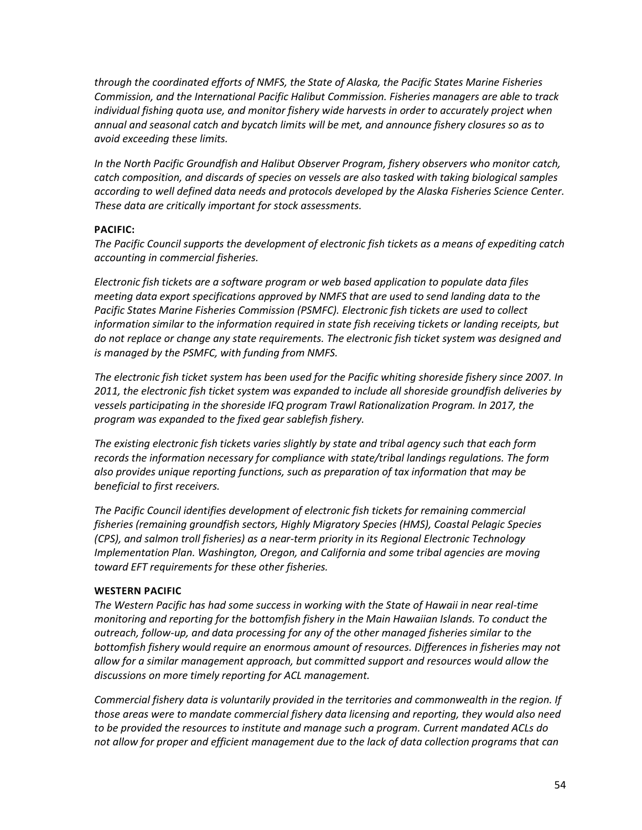*through the coordinated efforts of NMFS, the State of Alaska, the Pacific States Marine Fisheries Commission, and the International Pacific Halibut Commission. Fisheries managers are able to track individual fishing quota use, and monitor fishery wide harvests in order to accurately project when annual and seasonal catch and bycatch limits will be met, and announce fishery closures so as to avoid exceeding these limits.*

*In the North Pacific Groundfish and Halibut Observer Program, fishery observers who monitor catch, catch composition, and discards of species on vessels are also tasked with taking biological samples according to well defined data needs and protocols developed by the Alaska Fisheries Science Center. These data are critically important for stock assessments.*

#### **PACIFIC:**

*The Pacific Council supports the development of electronic fish tickets as a means of expediting catch accounting in commercial fisheries.*

*Electronic fish tickets are a software program or web based application to populate data files meeting data export specifications approved by NMFS that are used to send landing data to the Pacific States Marine Fisheries Commission (PSMFC). Electronic fish tickets are used to collect information similar to the information required in state fish receiving tickets or landing receipts, but do not replace or change any state requirements. The electronic fish ticket system was designed and is managed by the PSMFC, with funding from NMFS.* 

*The electronic fish ticket system has been used for the Pacific whiting shoreside fishery since 2007. In 2011, the electronic fish ticket system was expanded to include all shoreside groundfish deliveries by vessels participating in the shoreside IFQ program Trawl Rationalization Program. In 2017, the program was expanded to the fixed gear sablefish fishery.*

*The existing electronic fish tickets varies slightly by state and tribal agency such that each form records the information necessary for compliance with state/tribal landings regulations. The form also provides unique reporting functions, such as preparation of tax information that may be beneficial to first receivers.* 

*The Pacific Council identifies development of electronic fish tickets for remaining commercial fisheries (remaining groundfish sectors, Highly Migratory Species (HMS), Coastal Pelagic Species (CPS), and salmon troll fisheries) as a near-term priority in its Regional Electronic Technology Implementation Plan. Washington, Oregon, and California and some tribal agencies are moving toward EFT requirements for these other fisheries.*

#### **WESTERN PACIFIC**

*The Western Pacific has had some success in working with the State of Hawaii in near real-time monitoring and reporting for the bottomfish fishery in the Main Hawaiian Islands. To conduct the outreach, follow-up, and data processing for any of the other managed fisheries similar to the bottomfish fishery would require an enormous amount of resources. Differences in fisheries may not allow for a similar management approach, but committed support and resources would allow the discussions on more timely reporting for ACL management.*

*Commercial fishery data is voluntarily provided in the territories and commonwealth in the region. If those areas were to mandate commercial fishery data licensing and reporting, they would also need to be provided the resources to institute and manage such a program. Current mandated ACLs do not allow for proper and efficient management due to the lack of data collection programs that can*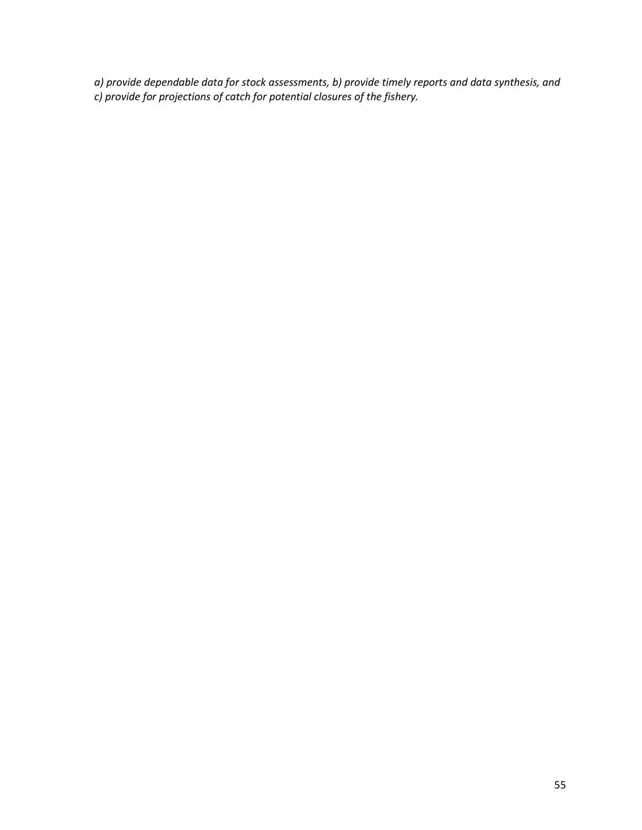*a) provide dependable data for stock assessments, b) provide timely reports and data synthesis, and c) provide for projections of catch for potential closures of the fishery.*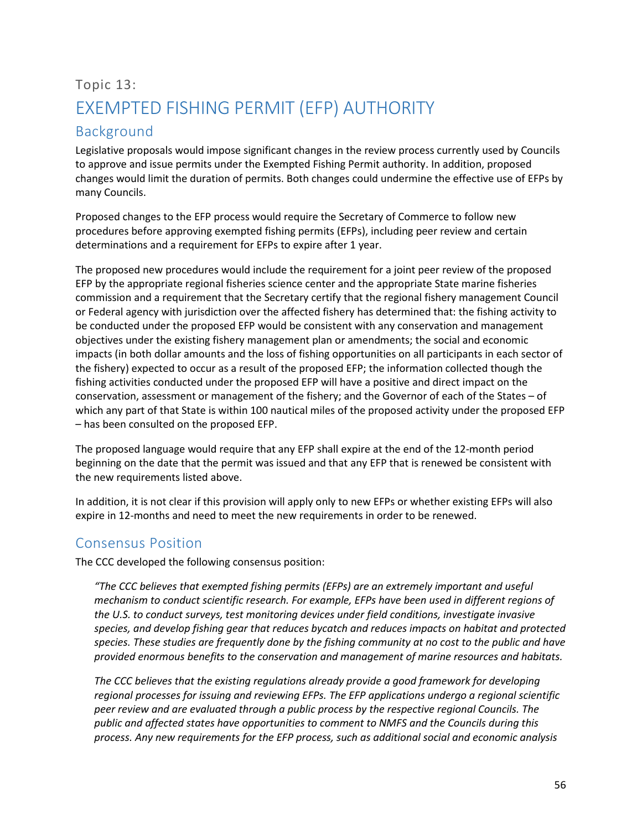## <span id="page-56-0"></span>Topic 13: EXEMPTED FISHING PERMIT (EFP) AUTHORITY

## <span id="page-56-1"></span>Background

Legislative proposals would impose significant changes in the review process currently used by Councils to approve and issue permits under the Exempted Fishing Permit authority. In addition, proposed changes would limit the duration of permits. Both changes could undermine the effective use of EFPs by many Councils.

Proposed changes to the EFP process would require the Secretary of Commerce to follow new procedures before approving exempted fishing permits (EFPs), including peer review and certain determinations and a requirement for EFPs to expire after 1 year.

The proposed new procedures would include the requirement for a joint peer review of the proposed EFP by the appropriate regional fisheries science center and the appropriate State marine fisheries commission and a requirement that the Secretary certify that the regional fishery management Council or Federal agency with jurisdiction over the affected fishery has determined that: the fishing activity to be conducted under the proposed EFP would be consistent with any conservation and management objectives under the existing fishery management plan or amendments; the social and economic impacts (in both dollar amounts and the loss of fishing opportunities on all participants in each sector of the fishery) expected to occur as a result of the proposed EFP; the information collected though the fishing activities conducted under the proposed EFP will have a positive and direct impact on the conservation, assessment or management of the fishery; and the Governor of each of the States – of which any part of that State is within 100 nautical miles of the proposed activity under the proposed EFP – has been consulted on the proposed EFP.

The proposed language would require that any EFP shall expire at the end of the 12-month period beginning on the date that the permit was issued and that any EFP that is renewed be consistent with the new requirements listed above.

In addition, it is not clear if this provision will apply only to new EFPs or whether existing EFPs will also expire in 12-months and need to meet the new requirements in order to be renewed.

## <span id="page-56-2"></span>Consensus Position

The CCC developed the following consensus position:

*"The CCC believes that exempted fishing permits (EFPs) are an extremely important and useful mechanism to conduct scientific research. For example, EFPs have been used in different regions of the U.S. to conduct surveys, test monitoring devices under field conditions, investigate invasive species, and develop fishing gear that reduces bycatch and reduces impacts on habitat and protected species. These studies are frequently done by the fishing community at no cost to the public and have provided enormous benefits to the conservation and management of marine resources and habitats.*

*The CCC believes that the existing regulations already provide a good framework for developing regional processes for issuing and reviewing EFPs. The EFP applications undergo a regional scientific peer review and are evaluated through a public process by the respective regional Councils. The public and affected states have opportunities to comment to NMFS and the Councils during this process. Any new requirements for the EFP process, such as additional social and economic analysis*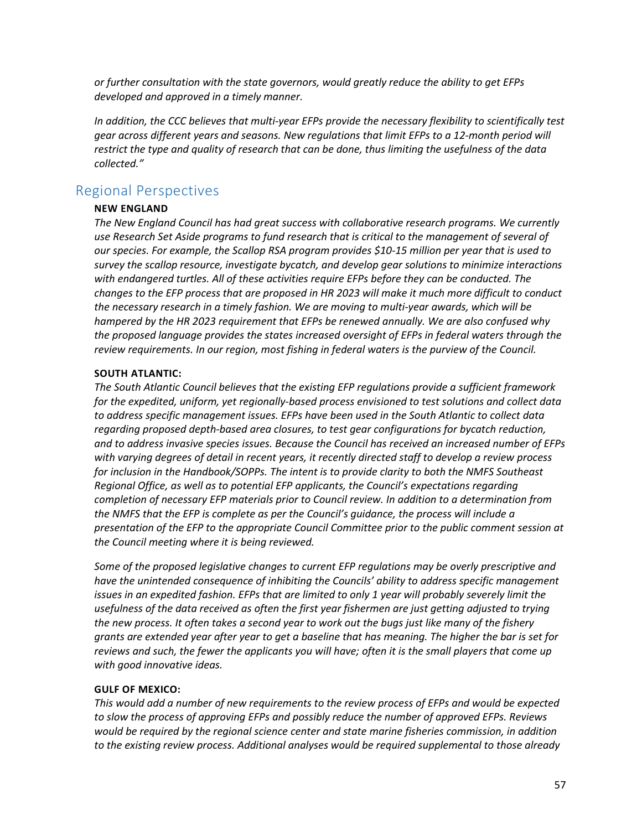*or further consultation with the state governors, would greatly reduce the ability to get EFPs developed and approved in a timely manner.*

*In addition, the CCC believes that multi-year EFPs provide the necessary flexibility to scientifically test gear across different years and seasons. New regulations that limit EFPs to a 12-month period will restrict the type and quality of research that can be done, thus limiting the usefulness of the data collected."*

### <span id="page-57-0"></span>Regional Perspectives

#### **NEW ENGLAND**

*The New England Council has had great success with collaborative research programs. We currently use Research Set Aside programs to fund research that is critical to the management of several of our species. For example, the Scallop RSA program provides \$10-15 million per year that is used to survey the scallop resource, investigate bycatch, and develop gear solutions to minimize interactions with endangered turtles. All of these activities require EFPs before they can be conducted. The changes to the EFP process that are proposed in HR 2023 will make it much more difficult to conduct the necessary research in a timely fashion. We are moving to multi-year awards, which will be hampered by the HR 2023 requirement that EFPs be renewed annually. We are also confused why the proposed language provides the states increased oversight of EFPs in federal waters through the review requirements. In our region, most fishing in federal waters is the purview of the Council.*

#### **SOUTH ATLANTIC:**

*The South Atlantic Council believes that the existing EFP regulations provide a sufficient framework for the expedited, uniform, yet regionally-based process envisioned to test solutions and collect data to address specific management issues. EFPs have been used in the South Atlantic to collect data regarding proposed depth-based area closures, to test gear configurations for bycatch reduction, and to address invasive species issues. Because the Council has received an increased number of EFPs with varying degrees of detail in recent years, it recently directed staff to develop a review process for inclusion in the Handbook/SOPPs. The intent is to provide clarity to both the NMFS Southeast Regional Office, as well as to potential EFP applicants, the Council's expectations regarding completion of necessary EFP materials prior to Council review. In addition to a determination from the NMFS that the EFP is complete as per the Council's guidance, the process will include a presentation of the EFP to the appropriate Council Committee prior to the public comment session at the Council meeting where it is being reviewed.*

*Some of the proposed legislative changes to current EFP regulations may be overly prescriptive and have the unintended consequence of inhibiting the Councils' ability to address specific management issues in an expedited fashion. EFPs that are limited to only 1 year will probably severely limit the usefulness of the data received as often the first year fishermen are just getting adjusted to trying the new process. It often takes a second year to work out the bugs just like many of the fishery grants are extended year after year to get a baseline that has meaning. The higher the bar is set for reviews and such, the fewer the applicants you will have; often it is the small players that come up with good innovative ideas.*

#### **GULF OF MEXICO:**

*This would add a number of new requirements to the review process of EFPs and would be expected to slow the process of approving EFPs and possibly reduce the number of approved EFPs. Reviews would be required by the regional science center and state marine fisheries commission, in addition to the existing review process. Additional analyses would be required supplemental to those already*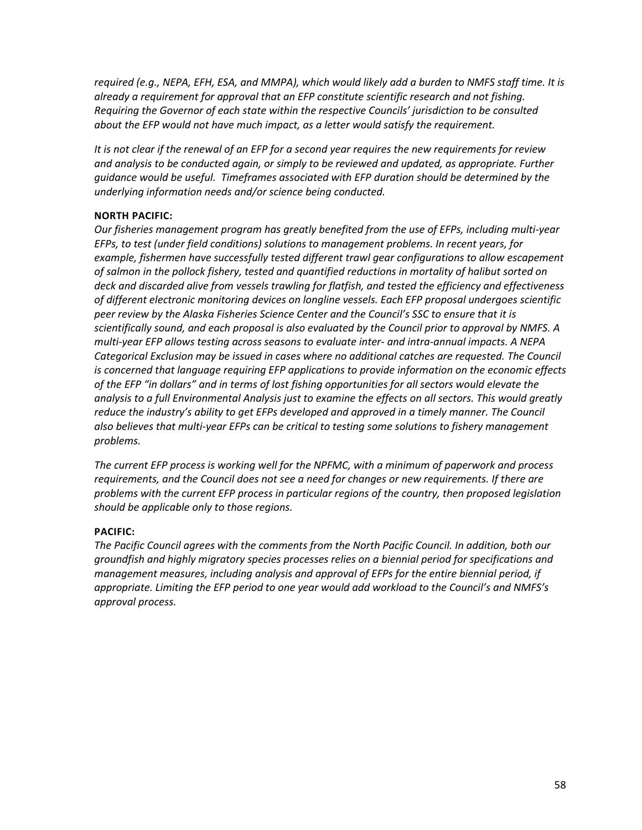*required (e.g., NEPA, EFH, ESA, and MMPA), which would likely add a burden to NMFS staff time. It is already a requirement for approval that an EFP constitute scientific research and not fishing. Requiring the Governor of each state within the respective Councils' jurisdiction to be consulted about the EFP would not have much impact, as a letter would satisfy the requirement.*

*It is not clear if the renewal of an EFP for a second year requires the new requirements for review and analysis to be conducted again, or simply to be reviewed and updated, as appropriate. Further guidance would be useful. Timeframes associated with EFP duration should be determined by the underlying information needs and/or science being conducted.*

#### **NORTH PACIFIC:**

*Our fisheries management program has greatly benefited from the use of EFPs, including multi-year EFPs, to test (under field conditions) solutions to management problems. In recent years, for example, fishermen have successfully tested different trawl gear configurations to allow escapement of salmon in the pollock fishery, tested and quantified reductions in mortality of halibut sorted on deck and discarded alive from vessels trawling for flatfish, and tested the efficiency and effectiveness of different electronic monitoring devices on longline vessels. Each EFP proposal undergoes scientific peer review by the Alaska Fisheries Science Center and the Council's SSC to ensure that it is scientifically sound, and each proposal is also evaluated by the Council prior to approval by NMFS. A multi-year EFP allows testing across seasons to evaluate inter- and intra-annual impacts. A NEPA Categorical Exclusion may be issued in cases where no additional catches are requested. The Council is concerned that language requiring EFP applications to provide information on the economic effects of the EFP "in dollars" and in terms of lost fishing opportunities for all sectors would elevate the analysis to a full Environmental Analysis just to examine the effects on all sectors. This would greatly reduce the industry's ability to get EFPs developed and approved in a timely manner. The Council also believes that multi-year EFPs can be critical to testing some solutions to fishery management problems.*

*The current EFP process is working well for the NPFMC, with a minimum of paperwork and process requirements, and the Council does not see a need for changes or new requirements. If there are problems with the current EFP process in particular regions of the country, then proposed legislation should be applicable only to those regions.*

#### **PACIFIC:**

*The Pacific Council agrees with the comments from the North Pacific Council. In addition, both our groundfish and highly migratory species processes relies on a biennial period for specifications and management measures, including analysis and approval of EFPs for the entire biennial period, if appropriate. Limiting the EFP period to one year would add workload to the Council's and NMFS's approval process.*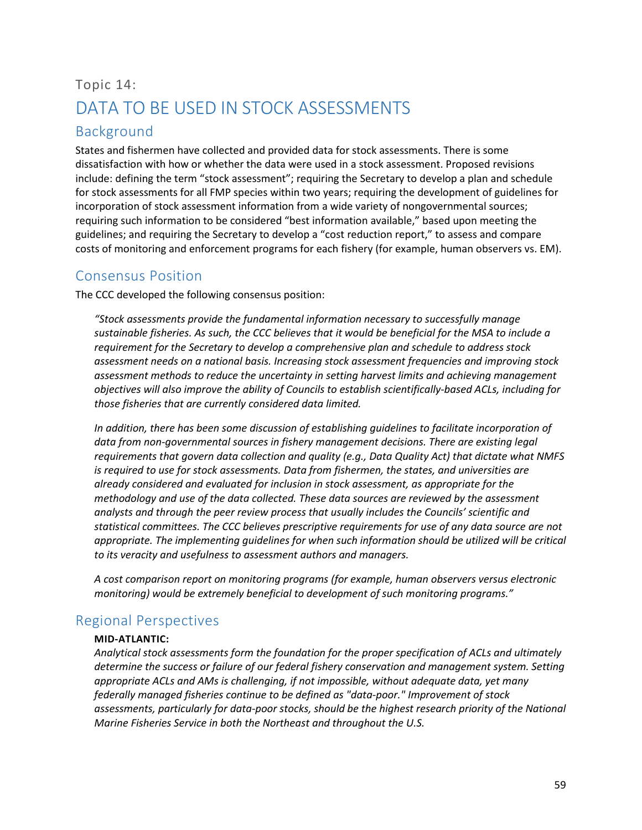## <span id="page-59-0"></span>Topic 14: DATA TO BE USED IN STOCK ASSESSMENTS

## <span id="page-59-1"></span>Background

States and fishermen have collected and provided data for stock assessments. There is some dissatisfaction with how or whether the data were used in a stock assessment. Proposed revisions include: defining the term "stock assessment"; requiring the Secretary to develop a plan and schedule for stock assessments for all FMP species within two years; requiring the development of guidelines for incorporation of stock assessment information from a wide variety of nongovernmental sources; requiring such information to be considered "best information available," based upon meeting the guidelines; and requiring the Secretary to develop a "cost reduction report," to assess and compare costs of monitoring and enforcement programs for each fishery (for example, human observers vs. EM).

## <span id="page-59-2"></span>Consensus Position

The CCC developed the following consensus position:

*"Stock assessments provide the fundamental information necessary to successfully manage sustainable fisheries. As such, the CCC believes that it would be beneficial for the MSA to include a requirement for the Secretary to develop a comprehensive plan and schedule to address stock assessment needs on a national basis. Increasing stock assessment frequencies and improving stock assessment methods to reduce the uncertainty in setting harvest limits and achieving management objectives will also improve the ability of Councils to establish scientifically-based ACLs, including for those fisheries that are currently considered data limited.*

In addition, there has been some discussion of establishing quidelines to facilitate incorporation of data from non-governmental sources in fishery management decisions. There are existing legal *requirements that govern data collection and quality (e.g., Data Quality Act) that dictate what NMFS is required to use for stock assessments. Data from fishermen, the states, and universities are already considered and evaluated for inclusion in stock assessment, as appropriate for the methodology and use of the data collected. These data sources are reviewed by the assessment analysts and through the peer review process that usually includes the Councils' scientific and statistical committees. The CCC believes prescriptive requirements for use of any data source are not appropriate. The implementing guidelines for when such information should be utilized will be critical to its veracity and usefulness to assessment authors and managers.*

*A cost comparison report on monitoring programs (for example, human observers versus electronic monitoring) would be extremely beneficial to development of such monitoring programs."*

## <span id="page-59-3"></span>Regional Perspectives

#### **MID-ATLANTIC:**

*Analytical stock assessments form the foundation for the proper specification of ACLs and ultimately determine the success or failure of our federal fishery conservation and management system. Setting appropriate ACLs and AMs is challenging, if not impossible, without adequate data, yet many federally managed fisheries continue to be defined as "data-poor." Improvement of stock assessments, particularly for data-poor stocks, should be the highest research priority of the National Marine Fisheries Service in both the Northeast and throughout the U.S.*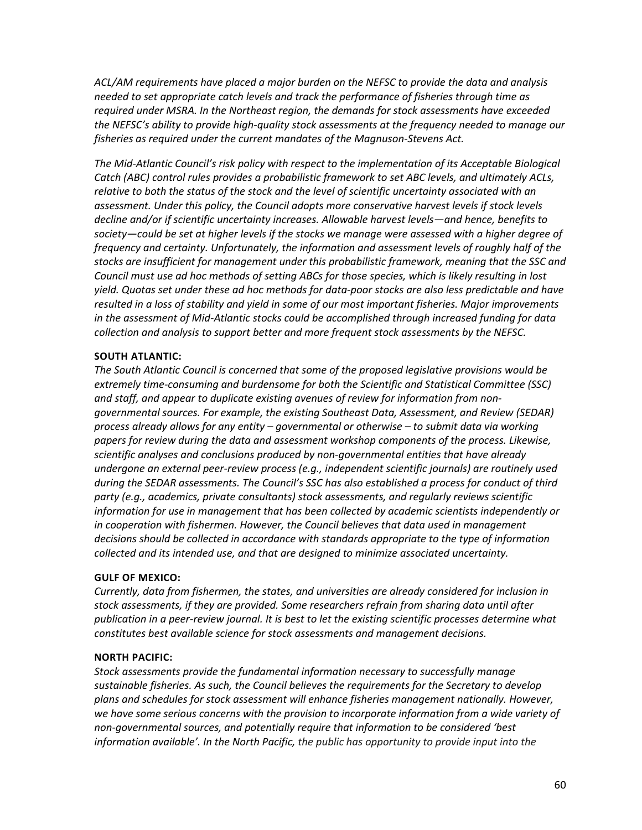*ACL/AM requirements have placed a major burden on the NEFSC to provide the data and analysis needed to set appropriate catch levels and track the performance of fisheries through time as required under MSRA. In the Northeast region, the demands for stock assessments have exceeded the NEFSC's ability to provide high-quality stock assessments at the frequency needed to manage our fisheries as required under the current mandates of the Magnuson-Stevens Act.* 

*The Mid-Atlantic Council's risk policy with respect to the implementation of its Acceptable Biological Catch (ABC) control rules provides a probabilistic framework to set ABC levels, and ultimately ACLs, relative to both the status of the stock and the level of scientific uncertainty associated with an assessment. Under this policy, the Council adopts more conservative harvest levels if stock levels decline and/or if scientific uncertainty increases. Allowable harvest levels—and hence, benefits to society—could be set at higher levels if the stocks we manage were assessed with a higher degree of frequency and certainty. Unfortunately, the information and assessment levels of roughly half of the stocks are insufficient for management under this probabilistic framework, meaning that the SSC and Council must use ad hoc methods of setting ABCs for those species, which is likely resulting in lost yield. Quotas set under these ad hoc methods for data-poor stocks are also less predictable and have resulted in a loss of stability and yield in some of our most important fisheries. Major improvements in the assessment of Mid-Atlantic stocks could be accomplished through increased funding for data collection and analysis to support better and more frequent stock assessments by the NEFSC.*

#### **SOUTH ATLANTIC:**

*The South Atlantic Council is concerned that some of the proposed legislative provisions would be extremely time-consuming and burdensome for both the Scientific and Statistical Committee (SSC) and staff, and appear to duplicate existing avenues of review for information from nongovernmental sources. For example, the existing Southeast Data, Assessment, and Review (SEDAR) process already allows for any entity – governmental or otherwise – to submit data via working papers for review during the data and assessment workshop components of the process. Likewise, scientific analyses and conclusions produced by non-governmental entities that have already undergone an external peer-review process (e.g., independent scientific journals) are routinely used during the SEDAR assessments. The Council's SSC has also established a process for conduct of third party (e.g., academics, private consultants) stock assessments, and regularly reviews scientific information for use in management that has been collected by academic scientists independently or in cooperation with fishermen. However, the Council believes that data used in management decisions should be collected in accordance with standards appropriate to the type of information collected and its intended use, and that are designed to minimize associated uncertainty.*

#### **GULF OF MEXICO:**

*Currently, data from fishermen, the states, and universities are already considered for inclusion in stock assessments, if they are provided. Some researchers refrain from sharing data until after publication in a peer-review journal. It is best to let the existing scientific processes determine what constitutes best available science for stock assessments and management decisions.*

#### **NORTH PACIFIC:**

*Stock assessments provide the fundamental information necessary to successfully manage sustainable fisheries. As such, the Council believes the requirements for the Secretary to develop plans and schedules for stock assessment will enhance fisheries management nationally. However, we have some serious concerns with the provision to incorporate information from a wide variety of non-governmental sources, and potentially require that information to be considered 'best information available'. In the North Pacific, the public has opportunity to provide input into the*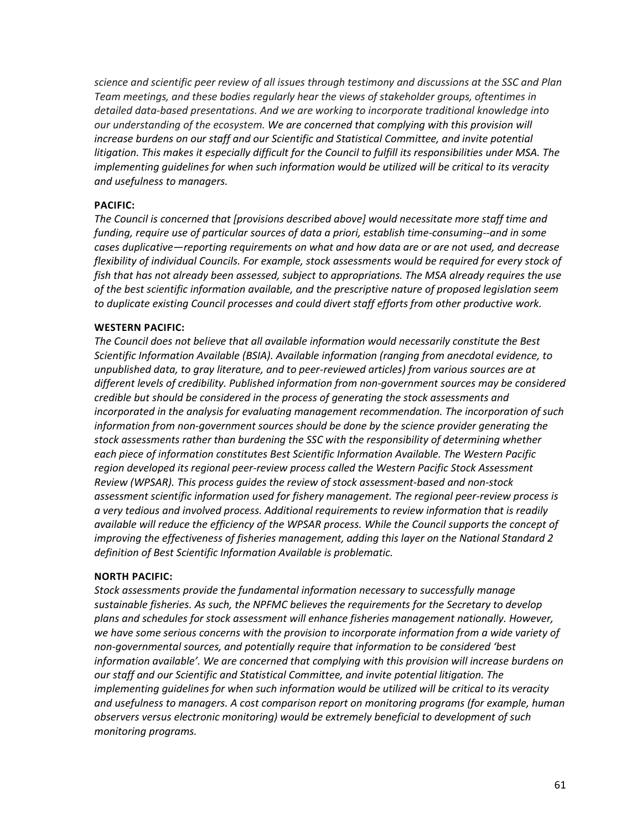*science and scientific peer review of all issues through testimony and discussions at the SSC and Plan Team meetings, and these bodies regularly hear the views of stakeholder groups, oftentimes in detailed data-based presentations. And we are working to incorporate traditional knowledge into our understanding of the ecosystem. We are concerned that complying with this provision will*  increase burdens on our staff and our Scientific and Statistical Committee, and invite potential *litigation. This makes it especially difficult for the Council to fulfill its responsibilities under MSA. The implementing guidelines for when such information would be utilized will be critical to its veracity and usefulness to managers.*

#### **PACIFIC:**

*The Council is concerned that [provisions described above] would necessitate more staff time and funding, require use of particular sources of data a priori, establish time-consuming--and in some cases duplicative—reporting requirements on what and how data are or are not used, and decrease flexibility of individual Councils. For example, stock assessments would be required for every stock of fish that has not already been assessed, subject to appropriations. The MSA already requires the use of the best scientific information available, and the prescriptive nature of proposed legislation seem to duplicate existing Council processes and could divert staff efforts from other productive work.*

#### **WESTERN PACIFIC:**

*The Council does not believe that all available information would necessarily constitute the Best Scientific Information Available (BSIA). Available information (ranging from anecdotal evidence, to unpublished data, to gray literature, and to peer-reviewed articles) from various sources are at different levels of credibility. Published information from non-government sources may be considered credible but should be considered in the process of generating the stock assessments and incorporated in the analysis for evaluating management recommendation. The incorporation of such information from non-government sources should be done by the science provider generating the stock assessments rather than burdening the SSC with the responsibility of determining whether each piece of information constitutes Best Scientific Information Available. The Western Pacific region developed its regional peer-review process called the Western Pacific Stock Assessment Review (WPSAR). This process guides the review of stock assessment-based and non-stock assessment scientific information used for fishery management. The regional peer-review process is a very tedious and involved process. Additional requirements to review information that is readily available will reduce the efficiency of the WPSAR process. While the Council supports the concept of improving the effectiveness of fisheries management, adding this layer on the National Standard 2 definition of Best Scientific Information Available is problematic.*

#### **NORTH PACIFIC:**

*Stock assessments provide the fundamental information necessary to successfully manage sustainable fisheries. As such, the NPFMC believes the requirements for the Secretary to develop plans and schedules for stock assessment will enhance fisheries management nationally. However, we have some serious concerns with the provision to incorporate information from a wide variety of non-governmental sources, and potentially require that information to be considered 'best information available'. We are concerned that complying with this provision will increase burdens on our staff and our Scientific and Statistical Committee, and invite potential litigation. The implementing guidelines for when such information would be utilized will be critical to its veracity and usefulness to managers. A cost comparison report on monitoring programs (for example, human observers versus electronic monitoring) would be extremely beneficial to development of such monitoring programs.*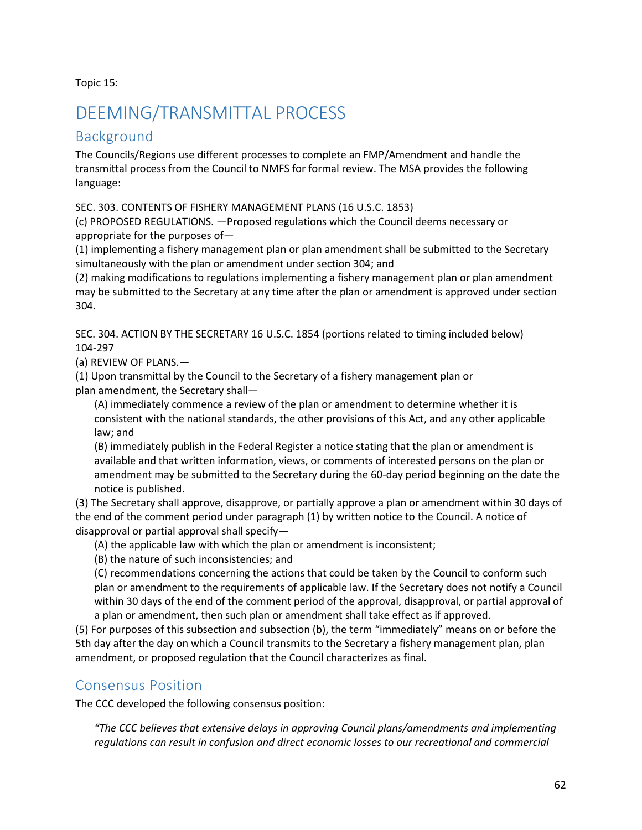Topic 15:

## <span id="page-62-0"></span>DEEMING/TRANSMITTAL PROCESS

## <span id="page-62-1"></span>Background

The Councils/Regions use different processes to complete an FMP/Amendment and handle the transmittal process from the Council to NMFS for formal review. The MSA provides the following language:

SEC. 303. CONTENTS OF FISHERY MANAGEMENT PLANS (16 U.S.C. 1853)

(c) PROPOSED REGULATIONS. —Proposed regulations which the Council deems necessary or appropriate for the purposes of—

(1) implementing a fishery management plan or plan amendment shall be submitted to the Secretary simultaneously with the plan or amendment under section 304; and

(2) making modifications to regulations implementing a fishery management plan or plan amendment may be submitted to the Secretary at any time after the plan or amendment is approved under section 304.

SEC. 304. ACTION BY THE SECRETARY 16 U.S.C. 1854 (portions related to timing included below) 104-297

(a) REVIEW OF PLANS.—

(1) Upon transmittal by the Council to the Secretary of a fishery management plan or plan amendment, the Secretary shall—

(A) immediately commence a review of the plan or amendment to determine whether it is consistent with the national standards, the other provisions of this Act, and any other applicable law; and

(B) immediately publish in the Federal Register a notice stating that the plan or amendment is available and that written information, views, or comments of interested persons on the plan or amendment may be submitted to the Secretary during the 60-day period beginning on the date the notice is published.

(3) The Secretary shall approve, disapprove, or partially approve a plan or amendment within 30 days of the end of the comment period under paragraph (1) by written notice to the Council. A notice of disapproval or partial approval shall specify—

(A) the applicable law with which the plan or amendment is inconsistent;

(B) the nature of such inconsistencies; and

(C) recommendations concerning the actions that could be taken by the Council to conform such plan or amendment to the requirements of applicable law. If the Secretary does not notify a Council within 30 days of the end of the comment period of the approval, disapproval, or partial approval of a plan or amendment, then such plan or amendment shall take effect as if approved.

(5) For purposes of this subsection and subsection (b), the term "immediately" means on or before the 5th day after the day on which a Council transmits to the Secretary a fishery management plan, plan amendment, or proposed regulation that the Council characterizes as final.

## <span id="page-62-2"></span>Consensus Position

The CCC developed the following consensus position:

*"The CCC believes that extensive delays in approving Council plans/amendments and implementing regulations can result in confusion and direct economic losses to our recreational and commercial*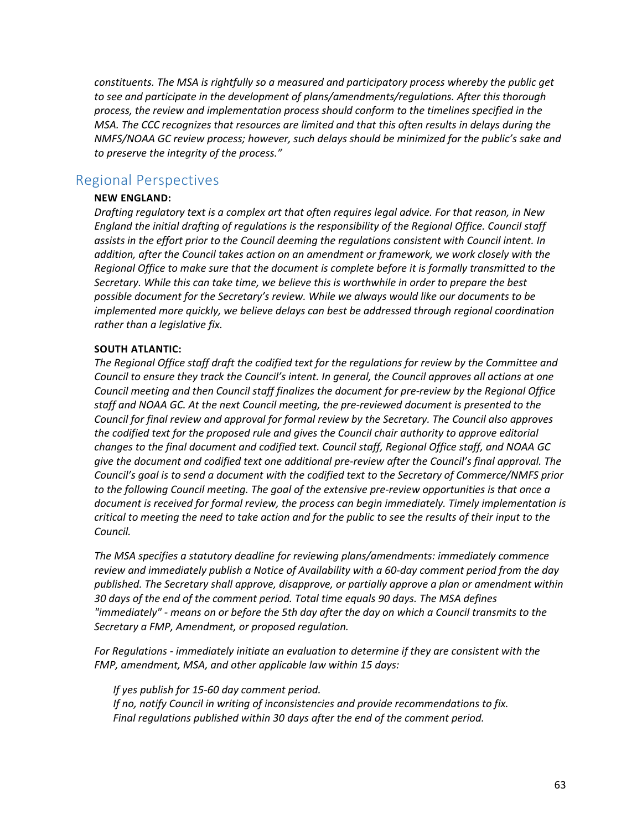*constituents. The MSA is rightfully so a measured and participatory process whereby the public get to see and participate in the development of plans/amendments/regulations. After this thorough process, the review and implementation process should conform to the timelines specified in the MSA. The CCC recognizes that resources are limited and that this often results in delays during the NMFS/NOAA GC review process; however, such delays should be minimized for the public's sake and to preserve the integrity of the process."*

### <span id="page-63-0"></span>Regional Perspectives

#### **NEW ENGLAND:**

*Drafting regulatory text is a complex art that often requires legal advice. For that reason, in New England the initial drafting of regulations is the responsibility of the Regional Office. Council staff assists in the effort prior to the Council deeming the regulations consistent with Council intent. In addition, after the Council takes action on an amendment or framework, we work closely with the Regional Office to make sure that the document is complete before it is formally transmitted to the Secretary. While this can take time, we believe this is worthwhile in order to prepare the best possible document for the Secretary's review. While we always would like our documents to be implemented more quickly, we believe delays can best be addressed through regional coordination rather than a legislative fix.*

#### **SOUTH ATLANTIC:**

*The Regional Office staff draft the codified text for the regulations for review by the Committee and Council to ensure they track the Council's intent. In general, the Council approves all actions at one Council meeting and then Council staff finalizes the document for pre-review by the Regional Office staff and NOAA GC. At the next Council meeting, the pre-reviewed document is presented to the Council for final review and approval for formal review by the Secretary. The Council also approves the codified text for the proposed rule and gives the Council chair authority to approve editorial changes to the final document and codified text. Council staff, Regional Office staff, and NOAA GC give the document and codified text one additional pre-review after the Council's final approval. The Council's goal is to send a document with the codified text to the Secretary of Commerce/NMFS prior to the following Council meeting. The goal of the extensive pre-review opportunities is that once a document is received for formal review, the process can begin immediately. Timely implementation is critical to meeting the need to take action and for the public to see the results of their input to the Council.*

*The MSA specifies a statutory deadline for reviewing plans/amendments: immediately commence review and immediately publish a Notice of Availability with a 60-day comment period from the day published. The Secretary shall approve, disapprove, or partially approve a plan or amendment within 30 days of the end of the comment period. Total time equals 90 days. The MSA defines "immediately" - means on or before the 5th day after the day on which a Council transmits to the Secretary a FMP, Amendment, or proposed regulation.*

*For Regulations - immediately initiate an evaluation to determine if they are consistent with the FMP, amendment, MSA, and other applicable law within 15 days:*

*If yes publish for 15-60 day comment period. If no, notify Council in writing of inconsistencies and provide recommendations to fix. Final regulations published within 30 days after the end of the comment period.*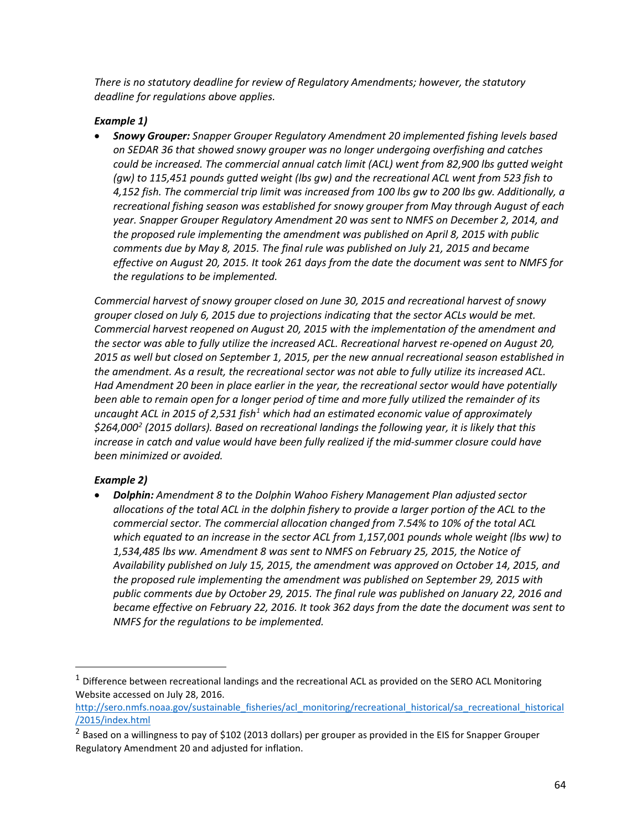*There is no statutory deadline for review of Regulatory Amendments; however, the statutory deadline for regulations above applies.*

#### *Example 1)*

• *Snowy Grouper: Snapper Grouper Regulatory Amendment 20 implemented fishing levels based on SEDAR 36 that showed snowy grouper was no longer undergoing overfishing and catches could be increased. The commercial annual catch limit (ACL) went from 82,900 lbs gutted weight (gw) to 115,451 pounds gutted weight (lbs gw) and the recreational ACL went from 523 fish to 4,152 fish. The commercial trip limit was increased from 100 lbs gw to 200 lbs gw. Additionally, a recreational fishing season was established for snowy grouper from May through August of each year. Snapper Grouper Regulatory Amendment 20 was sent to NMFS on December 2, 2014, and the proposed rule implementing the amendment was published on April 8, 2015 with public comments due by May 8, 2015. The final rule was published on July 21, 2015 and became effective on August 20, 2015. It took 261 days from the date the document was sent to NMFS for the regulations to be implemented.*

*Commercial harvest of snowy grouper closed on June 30, 2015 and recreational harvest of snowy grouper closed on July 6, 2015 due to projections indicating that the sector ACLs would be met. Commercial harvest reopened on August 20, 2015 with the implementation of the amendment and the sector was able to fully utilize the increased ACL. Recreational harvest re-opened on August 20, 2015 as well but closed on September 1, 2015, per the new annual recreational season established in the amendment. As a result, the recreational sector was not able to fully utilize its increased ACL. Had Amendment 20 been in place earlier in the year, the recreational sector would have potentially been able to remain open for a longer period of time and more fully utilized the remainder of its uncaught ACL in 2015 of 2,531 fish[1](#page-64-0) which had an estimated economic value of approximately \$264,000[2](#page-64-1) (2015 dollars). Based on recreational landings the following year, it is likely that this*  increase in catch and value would have been fully realized if the mid-summer closure could have *been minimized or avoided.*

#### *Example 2)*

• *Dolphin: Amendment 8 to the Dolphin Wahoo Fishery Management Plan adjusted sector allocations of the total ACL in the dolphin fishery to provide a larger portion of the ACL to the commercial sector. The commercial allocation changed from 7.54% to 10% of the total ACL which equated to an increase in the sector ACL from 1,157,001 pounds whole weight (lbs ww) to 1,534,485 lbs ww. Amendment 8 was sent to NMFS on February 25, 2015, the Notice of Availability published on July 15, 2015, the amendment was approved on October 14, 2015, and the proposed rule implementing the amendment was published on September 29, 2015 with public comments due by October 29, 2015. The final rule was published on January 22, 2016 and became effective on February 22, 2016. It took 362 days from the date the document was sent to NMFS for the regulations to be implemented.*

<span id="page-64-0"></span> $1$  Difference between recreational landings and the recreational ACL as provided on the SERO ACL Monitoring Website accessed on July 28, 2016.

[http://sero.nmfs.noaa.gov/sustainable\\_fisheries/acl\\_monitoring/recreational\\_historical/sa\\_recreational\\_historical](http://sero.nmfs.noaa.gov/sustainable_fisheries/acl_monitoring/recreational_historical/sa_recreational_historical/2015/index.html) [/2015/index.html](http://sero.nmfs.noaa.gov/sustainable_fisheries/acl_monitoring/recreational_historical/sa_recreational_historical/2015/index.html)

<span id="page-64-1"></span><sup>&</sup>lt;sup>2</sup> Based on a willingness to pay of \$102 (2013 dollars) per grouper as provided in the EIS for Snapper Grouper Regulatory Amendment 20 and adjusted for inflation.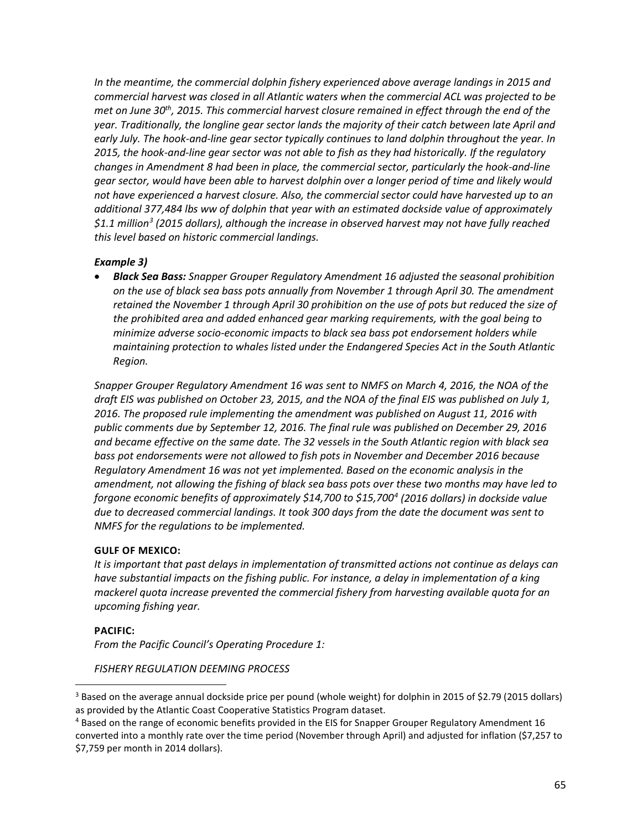In the meantime, the commercial dolphin fishery experienced above average landings in 2015 and *commercial harvest was closed in all Atlantic waters when the commercial ACL was projected to be met on June 30th, 2015. This commercial harvest closure remained in effect through the end of the year. Traditionally, the longline gear sector lands the majority of their catch between late April and early July. The hook-and-line gear sector typically continues to land dolphin throughout the year. In 2015, the hook-and-line gear sector was not able to fish as they had historically. If the regulatory changes in Amendment 8 had been in place, the commercial sector, particularly the hook-and-line gear sector, would have been able to harvest dolphin over a longer period of time and likely would not have experienced a harvest closure. Also, the commercial sector could have harvested up to an additional 377,484 lbs ww of dolphin that year with an estimated dockside value of approximately \$1.1 million[3](#page-65-0) (2015 dollars), although the increase in observed harvest may not have fully reached this level based on historic commercial landings.* 

#### *Example 3)*

• *Black Sea Bass: Snapper Grouper Regulatory Amendment 16 adjusted the seasonal prohibition on the use of black sea bass pots annually from November 1 through April 30. The amendment retained the November 1 through April 30 prohibition on the use of pots but reduced the size of the prohibited area and added enhanced gear marking requirements, with the goal being to minimize adverse socio-economic impacts to black sea bass pot endorsement holders while maintaining protection to whales listed under the Endangered Species Act in the South Atlantic Region.*

*Snapper Grouper Regulatory Amendment 16 was sent to NMFS on March 4, 2016, the NOA of the draft EIS was published on October 23, 2015, and the NOA of the final EIS was published on July 1, 2016. The proposed rule implementing the amendment was published on August 11, 2016 with public comments due by September 12, 2016. The final rule was published on December 29, 2016 and became effective on the same date. The 32 vessels in the South Atlantic region with black sea bass pot endorsements were not allowed to fish pots in November and December 2016 because Regulatory Amendment 16 was not yet implemented. Based on the economic analysis in the amendment, not allowing the fishing of black sea bass pots over these two months may have led to forgone economic benefits of approximately \$14,700 to \$15,700[4](#page-65-1) (2016 dollars) in dockside value due to decreased commercial landings. It took 300 days from the date the document was sent to NMFS for the regulations to be implemented.*

#### **GULF OF MEXICO:**

*It is important that past delays in implementation of transmitted actions not continue as delays can have substantial impacts on the fishing public. For instance, a delay in implementation of a king mackerel quota increase prevented the commercial fishery from harvesting available quota for an upcoming fishing year.*

#### **PACIFIC:**

*From the Pacific Council's Operating Procedure 1:*

#### *FISHERY REGULATION DEEMING PROCESS*

<span id="page-65-0"></span><sup>&</sup>lt;sup>3</sup> Based on the average annual dockside price per pound (whole weight) for dolphin in 2015 of \$2.79 (2015 dollars) as provided by the Atlantic Coast Cooperative Statistics Program dataset.

<span id="page-65-1"></span><sup>&</sup>lt;sup>4</sup> Based on the range of economic benefits provided in the EIS for Snapper Grouper Regulatory Amendment 16 converted into a monthly rate over the time period (November through April) and adjusted for inflation (\$7,257 to \$7,759 per month in 2014 dollars).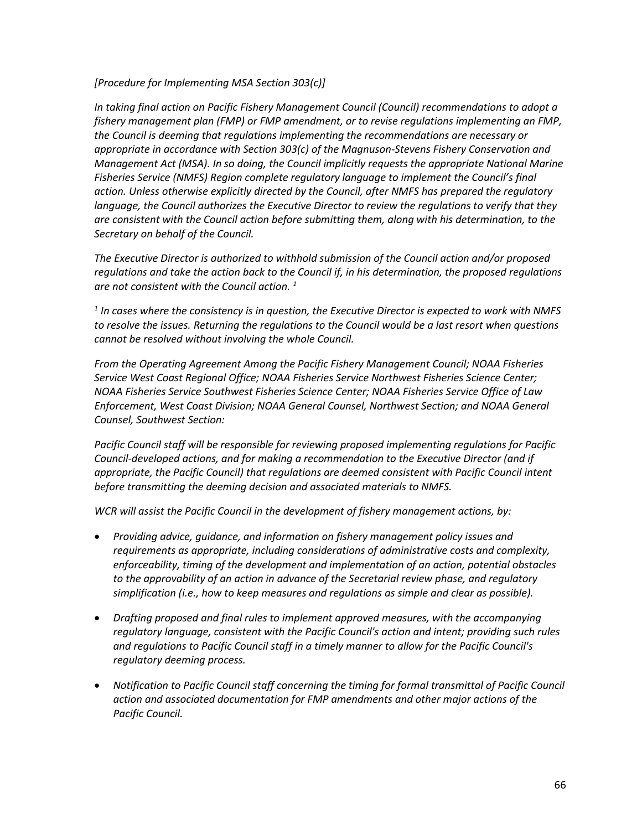*[Procedure for Implementing MSA Section 303(c)]*

*In taking final action on Pacific Fishery Management Council (Council) recommendations to adopt a fishery management plan (FMP) or FMP amendment, or to revise regulations implementing an FMP, the Council is deeming that regulations implementing the recommendations are necessary or appropriate in accordance with Section 303(c) of the Magnuson-Stevens Fishery Conservation and Management Act (MSA). In so doing, the Council implicitly requests the appropriate National Marine Fisheries Service (NMFS) Region complete regulatory language to implement the Council's final action. Unless otherwise explicitly directed by the Council, after NMFS has prepared the regulatory language, the Council authorizes the Executive Director to review the regulations to verify that they are consistent with the Council action before submitting them, along with his determination, to the Secretary on behalf of the Council.*

*The Executive Director is authorized to withhold submission of the Council action and/or proposed regulations and take the action back to the Council if, in his determination, the proposed regulations are not consistent with the Council action. 1*

*<sup>1</sup> In cases where the consistency is in question, the Executive Director is expected to work with NMFS to resolve the issues. Returning the regulations to the Council would be a last resort when questions cannot be resolved without involving the whole Council.*

*From the Operating Agreement Among the Pacific Fishery Management Council; NOAA Fisheries Service West Coast Regional Office; NOAA Fisheries Service Northwest Fisheries Science Center; NOAA Fisheries Service Southwest Fisheries Science Center; NOAA Fisheries Service Office of Law Enforcement, West Coast Division; NOAA General Counsel, Northwest Section; and NOAA General Counsel, Southwest Section:*

*Pacific Council staff will be responsible for reviewing proposed implementing regulations for Pacific Council-developed actions, and for making a recommendation to the Executive Director (and if appropriate, the Pacific Council) that regulations are deemed consistent with Pacific Council intent before transmitting the deeming decision and associated materials to NMFS.*

*WCR will assist the Pacific Council in the development of fishery management actions, by:*

- *Providing advice, guidance, and information on fishery management policy issues and requirements as appropriate, including considerations of administrative costs and complexity, enforceability, timing of the development and implementation of an action, potential obstacles to the approvability of an action in advance of the Secretarial review phase, and regulatory simplification (i.e., how to keep measures and regulations as simple and clear as possible).*
- *Drafting proposed and final rules to implement approved measures, with the accompanying regulatory language, consistent with the Pacific Council's action and intent; providing such rules and regulations to Pacific Council staff in a timely manner to allow for the Pacific Council's regulatory deeming process.*
- *Notification to Pacific Council staff concerning the timing for formal transmittal of Pacific Council action and associated documentation for FMP amendments and other major actions of the Pacific Council.*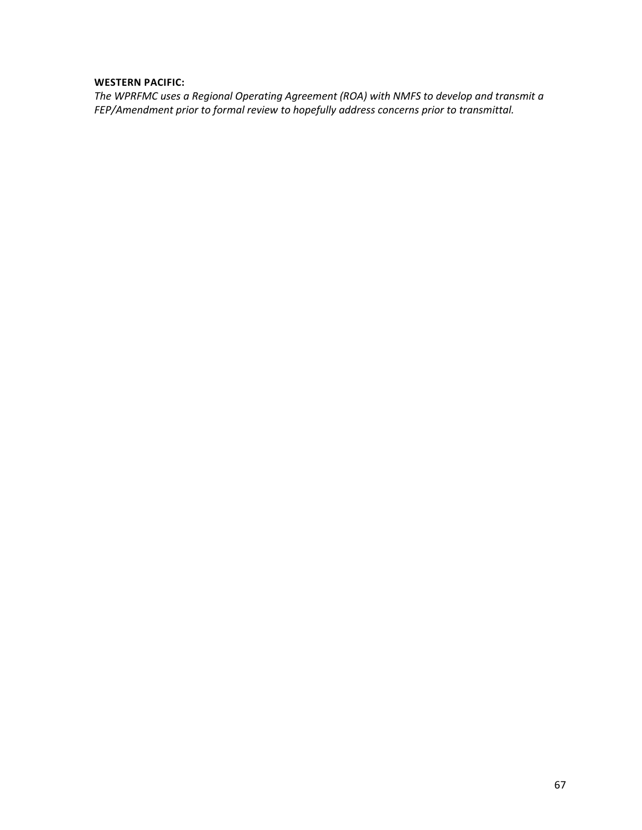#### **WESTERN PACIFIC:**

*The WPRFMC uses a Regional Operating Agreement (ROA) with NMFS to develop and transmit a FEP/Amendment prior to formal review to hopefully address concerns prior to transmittal.*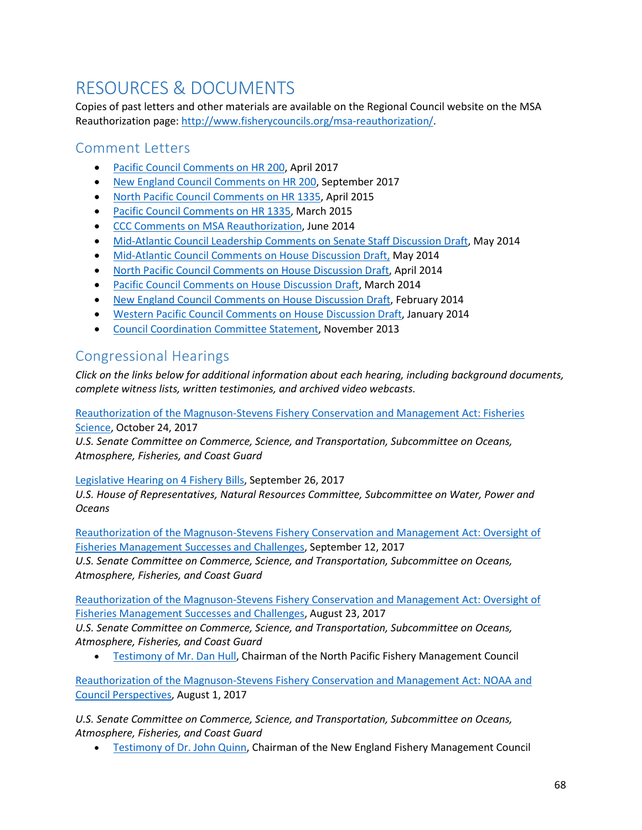## <span id="page-68-0"></span>RESOURCES & DOCUMENTS

Copies of past letters and other materials are available on the Regional Council website on the MSA Reauthorization page: [http://www.fisherycouncils.org/msa-reauthorization/.](http://www.fisherycouncils.org/msa-reauthorization/)

## <span id="page-68-1"></span>Comment Letters

- [Pacific Council Comments on HR 200,](http://www.fisherycouncils.org/s/2017-04-Pacific-Council-Comments-on-HR200.pdf) April 2017
- [New England Council Comments on HR 200,](http://www.fisherycouncils.org/s/170929_NEFMC-toThe-Honorable-Seth-Moulton_Reply.pdf) September 2017
- [North Pacific Council Comments on HR 1335,](http://www.fisherycouncils.org/s/NPFMCLetter042115.pdf) April 2015
- [Pacific Council Comments on HR 1335,](http://www.fisherycouncils.org/s/PFMCLetter032515.pdf) March 2015
- [CCC Comments on MSA Reauthorization,](http://www.fisherycouncils.org/s/CCC-MSA-Letter-June2014.pdf) June 2014
- [Mid-Atlantic Council Leadership Comments on Senate Staff Discussion Draft,](http://www.fisherycouncils.org/s/MAFMC-Comments-Senate-Discussion-Draft-May2014.pdf) May 2014
- [Mid-Atlantic Council Comments on House Discussion Draft,](http://www.fisherycouncils.org/s/MAFMC-Comments-HR-Discussion-Draft.pdf) May 2014
- [North Pacific Council Comments on House Discussion Draft,](http://www.fisherycouncils.org/s/NPFMC-Comments-HR-Discussion-Draft.pdf) April 2014
- [Pacific Council Comments on House Discussion Draft,](http://www.fisherycouncils.org/s/PFMC-Comments-HR-Discussion-Draft.pdf) March 2014
- [New England Council Comments on House Discussion Draft,](http://www.fisherycouncils.org/s/NEFMC-Comments-HR-Discussion-Draft.pdf) February 2014
- Western [Pacific Council Comments on House Discussion Draft,](http://www.fisherycouncils.org/s/WPFMC-Comments-HR-Discussion-Draft.pdf) January 2014
- [Council Coordination Committee Statement,](http://www.fisherycouncils.org/s/CCC-MSA-Letter-Nov2013.pdf) November 2013

## <span id="page-68-2"></span>Congressional Hearings

*Click on the links below for additional information about each hearing, including background documents, complete witness lists, written testimonies, and archived video webcasts.*

[Reauthorization of the Magnuson-Stevens Fishery Conservation and Management Act: Fisheries](https://www.commerce.senate.gov/public/index.cfm/2017/10/reauthorization-of-the-magnuson-stevens-fishery-conservation-and-management-act-fisheries-science)  [Science,](https://www.commerce.senate.gov/public/index.cfm/2017/10/reauthorization-of-the-magnuson-stevens-fishery-conservation-and-management-act-fisheries-science) October 24, 2017

*U.S. Senate Committee on Commerce, Science, and Transportation, Subcommittee on Oceans, Atmosphere, Fisheries, and Coast Guard*

#### [Legislative Hearing on 4 Fishery Bills,](https://naturalresources.house.gov/calendar/eventsingle.aspx?EventID=402850) September 26, 2017

*U.S. House of Representatives, Natural Resources Committee, Subcommittee on Water, Power and Oceans*

[Reauthorization of the Magnuson-Stevens Fishery Conservation and Management Act: Oversight of](https://www.commerce.senate.gov/public/index.cfm/hearings?ID=FA788A8C-2F71-4B09-AFC6-1FE2B120B828)  [Fisheries Management Successes and Challenges,](https://www.commerce.senate.gov/public/index.cfm/hearings?ID=FA788A8C-2F71-4B09-AFC6-1FE2B120B828) September 12, 2017

*U.S. Senate Committee on Commerce, Science, and Transportation, Subcommittee on Oceans, Atmosphere, Fisheries, and Coast Guard*

[Reauthorization of the Magnuson-Stevens Fishery Conservation and Management Act: Oversight of](https://www.commerce.senate.gov/public/index.cfm/2017/8/reauthorization-of-the-magnuson-stevens-fishery-conservation-and-management-act-oversight-of-fisheries-management-successes-and-challenges)  [Fisheries Management Successes and Challenges,](https://www.commerce.senate.gov/public/index.cfm/2017/8/reauthorization-of-the-magnuson-stevens-fishery-conservation-and-management-act-oversight-of-fisheries-management-successes-and-challenges) August 23, 2017

*U.S. Senate Committee on Commerce, Science, and Transportation, Subcommittee on Oceans, Atmosphere, Fisheries, and Coast Guard*

• [Testimony of Mr. Dan Hull,](https://www.commerce.senate.gov/public/_cache/files/b1fc0b16-23f4-4acd-bb25-26448b6b2b1e/6AF307FBA48375D860DEDBD117C1B38C.8.23.17---hull-testimony.pdf) Chairman of the North Pacific Fishery Management Council

[Reauthorization of the Magnuson-Stevens Fishery Conservation and Management Act: NOAA and](https://www.commerce.senate.gov/public/index.cfm/hearings?ID=E9AFCF43-4EFC-4F3E-8110-1C3EACCED887)  [Council Perspectives,](https://www.commerce.senate.gov/public/index.cfm/hearings?ID=E9AFCF43-4EFC-4F3E-8110-1C3EACCED887) August 1, 2017

*U.S. Senate Committee on Commerce, Science, and Transportation, Subcommittee on Oceans, Atmosphere, Fisheries, and Coast Guard*

• [Testimony of Dr. John Quinn,](https://www.commerce.senate.gov/public/_cache/files/e64e6dc9-2dfb-4f1c-8e60-424c39307102/981FC50D42378FB2FD3FCFFF08D3EE59.8.01.17-quinn-testimony.pdf) Chairman of the New England Fishery Management Council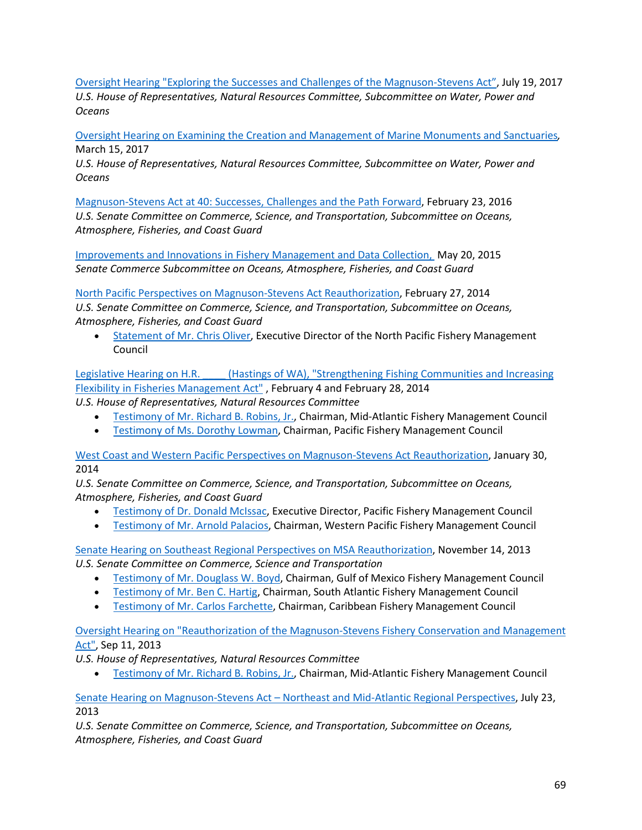[Oversight Hearing "Exploring the Successes and Challenges of the Magnuson-Stevens Act",](https://naturalresources.house.gov/calendar/eventsingle.aspx?EventID=402475) July 19, 2017 *U.S. House of Representatives, Natural Resources Committee, Subcommittee on Water, Power and Oceans*

Oversight Hearing on Examining [the Creation and Management of Marine Monuments and Sanctuaries](http://naturalresources.house.gov/calendar/eventsingle.aspx?EventID=401648)*,*  March 15, 2017

*U.S. House of Representatives, Natural Resources Committee, Subcommittee on Water, Power and Oceans*

[Magnuson-Stevens Act at 40: Successes, Challenges and the Path Forward,](https://www.commerce.senate.gov/public/index.cfm/hearings?ID=6A78AA91-F806-4C75-A0A3-DAC399CEE96B) February 23, 2016 *U.S. Senate Committee on Commerce, Science, and Transportation, Subcommittee on Oceans, Atmosphere, Fisheries, and Coast Guard*

[Improvements and Innovations in Fishery Management and Data Collection,](http://www.commerce.senate.gov/public/index.cfm?p=Hearings&ContentRecord_id=0d31f7df-1cb0-476a-9d64-a848b874b1a7&ContentType_id=14f995b9-dfa5-407a-9d35-56cc7152a7ed&Group_id=b06c39af-e033-4cba-9221-de668ca1978a) May 20, 2015 *Senate Commerce Subcommittee on Oceans, Atmosphere, Fisheries, and Coast Guard*

[North Pacific Perspectives on Magnuson-Stevens Act Reauthorization,](http://www.commerce.senate.gov/public/index.cfm?p=Hearings&ContentRecord_id=8d9327f0-4290-4f29-91d1-4548896cb2a2) February 27, 2014 *U.S. Senate Committee on Commerce, Science, and Transportation, Subcommittee on Oceans, Atmosphere, Fisheries, and Coast Guard*

• [Statement of Mr. Chris Oliver,](http://www.commerce.senate.gov/public/?a=Files.Serve&File_id=be52af53-1a3e-4d5f-8d18-c378cfb8aced) Executive Director of the North Pacific Fishery Management Council

Legislative Hearing on H.R. (Hastings of WA), "Strengthening Fishing Communities and Increasing [Flexibility in Fisheries Management Act"](http://naturalresources.house.gov/calendar/eventsingle.aspx?EventID=367382) , February 4 and February 28, 2014

*U.S. House of Representatives, Natural Resources Committee*

- [Testimony of Mr. Richard B. Robins, Jr.,](http://naturalresources.house.gov/UploadedFiles/RobinsTestimony2-4-14correct.pdf) Chairman, Mid-Atlantic Fishery Management Council
- [Testimony of Ms. Dorothy Lowman,](http://naturalresources.house.gov/uploadedfiles/lowmantestimony2-28-14.pdf) Chairman, Pacific Fishery Management Council

[West Coast and Western Pacific Perspectives on Magnuson-Stevens Act Reauthorization,](http://www.commerce.senate.gov/public/index.cfm?p=Hearings&ContentRecord_id=69e27fe0-6ec9-4cee-91b5-3ed8919f9e46&ContentType_id=14f995b9-dfa5-407a-9d35-56cc7152a7ed&Group_id=b06c39af-e033-4cba-9221-de668ca1978a&MonthDisplay=1&YearDisplay=2014) January 30, 2014

*U.S. Senate Committee on Commerce, Science, and Transportation, Subcommittee on Oceans, Atmosphere, Fisheries, and Coast Guard*

- [Testimony of Dr. Donald McIssac,](http://www.commerce.senate.gov/public/?a=Files.Serve&File_id=53dce034-32d3-499b-a4a4-d8758aa678db) Executive Director, Pacific Fishery Management Council
- [Testimony of Mr. Arnold Palacios,](http://www.commerce.senate.gov/public/?a=Files.Serve&File_id=b7160e32-f752-4a2f-923a-58f0b43d1827) Chairman, Western Pacific Fishery Management Council

[Senate Hearing on Southeast Regional Perspectives on MSA Reauthorization,](http://www.commerce.senate.gov/public/index.cfm?p=Hearings&ContentRecord_id=91a44c2f-c224-4a0f-8778-92938b108f47&ContentType_id=14f995b9-dfa5-407a-9d35-56cc7152a7ed&Group_id=b06c39af-e033-4cba-9221-de668ca1978a&MonthDisplay=11&YearDisplay=2013) November 14, 2013 *U.S. Senate Committee on Commerce, Science and Transportation*

- [Testimony of Mr. Douglass W. Boyd,](http://www.commerce.senate.gov/public/?a=Files.Serve&File_id=b32e09e6-0290-46f6-a88b-8ca6d721eb51) Chairman, Gulf of Mexico Fishery Management Council
- [Testimony of Mr. Ben C. Hartig,](http://www.commerce.senate.gov/public/?a=Files.Serve&File_id=a9aa3d89-fad9-4c31-ad8a-bfcc41854b7d) Chairman, South Atlantic Fishery Management Council
- [Testimony of Mr. Carlos Farchette,](http://www.commerce.senate.gov/public/?a=Files.Serve&File_id=b09b0877-001a-4560-846d-eb3fa8c1cd1e) Chairman, Caribbean Fishery Management Council

[Oversight Hearing on "Reauthorization of the Magnuson-Stevens Fishery Conservation and Management](http://naturalresources.house.gov/calendar/EventSingle.aspx?EventID=347456)  [Act",](http://naturalresources.house.gov/calendar/EventSingle.aspx?EventID=347456) Sep 11, 2013

*U.S. House of Representatives, Natural Resources Committee*

• [Testimony of Mr. Richard B. Robins, Jr.,](http://naturalresources.house.gov/UploadedFiles/RobinsTestimony09-11-13.pdf) Chairman, Mid-Atlantic Fishery Management Council

Senate Hearing on Magnuson-Stevens Act – [Northeast and Mid-Atlantic Regional Perspectives,](http://www.commerce.senate.gov/public/index.cfm?p=Hearings&ContentRecord_id=469966ce-2769-4041-a551-91de733f73e4&ContentType_id=14f995b9-dfa5-407a-9d35-56cc7152a7ed&Group_id=b06c39af-e033-4cba-9221-de668ca1978a&MonthDisplay=7&YearDisplay=2013) July 23, 2013

*U.S. Senate Committee on Commerce, Science, and Transportation, Subcommittee on Oceans, Atmosphere, Fisheries, and Coast Guard*